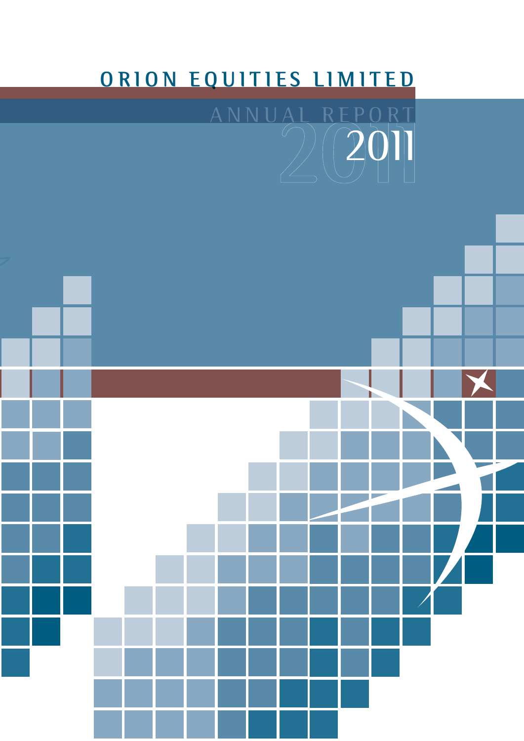# **ORION EQUITIES LIMITED**

# ANNUAL REP 2011

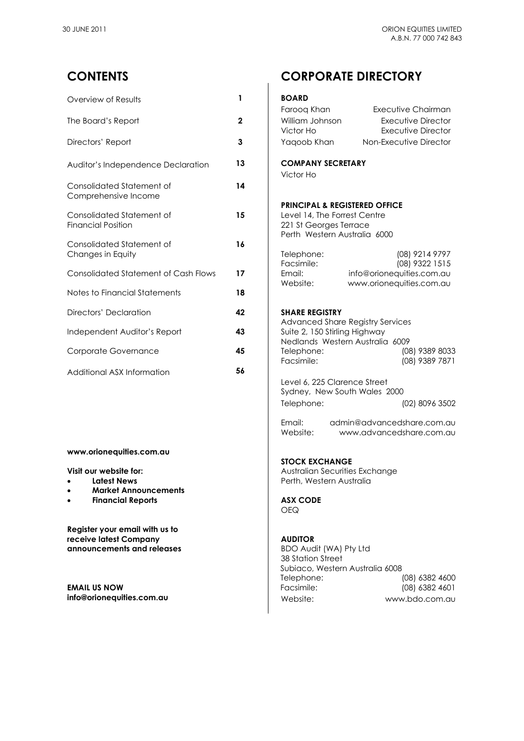| Overview of Results                         | 1            | <b>BOARD</b>                                           |                                  |
|---------------------------------------------|--------------|--------------------------------------------------------|----------------------------------|
|                                             |              | Faroog Khan                                            | Executive Chairman               |
| The Board's Report                          | $\mathbf{2}$ | William Johnson                                        | Executive Director               |
|                                             |              | Victor Ho                                              | <b>Executive Director</b>        |
| Directors' Report                           | 3            | Yaqoob Khan                                            | Non-Executive Director           |
| Auditor's Independence Declaration          | 13           | <b>COMPANY SECRETARY</b><br>Victor Ho                  |                                  |
| Consolidated Statement of                   | 14           |                                                        |                                  |
| Comprehensive Income                        |              |                                                        |                                  |
|                                             |              | <b>PRINCIPAL &amp; REGISTERED OFFICE</b>               |                                  |
| Consolidated Statement of                   | 15           | Level 14, The Forrest Centre                           |                                  |
| <b>Financial Position</b>                   |              | 221 St Georges Terrace<br>Perth Western Australia 6000 |                                  |
| Consolidated Statement of                   | 16           |                                                        |                                  |
| Changes in Equity                           |              | Telephone:                                             | (08) 9214 9797                   |
|                                             |              | Facsimile:                                             | (08) 9322 1515                   |
| <b>Consolidated Statement of Cash Flows</b> | 17           | Email:                                                 | info@orionequities.com.au        |
|                                             |              | Website:                                               | www.orionequities.com.au         |
| Notes to Financial Statements               | 18           |                                                        |                                  |
| Directors' Declaration                      | 42           | <b>SHARE REGISTRY</b>                                  |                                  |
|                                             |              |                                                        | Advanced Share Registry Services |
| Independent Auditor's Report                | 43           | Suite 2, 150 Stirling Highway                          |                                  |
|                                             |              |                                                        | Nedlands Western Australia 6009  |
| Corporate Governance                        | 45           | Telephone:                                             | (08) 9389 8033                   |
|                                             | 56           | Facsimile:                                             | (08) 9389 7871                   |
| Additional ASX Information                  |              |                                                        |                                  |

### **www.orionequities.com.au**

- **•** Latest News
- **Market Announcements**
- **•** Financial Reports

**info@orionequities.com.au <br>
Website:** Website: www.bdo.com.au

## **CONTENTS CORPORATE DIRECTORY**

| Overview of Results                                                                    | L           | <b>BOARD</b>                                                                                                                       |                                                                         |
|----------------------------------------------------------------------------------------|-------------|------------------------------------------------------------------------------------------------------------------------------------|-------------------------------------------------------------------------|
|                                                                                        |             | Faroog Khan                                                                                                                        | Executive Chairman                                                      |
| The Board's Report                                                                     | $\mathbf 2$ | William Johnson                                                                                                                    | <b>Executive Director</b>                                               |
|                                                                                        |             | Victor Ho                                                                                                                          | <b>Executive Director</b>                                               |
| Directors' Report                                                                      | 3           | Yaqoob Khan                                                                                                                        | Non-Executive Director                                                  |
| Auditor's Independence Declaration                                                     | 13          | <b>COMPANY SECRETARY</b><br>Victor Ho                                                                                              |                                                                         |
| Consolidated Statement of<br>Comprehensive Income                                      | 14          |                                                                                                                                    |                                                                         |
| Consolidated Statement of<br><b>Financial Position</b>                                 | 15          | <b>PRINCIPAL &amp; REGISTERED OFFICE</b><br>Level 14, The Forrest Centre<br>221 St Georges Terrace<br>Perth Western Australia 6000 |                                                                         |
| Consolidated Statement of<br>Changes in Equity                                         | 16          | Telephone:                                                                                                                         | (08) 9214 9797                                                          |
| <b>Consolidated Statement of Cash Flows</b>                                            | 17          | Facsimile:<br>Email:<br>Website:                                                                                                   | (08) 9322 1515<br>info@orionequities.com.au<br>www.orionequities.com.au |
| Notes to Financial Statements                                                          | 18          |                                                                                                                                    |                                                                         |
| Directors' Declaration                                                                 | 42          | <b>SHARE REGISTRY</b><br>Advanced Share Registry Services                                                                          |                                                                         |
| Independent Auditor's Report                                                           | 43          | Suite 2, 150 Stirling Highway<br>Nedlands Western Australia 6009                                                                   |                                                                         |
| Corporate Governance                                                                   | 45          | Telephone:<br>Facsimile:                                                                                                           | (08) 9389 8033<br>(08) 9389 7871                                        |
| Additional ASX Information                                                             | 56          |                                                                                                                                    |                                                                         |
|                                                                                        |             | Level 6, 225 Clarence Street                                                                                                       |                                                                         |
|                                                                                        |             | Sydney, New South Wales 2000                                                                                                       |                                                                         |
|                                                                                        |             | Telephone:                                                                                                                         | (02) 8096 3502                                                          |
|                                                                                        |             | Email:<br>Website:                                                                                                                 | admin@advancedshare.com.au<br>www.advancedshare.com.au                  |
| www.orionequities.com.au                                                               |             | <b>STOCK EXCHANGE</b>                                                                                                              |                                                                         |
| Visit our website for:<br><b>Latest News</b>                                           |             | Australian Securities Exchange<br>Perth, Western Australia                                                                         |                                                                         |
| <b>Market Announcements</b><br><b>Financial Reports</b><br>$\bullet$                   |             | <b>ASX CODE</b><br><b>OEQ</b>                                                                                                      |                                                                         |
| Register your email with us to<br>receive latest Company<br>announcements and releases |             | <b>AUDITOR</b><br>BDO Audit (WA) Pty Ltd<br>38 Station Street<br>Subiaco, Western Australia 6008<br>Telephone:                     | (08) 6382 4600                                                          |
| <b>EMAIL US NOW</b>                                                                    |             | Facsimile:                                                                                                                         | (08) 6382 4601                                                          |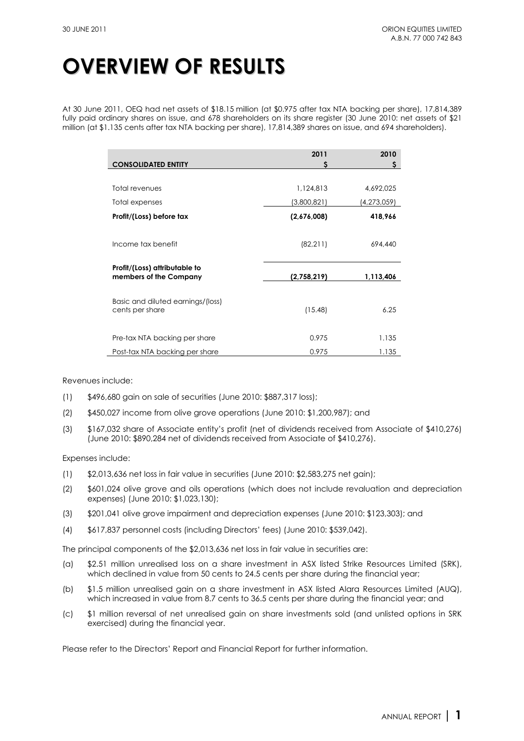# **OVERVIEW OF RESULTS**

At 30 June 2011, OEQ had net assets of \$18.15 million (at \$0.975 after tax NTA backing per share), 17,814,389 fully paid ordinary shares on issue, and 678 shareholders on its share register (30 June 2010: net assets of \$21 million (at \$1.135 cents after tax NTA backing per share), 17,814,389 shares on issue, and 694 shareholders).

|                                                         | 2011        | 2010        |
|---------------------------------------------------------|-------------|-------------|
| <b>CONSOLIDATED ENTITY</b>                              | S           | \$          |
|                                                         |             |             |
| Total revenues                                          | 1,124,813   | 4,692,025   |
| Total expenses                                          | (3,800,821) | (4,273,059) |
| Profit/(Loss) before tax                                | (2,676,008) | 418,966     |
| Income tax benefit                                      | (82,211)    | 694,440     |
| Profit/(Loss) attributable to<br>members of the Company | (2,758,219) | 1,113,406   |
| Basic and diluted earnings/(loss)<br>cents per share    | (15.48)     | 6.25        |
| Pre-tax NTA backing per share                           | 0.975       | 1.135       |
| Post-tax NTA backing per share                          | 0.975       | 1.135       |

Revenues include:

- (1) \$496,680 gain on sale of securities (June 2010: \$887,317 loss);
- (2) \$450,027 income from olive grove operations (June 2010: \$1,200,987); and
- (3) \$167,032 share of Associate entity's profit (net of dividends received from Associate of \$410,276) (June 2010: \$890,284 net of dividends received from Associate of \$410,276).

Expenses include:

- (1) \$2,013,636 net loss in fair value in securities (June 2010: \$2,583,275 net gain);
- (2) \$601,024 olive grove and oils operations (which does not include revaluation and depreciation expenses) (June 2010: \$1,023,130);
- (3) \$201,041 olive grove impairment and depreciation expenses (June 2010: \$123,303); and
- (4) \$617,837 personnel costs (including Directors' fees) (June 2010: \$539,042).

The principal components of the \$2,013,636 net loss in fair value in securities are:

- (a) \$2.51 million unrealised loss on a share investment in ASX listed Strike Resources Limited (SRK), which declined in value from 50 cents to 24.5 cents per share during the financial year;
- (b) \$1.5 million unrealised gain on a share investment in ASX listed Alara Resources Limited (AUQ), which increased in value from 8.7 cents to 36.5 cents per share during the financial year; and
- (c) \$1 million reversal of net unrealised gain on share investments sold (and unlisted options in SRK exercised) during the financial year.

Please refer to the Directors' Report and Financial Report for further information.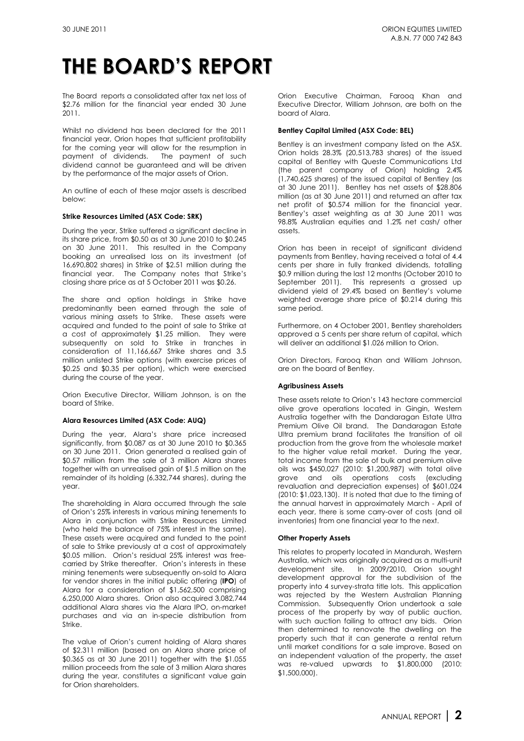# **THE BOARD'S REPORT**

The Board reports a consolidated after tax net loss of \$2.76 million for the financial year ended 30 June 2011.

Whilst no dividend has been declared for the 2011 financial year, Orion hopes that sufficient profitability for the coming year will allow for the resumption in payment of dividends. The payment of such dividend cannot be guaranteed and will be driven by the performance of the major assets of Orion.

An outline of each of these major assets is described below:

### **Strike Resources Limited (ASX Code: SRK)**

During the year, Strike suffered a significant decline in its share price, from \$0.50 as at 30 June 2010 to \$0.245 on 30 June 2011. This resulted in the Company booking an unrealised loss on its investment (of 16,690,802 shares) in Strike of \$2.51 million during the financial year. The Company notes that Strike's closing share price as at 5 October 2011 was \$0.26.

The share and option holdings in Strike have predominantly been earned through the sale of various mining assets to Strike. These assets were acquired and funded to the point of sale to Strike at a cost of approximately \$1.25 million. They were subsequently on sold to Strike in tranches in consideration of 11,166,667 Strike shares and 3.5 million unlisted Strike options (with exercise prices of \$0.25 and \$0.35 per option), which were exercised during the course of the year.

Orion Executive Director, William Johnson, is on the board of Strike.

### **Alara Resources Limited (ASX Code: AUQ)**

During the year, Alara's share price increased significantly, from \$0.087 as at 30 June 2010 to \$0.365 on 30 June 2011. Orion generated a realised gain of \$0.57 million from the sale of 3 million Alara shares together with an unrealised gain of \$1.5 million on the remainder of its holding (6,332,744 shares), during the year.

The shareholding in Alara occurred through the sale of Orion's 25% interests in various mining tenements to Alara in conjunction with Strike Resources Limited (who held the balance of 75% interest in the same). These assets were acquired and funded to the point of sale to Strike previously at a cost of approximately \$0.05 million. Orion's residual 25% interest was freecarried by Strike thereafter. Orion's interests in these mining tenements were subsequently on-sold to Alara for vendor shares in the initial public offering (**IPO**) of Alara for a consideration of \$1,562,500 comprising 6,250,000 Alara shares. Orion also acquired 3,082,744 additional Alara shares via the Alara IPO, on-market purchases and via an in-specie distribution from Strike.

The value of Orion's current holding of Alara shares of \$2.311 million (based on an Alara share price of \$0.365 as at 30 June 2011) together with the \$1.055 million proceeds from the sale of 3 million Alara shares during the year, constitutes a significant value gain for Orion shareholders.

Orion Executive Chairman, Farooq Khan and Executive Director, William Johnson, are both on the board of Alara.

### **Bentley Capital Limited (ASX Code: BEL)**

Bentley is an investment company listed on the ASX. Orion holds 28.3% (20,513,783 shares) of the issued capital of Bentley with Queste Communications Ltd (the parent company of Orion) holding 2.4% (1,740,625 shares) of the issued capital of Bentley (as at 30 June 2011). Bentley has net assets of \$28.806 million (as at 30 June 2011) and returned an after tax net profit of \$0.574 million for the financial year. Bentley's asset weighting as at 30 June 2011 was 98.8% Australian equities and 1.2% net cash/ other assets.

Orion has been in receipt of significant dividend payments from Bentley, having received a total of 4.4 cents per share in fully franked dividends, totalling \$0.9 million during the last 12 months (October 2010 to September 2011). This represents a grossed up dividend yield of 29.4% based on Bentley's volume weighted average share price of \$0.214 during this same period.

Furthermore, on 4 October 2001, Bentley shareholders approved a 5 cents per share return of capital, which will deliver an additional \$1.026 million to Orion.

Orion Directors, Farooq Khan and William Johnson, are on the board of Bentley.

### **Agribusiness Assets**

These assets relate to Orion's 143 hectare commercial olive grove operations located in Gingin, Western Australia together with the Dandaragan Estate Ultra Premium Olive Oil brand. The Dandaragan Estate Ultra premium brand facilitates the transition of oil production from the grove from the wholesale market to the higher value retail market. During the year, total income from the sale of bulk and premium olive oils was \$450,027 (2010: \$1,200,987) with total olive grove and oils operations costs (excluding revaluation and depreciation expenses) of \$601,024 (2010: \$1,023,130). It is noted that due to the timing of the annual harvest in approximately March - April of each year, there is some carry-over of costs (and oil inventories) from one financial year to the next.

### **Other Property Assets**

This relates to property located in Mandurah, Western Australia, which was originally acquired as a multi-unit development site. In 2009/2010, Orion sought development approval for the subdivision of the property into 4 survey-strata title lots. This application was rejected by the Western Australian Planning Commission. Subsequently Orion undertook a sale process of the property by way of public auction, with such auction failing to attract any bids. Orion then determined to renovate the dwelling on the property such that it can generate a rental return until market conditions for a sale improve. Based on an independent valuation of the property, the asset was re-valued upwards to \$1,800,000 (2010: \$1,500,000).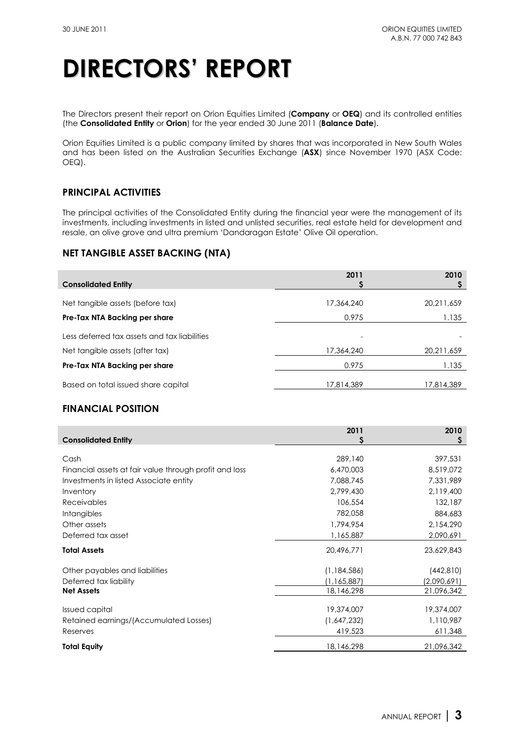The Directors present their report on Orion Equities Limited (**Company** or **OEQ**) and its controlled entities (the **Consolidated Entity** or **Orion**) for the year ended 30 June 2011 (**Balance Date**).

Orion Equities Limited is a public company limited by shares that was incorporated in New South Wales and has been listed on the Australian Securities Exchange (**ASX**) since November 1970 (ASX Code: OEQ).

### **PRINCIPAL ACTIVITIES**

The principal activities of the Consolidated Entity during the financial year were the management of its investments, including investments in listed and unlisted securities, real estate held for development and resale, an olive grove and ultra premium 'Dandaragan Estate' Olive Oil operation.

### **NET TANGIBLE ASSET BACKING (NTA)**

| <b>Consolidated Entity</b>                   | 2011       | 2010       |
|----------------------------------------------|------------|------------|
| Net tangible assets (before tax)             | 17,364,240 | 20,211,659 |
| Pre-Tax NTA Backing per share                | 0.975      | 1.135      |
| Less deferred tax assets and tax liabilities | -          |            |
| Net tangible assets (after tax)              | 17,364,240 | 20,211,659 |
| Pre-Tax NTA Backing per share                | 0.975      | 1.135      |
| Based on total issued share capital          | 17,814,389 | 17,814,389 |

### **FINANCIAL POSITION**

|                                                        | 2011          | 2010        |
|--------------------------------------------------------|---------------|-------------|
| <b>Consolidated Entity</b>                             |               | Ş           |
|                                                        |               |             |
| Cash                                                   | 289,140       | 397,531     |
| Financial assets at fair value through profit and loss | 6,470,003     | 8,519,072   |
| Investments in listed Associate entity                 | 7,088,745     | 7,331,989   |
| Inventory                                              | 2,799,430     | 2,119,400   |
| <b>Receivables</b>                                     | 106,554       | 132,187     |
| <b>Intangibles</b>                                     | 782,058       | 884,683     |
| Other assets                                           | 1,794,954     | 2,154,290   |
| Deferred tax asset                                     | 1,165,887     | 2,090,691   |
| <b>Total Assets</b>                                    | 20,496,771    | 23,629,843  |
| Other payables and liabilities                         | (1, 184, 586) | (442, 810)  |
| Deferred tax liability                                 | (1,165,887)   | (2,090,691) |
| <b>Net Assets</b>                                      | 18,146,298    | 21,096,342  |
|                                                        |               |             |
| <b>Issued capital</b>                                  | 19,374,007    | 19,374,007  |
| Retained earnings/(Accumulated Losses)                 | (1,647,232)   | 1,110,987   |
| Reserves                                               | 419,523       | 611,348     |
| <b>Total Equity</b>                                    | 18,146,298    | 21,096,342  |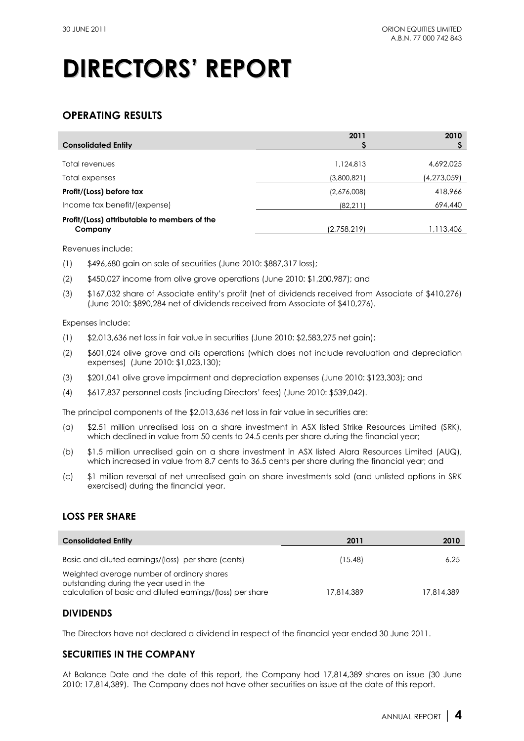### **OPERATING RESULTS**

| <b>Consolidated Entity</b>                   | 2011        | 2010        |
|----------------------------------------------|-------------|-------------|
|                                              |             |             |
| Total revenues                               | 1,124,813   | 4,692,025   |
| Total expenses                               | (3,800,821) | (4,273,059) |
| Profit/(Loss) before tax                     | (2,676,008) | 418,966     |
| Income tax benefit/(expense)                 | (82,211)    | 694,440     |
| Profit/(Loss) attributable to members of the |             |             |
| Company                                      | (2,758,219) | 1,113,406   |
|                                              |             |             |

Revenues include:

- (1) \$496,680 gain on sale of securities (June 2010: \$887,317 loss);
- (2) \$450,027 income from olive grove operations (June 2010: \$1,200,987); and
- (3) \$167,032 share of Associate entity's profit (net of dividends received from Associate of \$410,276) (June 2010: \$890,284 net of dividends received from Associate of \$410,276).

Expenses include:

- (1) \$2,013,636 net loss in fair value in securities (June 2010: \$2,583,275 net gain);
- (2) \$601,024 olive grove and oils operations (which does not include revaluation and depreciation expenses) (June 2010: \$1,023,130);
- (3) \$201,041 olive grove impairment and depreciation expenses (June 2010: \$123,303); and
- (4) \$617,837 personnel costs (including Directors' fees) (June 2010: \$539,042).

The principal components of the \$2,013,636 net loss in fair value in securities are:

- (a) \$2.51 million unrealised loss on a share investment in ASX listed Strike Resources Limited (SRK), which declined in value from 50 cents to 24.5 cents per share during the financial year;
- (b) \$1.5 million unrealised gain on a share investment in ASX listed Alara Resources Limited (AUQ), which increased in value from 8.7 cents to 36.5 cents per share during the financial year; and
- (c) \$1 million reversal of net unrealised gain on share investments sold (and unlisted options in SRK exercised) during the financial year.

### **LOSS PER SHARE**

| <b>Consolidated Entity</b>                                                                                                                          | 2011       | 2010       |
|-----------------------------------------------------------------------------------------------------------------------------------------------------|------------|------------|
| Basic and diluted earnings/(loss) per share (cents)                                                                                                 | (15.48)    | 6.25       |
| Weighted average number of ordinary shares<br>outstanding during the year used in the<br>calculation of basic and diluted earnings/(loss) per share | 17,814,389 | 17.814.389 |

### **DIVIDENDS**

The Directors have not declared a dividend in respect of the financial year ended 30 June 2011.

### **SECURITIES IN THE COMPANY**

At Balance Date and the date of this report, the Company had 17,814,389 shares on issue (30 June 2010: 17,814,389). The Company does not have other securities on issue at the date of this report.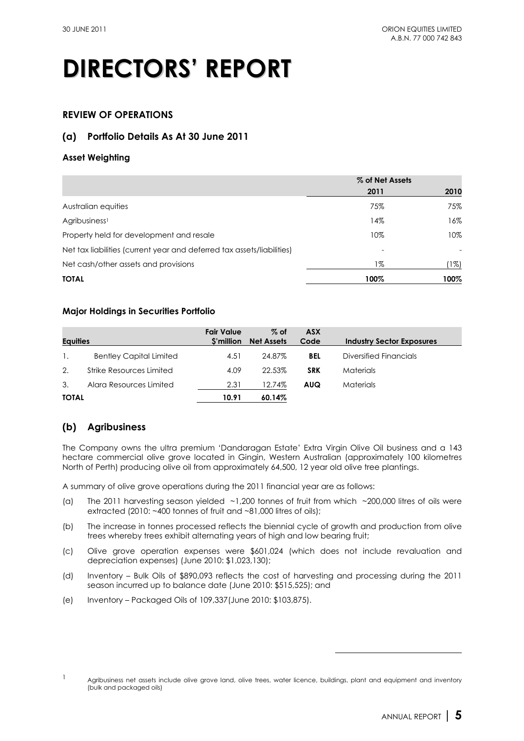### **REVIEW OF OPERATIONS**

### **(a) Portfolio Details As At 30 June 2011**

### **Asset Weighting**

|                                                                        | % of Net Assets |       |
|------------------------------------------------------------------------|-----------------|-------|
|                                                                        | 2011            | 2010  |
| Australian equities                                                    | 75%             | 75%   |
| Agribusiness <sup>1</sup>                                              | 14%             | 16%   |
| Property held for development and resale                               | 10%             | 10%   |
| Net tax liabilities (current year and deferred tax assets/liabilities) |                 |       |
| Net cash/other assets and provisions                                   | 1%              | $1\%$ |
| <b>TOTAL</b>                                                           | 100%            | 100%  |

### **Major Holdings in Securities Portfolio**

| Equities     |                                | <b>Fair Value</b><br>S'million | $\%$ of<br><b>Net Assets</b> | <b>ASX</b><br>Code | <b>Industry Sector Exposures</b> |
|--------------|--------------------------------|--------------------------------|------------------------------|--------------------|----------------------------------|
|              | <b>Bentley Capital Limited</b> | 4.51                           | 24.87%                       | <b>BEL</b>         | Diversified Financials           |
| 2.           | Strike Resources Limited       | 4.09                           | 22.53%                       | <b>SRK</b>         | <b>Materials</b>                 |
| 3.           | Alara Resources Limited        | 2.31                           | 12.74%                       | <b>AUQ</b>         | <b>Materials</b>                 |
| <b>TOTAL</b> |                                | 10.91                          | 60.14%                       |                    |                                  |

### **(b) Agribusiness**

The Company owns the ultra premium 'Dandaragan Estate' Extra Virgin Olive Oil business and a 143 hectare commercial olive grove located in Gingin, Western Australian (approximately 100 kilometres North of Perth) producing olive oil from approximately 64,500, 12 year old olive tree plantings.

A summary of olive grove operations during the 2011 financial year are as follows:

- (a) The 2011 harvesting season yielded ~1,200 tonnes of fruit from which ~200,000 litres of oils were extracted (2010: ~400 tonnes of fruit and ~81,000 litres of oils);
- (b) The increase in tonnes processed reflects the biennial cycle of growth and production from olive trees whereby trees exhibit alternating years of high and low bearing fruit;
- (c) Olive grove operation expenses were \$601,024 (which does not include revaluation and depreciation expenses) (June 2010: \$1,023,130);
- (d) Inventory Bulk Oils of \$890,093 reflects the cost of harvesting and processing during the 2011 season incurred up to balance date (June 2010: \$515,525); and
- (e) Inventory Packaged Oils of 109,337(June 2010: \$103,875).

 $\overline{a}$ 

<sup>1</sup> Agribusiness net assets include olive grove land, olive trees, water licence, buildings, plant and equipment and inventory (bulk and packaged oils)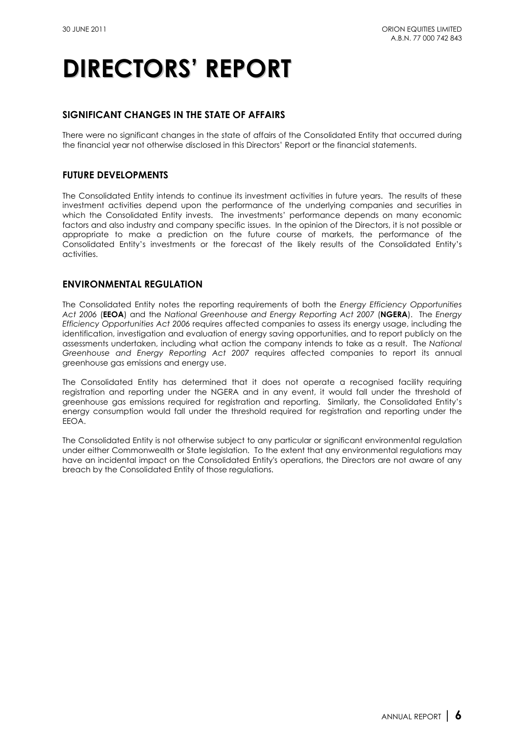### **SIGNIFICANT CHANGES IN THE STATE OF AFFAIRS**

There were no significant changes in the state of affairs of the Consolidated Entity that occurred during the financial year not otherwise disclosed in this Directors' Report or the financial statements.

### **FUTURE DEVELOPMENTS**

The Consolidated Entity intends to continue its investment activities in future years. The results of these investment activities depend upon the performance of the underlying companies and securities in which the Consolidated Entity invests. The investments' performance depends on many economic factors and also industry and company specific issues. In the opinion of the Directors, it is not possible or appropriate to make a prediction on the future course of markets, the performance of the Consolidated Entity's investments or the forecast of the likely results of the Consolidated Entity's activities.

### **ENVIRONMENTAL REGULATION**

The Consolidated Entity notes the reporting requirements of both the *Energy Efficiency Opportunities Act 2006* (**EEOA**) and the *National Greenhouse and Energy Reporting Act 2007* (**NGERA**).The *Energy Efficiency Opportunities Act 2006* requires affected companies to assess its energy usage, including the identification, investigation and evaluation of energy saving opportunities, and to report publicly on the assessments undertaken, including what action the company intends to take as a result. The *National Greenhouse and Energy Reporting Act 2007* requires affected companies to report its annual greenhouse gas emissions and energy use.

The Consolidated Entity has determined that it does not operate a recognised facility requiring registration and reporting under the NGERA and in any event, it would fall under the threshold of greenhouse gas emissions required for registration and reporting. Similarly, the Consolidated Entity's energy consumption would fall under the threshold required for registration and reporting under the EEOA.

The Consolidated Entity is not otherwise subject to any particular or significant environmental regulation under either Commonwealth or State legislation. To the extent that any environmental regulations may have an incidental impact on the Consolidated Entity's operations, the Directors are not aware of any breach by the Consolidated Entity of those regulations.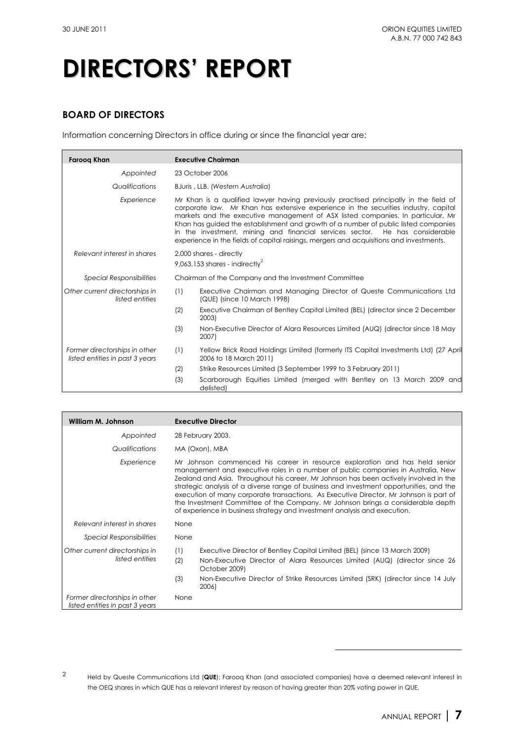### **BOARD OF DIRECTORS**

Information concerning Directors in office during or since the financial year are:

| <b>Faroog Khan</b>                                               |     | <b>Executive Chairman</b>                                                                                                                                                                                                                                                                                                                                                                                                                                                                                                         |
|------------------------------------------------------------------|-----|-----------------------------------------------------------------------------------------------------------------------------------------------------------------------------------------------------------------------------------------------------------------------------------------------------------------------------------------------------------------------------------------------------------------------------------------------------------------------------------------------------------------------------------|
| Appointed                                                        |     | 23 October 2006                                                                                                                                                                                                                                                                                                                                                                                                                                                                                                                   |
| Qualifications                                                   |     | BJuris, LLB. (Western Australia)                                                                                                                                                                                                                                                                                                                                                                                                                                                                                                  |
| Experience                                                       |     | Mr Khan is a qualified lawyer having previously practised principally in the field of<br>corporate law. Mr Khan has extensive experience in the securities industry, capital<br>markets and the executive management of ASX listed companies. In particular, Mr<br>Khan has guided the establishment and growth of a number of public listed companies<br>in the investment, mining and financial services sector. He has considerable<br>experience in the fields of capital raisings, mergers and acquisitions and investments. |
| Relevant interest in shares                                      |     | 2,000 shares - directly<br>9,063,153 shares - indirectly $^{2}$                                                                                                                                                                                                                                                                                                                                                                                                                                                                   |
| <b>Special Responsibilities</b>                                  |     | Chairman of the Company and the Investment Committee                                                                                                                                                                                                                                                                                                                                                                                                                                                                              |
| Other current directorships in<br>listed entities                | (1) | Executive Chairman and Managing Director of Queste Communications Ltd<br>(QUE) (since 10 March 1998)                                                                                                                                                                                                                                                                                                                                                                                                                              |
|                                                                  | (2) | Executive Chairman of Bentley Capital Limited (BEL) (director since 2 December<br>2003)                                                                                                                                                                                                                                                                                                                                                                                                                                           |
|                                                                  | (3) | Non-Executive Director of Alara Resources Limited (AUQ) (director since 18 May<br>2007)                                                                                                                                                                                                                                                                                                                                                                                                                                           |
| Former directorships in other<br>listed entities in past 3 years | (1) | Yellow Brick Road Holdings Limited (formerly ITS Capital Investments Ltd) (27 April<br>2006 to 18 March 2011)                                                                                                                                                                                                                                                                                                                                                                                                                     |
|                                                                  | (2) | Strike Resources Limited (3 September 1999 to 3 February 2011)                                                                                                                                                                                                                                                                                                                                                                                                                                                                    |
|                                                                  | (3) | Scarborough Equities Limited (merged with Bentley on 13 March 2009 and<br>delisted)                                                                                                                                                                                                                                                                                                                                                                                                                                               |

| William M. Johnson                                               | <b>Executive Director</b>                                                                                                                                                                                                                                                                                                                                                                                                                                                                                                                                                                                     |
|------------------------------------------------------------------|---------------------------------------------------------------------------------------------------------------------------------------------------------------------------------------------------------------------------------------------------------------------------------------------------------------------------------------------------------------------------------------------------------------------------------------------------------------------------------------------------------------------------------------------------------------------------------------------------------------|
| Appointed                                                        | 28 February 2003.                                                                                                                                                                                                                                                                                                                                                                                                                                                                                                                                                                                             |
| Qualifications                                                   | MA (Oxon), MBA                                                                                                                                                                                                                                                                                                                                                                                                                                                                                                                                                                                                |
| Experience                                                       | Mr Johnson commenced his career in resource exploration and has held senior<br>management and executive roles in a number of public companies in Australia, New<br>Zealand and Asia. Throughout his career, Mr Johnson has been actively involved in the<br>strategic analysis of a diverse range of business and investment opportunities, and the<br>execution of many corporate transactions. As Executive Director, Mr Johnson is part of<br>the Investment Committee of the Company. Mr Johnson brings a considerable depth<br>of experience in business strategy and investment analysis and execution. |
| Relevant interest in shares                                      | None                                                                                                                                                                                                                                                                                                                                                                                                                                                                                                                                                                                                          |
| Special Responsibilities                                         | None                                                                                                                                                                                                                                                                                                                                                                                                                                                                                                                                                                                                          |
| Other current directorships in<br>listed entities                | (1)<br>Executive Director of Bentley Capital Limited (BEL) (since 13 March 2009)<br>(2)<br>Non-Executive Director of Alara Resources Limited (AUQ) (director since 26<br>October 2009)                                                                                                                                                                                                                                                                                                                                                                                                                        |
|                                                                  | (3)<br>Non-Executive Director of Strike Resources Limited (SRK) (director since 14 July<br>2006)                                                                                                                                                                                                                                                                                                                                                                                                                                                                                                              |
| Former directorships in other<br>listed entities in past 3 years | None                                                                                                                                                                                                                                                                                                                                                                                                                                                                                                                                                                                                          |

 $\overline{a}$ 

<sup>2</sup> Held by Queste Communications Ltd (**QUE**); Farooq Khan (and associated companies) have a deemed relevant interest in the OEQ shares in which QUE has a relevant interest by reason of having greater than 20% voting power in QUE.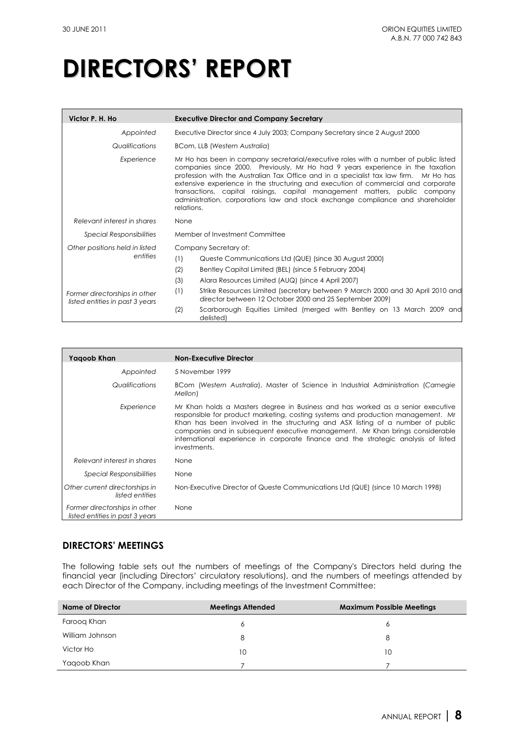| Victor P. H. Ho                                                  | <b>Executive Director and Company Secretary</b>                                                                                                                                                                                                                                                                                                                                                                                                                                                                                    |  |  |
|------------------------------------------------------------------|------------------------------------------------------------------------------------------------------------------------------------------------------------------------------------------------------------------------------------------------------------------------------------------------------------------------------------------------------------------------------------------------------------------------------------------------------------------------------------------------------------------------------------|--|--|
| Appointed                                                        | Executive Director since 4 July 2003; Company Secretary since 2 August 2000                                                                                                                                                                                                                                                                                                                                                                                                                                                        |  |  |
| Qualifications                                                   | BCom, LLB (Western Australia)                                                                                                                                                                                                                                                                                                                                                                                                                                                                                                      |  |  |
| Experience                                                       | Mr Ho has been in company secretarial/executive roles with a number of public listed<br>companies since 2000. Previously, Mr Ho had 9 years experience in the taxation<br>profession with the Australian Tax Office and in a specialist tax law firm. Mr Ho has<br>extensive experience in the structuring and execution of commercial and corporate<br>transactions, capital raisings, capital management matters, public company<br>administration, corporations law and stock exchange compliance and shareholder<br>relations. |  |  |
| Relevant interest in shares                                      | None                                                                                                                                                                                                                                                                                                                                                                                                                                                                                                                               |  |  |
| <b>Special Responsibilities</b>                                  | Member of Investment Committee                                                                                                                                                                                                                                                                                                                                                                                                                                                                                                     |  |  |
| Other positions held in listed                                   | Company Secretary of:                                                                                                                                                                                                                                                                                                                                                                                                                                                                                                              |  |  |
| entities                                                         | (1)<br>Queste Communications Ltd (QUE) (since 30 August 2000)                                                                                                                                                                                                                                                                                                                                                                                                                                                                      |  |  |
|                                                                  | (2)<br>Bentley Capital Limited (BEL) (since 5 February 2004)                                                                                                                                                                                                                                                                                                                                                                                                                                                                       |  |  |
|                                                                  | (3)<br>Alara Resources Limited (AUQ) (since 4 April 2007)                                                                                                                                                                                                                                                                                                                                                                                                                                                                          |  |  |
| Former directorships in other<br>listed entities in past 3 years | Strike Resources Limited (secretary between 9 March 2000 and 30 April 2010 and<br>(1)<br>director between 12 October 2000 and 25 September 2009)                                                                                                                                                                                                                                                                                                                                                                                   |  |  |
|                                                                  | (2)<br>Scarborough Equities Limited (merged with Bentley on 13 March 2009 and<br>delisted)                                                                                                                                                                                                                                                                                                                                                                                                                                         |  |  |

| Yagoob Khan                                                      | <b>Non-Executive Director</b>                                                                                                                                                                                                                                                                                                                                                                                                                 |
|------------------------------------------------------------------|-----------------------------------------------------------------------------------------------------------------------------------------------------------------------------------------------------------------------------------------------------------------------------------------------------------------------------------------------------------------------------------------------------------------------------------------------|
| Appointed                                                        | 5 November 1999                                                                                                                                                                                                                                                                                                                                                                                                                               |
| Qualifications                                                   | BCom (Western Australia), Master of Science in Industrial Administration (Carnegie<br>Mellon)                                                                                                                                                                                                                                                                                                                                                 |
| Experience                                                       | Mr Khan holds a Masters degree in Business and has worked as a senior executive<br>responsible for product marketing, costing systems and production management. Mr<br>Khan has been involved in the structuring and ASX listing of a number of public<br>companies and in subsequent executive management. Mr Khan brings considerable<br>international experience in corporate finance and the strategic analysis of listed<br>investments. |
| Relevant interest in shares                                      | None                                                                                                                                                                                                                                                                                                                                                                                                                                          |
| <b>Special Responsibilities</b>                                  | None                                                                                                                                                                                                                                                                                                                                                                                                                                          |
| Other current directorships in<br>listed entities                | Non-Executive Director of Queste Communications Ltd (QUE) (since 10 March 1998)                                                                                                                                                                                                                                                                                                                                                               |
| Former directorships in other<br>listed entities in past 3 years | None                                                                                                                                                                                                                                                                                                                                                                                                                                          |

### **DIRECTORS' MEETINGS**

The following table sets out the numbers of meetings of the Company's Directors held during the financial year (including Directors' circulatory resolutions), and the numbers of meetings attended by each Director of the Company, including meetings of the Investment Committee:

| Name of Director | <b>Meetings Attended</b> | <b>Maximum Possible Meetings</b> |
|------------------|--------------------------|----------------------------------|
| Faroog Khan      | 6                        | Ô                                |
| William Johnson  | 8                        | 8                                |
| Victor Ho        | 10                       | 10                               |
| Yaqoob Khan      |                          |                                  |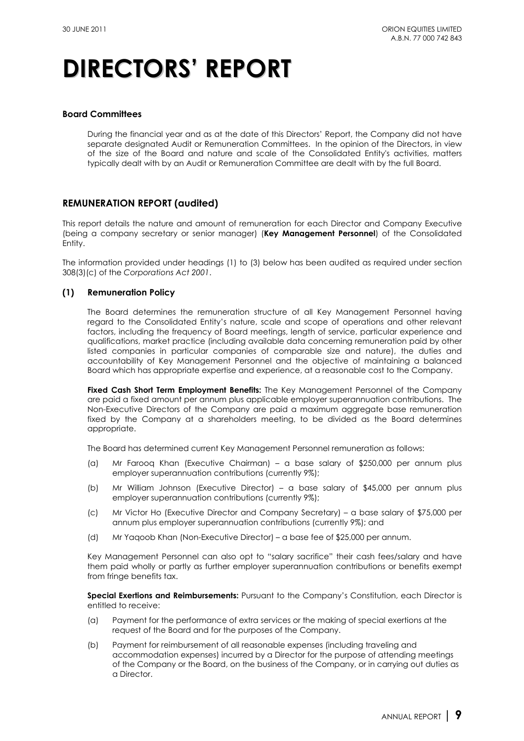### **Board Committees**

During the financial year and as at the date of this Directors' Report, the Company did not have separate designated Audit or Remuneration Committees. In the opinion of the Directors, in view of the size of the Board and nature and scale of the Consolidated Entity's activities, matters typically dealt with by an Audit or Remuneration Committee are dealt with by the full Board.

### **REMUNERATION REPORT (audited)**

This report details the nature and amount of remuneration for each Director and Company Executive (being a company secretary or senior manager) (**Key Management Personnel**) of the Consolidated Entity.

The information provided under headings (1) to (3) below has been audited as required under section 308(3)(c) of the *Corporations Act 2001*.

### **(1) Remuneration Policy**

The Board determines the remuneration structure of all Key Management Personnel having regard to the Consolidated Entity's nature, scale and scope of operations and other relevant factors, including the frequency of Board meetings, length of service, particular experience and qualifications, market practice (including available data concerning remuneration paid by other listed companies in particular companies of comparable size and nature), the duties and accountability of Key Management Personnel and the objective of maintaining a balanced Board which has appropriate expertise and experience, at a reasonable cost to the Company.

**Fixed Cash Short Term Employment Benefits:** The Key Management Personnel of the Company are paid a fixed amount per annum plus applicable employer superannuation contributions. The Non-Executive Directors of the Company are paid a maximum aggregate base remuneration fixed by the Company at a shareholders meeting, to be divided as the Board determines appropriate.

The Board has determined current Key Management Personnel remuneration as follows:

- (a) Mr Farooq Khan (Executive Chairman) a base salary of \$250,000 per annum plus employer superannuation contributions (currently 9%);
- (b) Mr William Johnson (Executive Director) a base salary of \$45,000 per annum plus employer superannuation contributions (currently 9%);
- (c) Mr Victor Ho (Executive Director and Company Secretary) a base salary of \$75,000 per annum plus employer superannuation contributions (currently 9%); and
- (d) Mr Yaqoob Khan (Non-Executive Director) a base fee of \$25,000 per annum.

Key Management Personnel can also opt to "salary sacrifice" their cash fees/salary and have them paid wholly or partly as further employer superannuation contributions or benefits exempt from fringe benefits tax.

**Special Exertions and Reimbursements:** Pursuant to the Company's Constitution, each Director is entitled to receive:

- (a) Payment for the performance of extra services or the making of special exertions at the request of the Board and for the purposes of the Company.
- (b) Payment for reimbursement of all reasonable expenses (including traveling and accommodation expenses) incurred by a Director for the purpose of attending meetings of the Company or the Board, on the business of the Company, or in carrying out duties as a Director.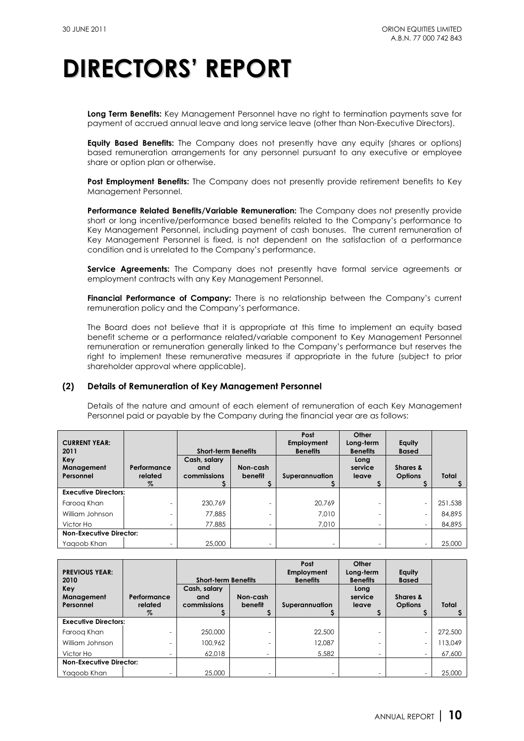**Long Term Benefits:** Key Management Personnel have no right to termination payments save for payment of accrued annual leave and long service leave (other than Non-Executive Directors).

**Equity Based Benefits:** The Company does not presently have any equity (shares or options) based remuneration arrangements for any personnel pursuant to any executive or employee share or option plan or otherwise.

**Post Employment Benefits:** The Company does not presently provide retirement benefits to Key Management Personnel.

**Performance Related Benefits/Variable Remuneration:** The Company does not presently provide short or long incentive/performance based benefits related to the Company's performance to Key Management Personnel, including payment of cash bonuses. The current remuneration of Key Management Personnel is fixed, is not dependent on the satisfaction of a performance condition and is unrelated to the Company's performance.

**Service Agreements:** The Company does not presently have formal service agreements or employment contracts with any Key Management Personnel.

**Financial Performance of Company:** There is no relationship between the Company's current remuneration policy and the Company's performance.

The Board does not believe that it is appropriate at this time to implement an equity based benefit scheme or a performance related/variable component to Key Management Personnel remuneration or remuneration generally linked to the Company's performance but reserves the right to implement these remunerative measures if appropriate in the future (subject to prior shareholder approval where applicable).

### **(2) Details of Remuneration of Key Management Personnel**

Details of the nature and amount of each element of remuneration of each Key Management Personnel paid or payable by the Company during the financial year are as follows:

| <b>CURRENT YEAR:</b><br>2011   |                        | <b>Short-term Benefits</b> |                     | Post<br>Employment<br><b>Benefits</b> | Other<br>Long-term<br><b>Benefits</b> | Equity<br><b>Based</b>     |         |
|--------------------------------|------------------------|----------------------------|---------------------|---------------------------------------|---------------------------------------|----------------------------|---------|
| Key                            |                        | Cash, salary               |                     |                                       | Long                                  |                            |         |
| Management<br>Personnel        | Performance<br>related | and<br>commissions         | Non-cash<br>benefit | Superannuation                        | service<br>leave                      | Shares &<br><b>Options</b> | Total   |
|                                | %                      |                            |                     |                                       |                                       |                            |         |
| <b>Executive Directors:</b>    |                        |                            |                     |                                       |                                       |                            |         |
| Faroog Khan                    |                        | 230.769                    |                     | 20.769                                |                                       |                            | 251,538 |
| William Johnson                |                        | 77.885                     |                     | 7.010                                 |                                       |                            | 84,895  |
| Victor Ho                      | -                      | 77,885                     |                     | 7,010                                 |                                       |                            | 84,895  |
| <b>Non-Executive Director:</b> |                        |                            |                     |                                       |                                       |                            |         |
| Yaaoob Khan                    | -                      | 25,000                     |                     | -                                     |                                       |                            | 25,000  |

| <b>PREVIOUS YEAR:</b><br>2010  |                          | <b>Short-term Benefits</b>         |                          | Post<br>Employment<br><b>Benefits</b> | Other<br>Long-term<br><b>Benefits</b> | Equity<br><b>Based</b>     |         |
|--------------------------------|--------------------------|------------------------------------|--------------------------|---------------------------------------|---------------------------------------|----------------------------|---------|
| Key<br>Management<br>Personnel | Performance<br>related   | Cash, salary<br>and<br>commissions | Non-cash<br>benefit      | Superannuation                        | Long<br>service<br>leave              | Shares &<br><b>Options</b> | Total   |
|                                | %                        |                                    |                          |                                       |                                       |                            |         |
| <b>Executive Directors:</b>    |                          |                                    |                          |                                       |                                       |                            |         |
| Faroog Khan                    |                          | 250,000                            |                          | 22,500                                |                                       |                            | 272,500 |
| William Johnson                | $\overline{\phantom{0}}$ | 100.962                            |                          | 12,087                                |                                       | ۰                          | 113,049 |
| Victor Ho                      | $\overline{\phantom{0}}$ | 62.018                             | $\overline{\phantom{a}}$ | 5,582                                 |                                       | ٠                          | 67,600  |
| <b>Non-Executive Director:</b> |                          |                                    |                          |                                       |                                       |                            |         |
| Yagoob Khan                    |                          | 25,000                             |                          |                                       |                                       |                            | 25,000  |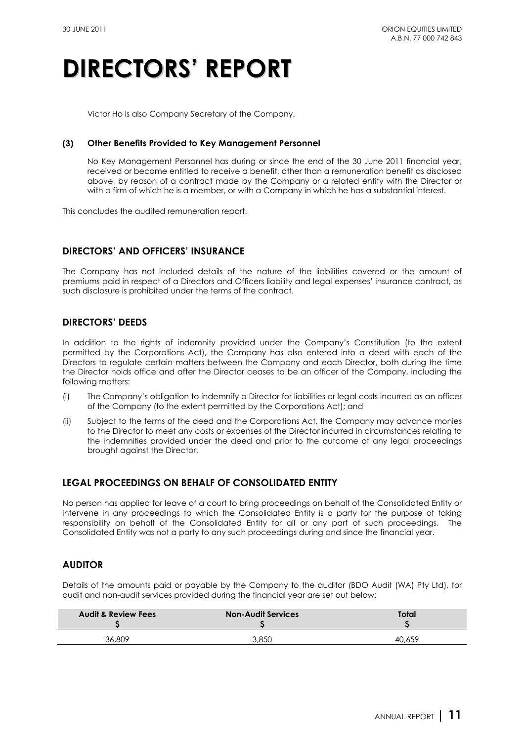Victor Ho is also Company Secretary of the Company.

### **(3) Other Benefits Provided to Key Management Personnel**

No Key Management Personnel has during or since the end of the 30 June 2011 financial year, received or become entitled to receive a benefit, other than a remuneration benefit as disclosed above, by reason of a contract made by the Company or a related entity with the Director or with a firm of which he is a member, or with a Company in which he has a substantial interest.

This concludes the audited remuneration report.

### **DIRECTORS' AND OFFICERS' INSURANCE**

The Company has not included details of the nature of the liabilities covered or the amount of premiums paid in respect of a Directors and Officers liability and legal expenses' insurance contract, as such disclosure is prohibited under the terms of the contract.

### **DIRECTORS' DEEDS**

In addition to the rights of indemnity provided under the Company's Constitution (to the extent permitted by the Corporations Act), the Company has also entered into a deed with each of the Directors to regulate certain matters between the Company and each Director, both during the time the Director holds office and after the Director ceases to be an officer of the Company, including the following matters:

- (i) The Company's obligation to indemnify a Director for liabilities or legal costs incurred as an officer of the Company (to the extent permitted by the Corporations Act); and
- (ii) Subject to the terms of the deed and the Corporations Act, the Company may advance monies to the Director to meet any costs or expenses of the Director incurred in circumstances relating to the indemnities provided under the deed and prior to the outcome of any legal proceedings brought against the Director.

### **LEGAL PROCEEDINGS ON BEHALF OF CONSOLIDATED ENTITY**

No person has applied for leave of a court to bring proceedings on behalf of the Consolidated Entity or intervene in any proceedings to which the Consolidated Entity is a party for the purpose of taking responsibility on behalf of the Consolidated Entity for all or any part of such proceedings. The Consolidated Entity was not a party to any such proceedings during and since the financial year.

### **AUDITOR**

Details of the amounts paid or payable by the Company to the auditor (BDO Audit (WA) Pty Ltd), for audit and non-audit services provided during the financial year are set out below:

| <b>Audit &amp; Review Fees</b> | <b>Non-Audit Services</b> | Total  |
|--------------------------------|---------------------------|--------|
| 36,809                         | 3,850                     | 40,659 |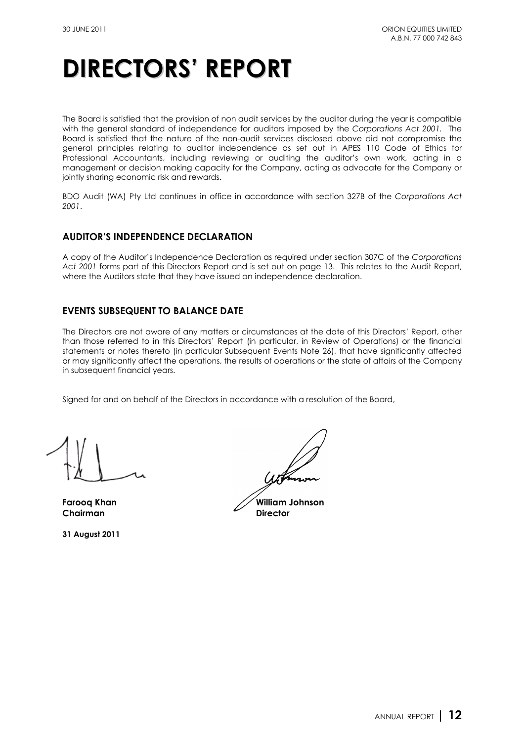The Board is satisfied that the provision of non audit services by the auditor during the year is compatible with the general standard of independence for auditors imposed by the *Corporations Act 2001.* The Board is satisfied that the nature of the non-audit services disclosed above did not compromise the general principles relating to auditor independence as set out in APES 110 Code of Ethics for Professional Accountants, including reviewing or auditing the auditor's own work, acting in a management or decision making capacity for the Company, acting as advocate for the Company or jointly sharing economic risk and rewards.

BDO Audit (WA) Pty Ltd continues in office in accordance with section 327B of the *Corporations Act 2001*.

### **AUDITOR'S INDEPENDENCE DECLARATION**

A copy of the Auditor's Independence Declaration as required under section 307C of the *Corporations Act 2001* forms part of this Directors Report and is set out on page 13. This relates to the Audit Report, where the Auditors state that they have issued an independence declaration.

### **EVENTS SUBSEQUENT TO BALANCE DATE**

The Directors are not aware of any matters or circumstances at the date of this Directors' Report, other than those referred to in this Directors' Report (in particular, in Review of Operations) or the financial statements or notes thereto (in particular Subsequent Events Note 26), that have significantly affected or may significantly affect the operations, the results of operations or the state of affairs of the Company in subsequent financial years.

Signed for and on behalf of the Directors in accordance with a resolution of the Board,

**31 August 2011** 

**Farooq Khan William Johnson Chairman** Director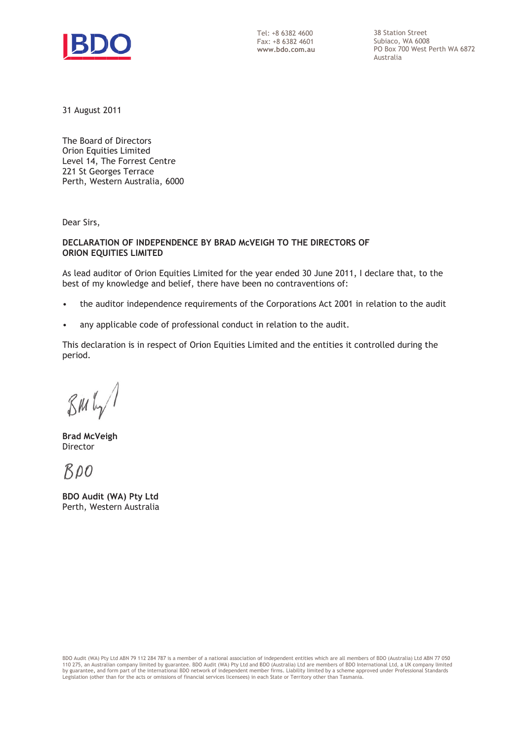

Tel: +8 6382 4600 Fax: +8 6382 4601 **w www w.bd do.co om.a au** 38 Station Street 38 Station Street<br>Subiaco, WA 6008 PO Box 700 West Perth WA 6872 Australia erth WA 6<br>dit<br>e

31 August 2011

The Board of Directors Orion Equities Limited Level 14, The Forrest Centre 221 St Georges Terrace 221 St Georges Terrace<br>Perth, Western Australia, 6000

Dear Sirs,

### DECLARATION OF INDEPENDENCE BY BRAD McVEIGH TO THE DIRECTORS OF **ORION EQUITIES LIMITED**

As lead auditor of Orion Equities Limited for the year ended 30 June 2011, I declare that, to the best of my knowledge and belief, there have been no contraventions of:

- the auditor independence requirements of the Corporations Act 2001 in relation to the audit
- any applicable code of professional conduct in relation to the audit.

This declaration is in respect of Orion Equities Limited and the entities it controlled during the period.

 $\mathcal{B}$ M $\mathfrak{l}_{\gamma}$ /

**Br rad Mc cVei igh Director** 

 $BDO$ 

**BDO** Audit (WA) Pty Ltd Perth, Western Australia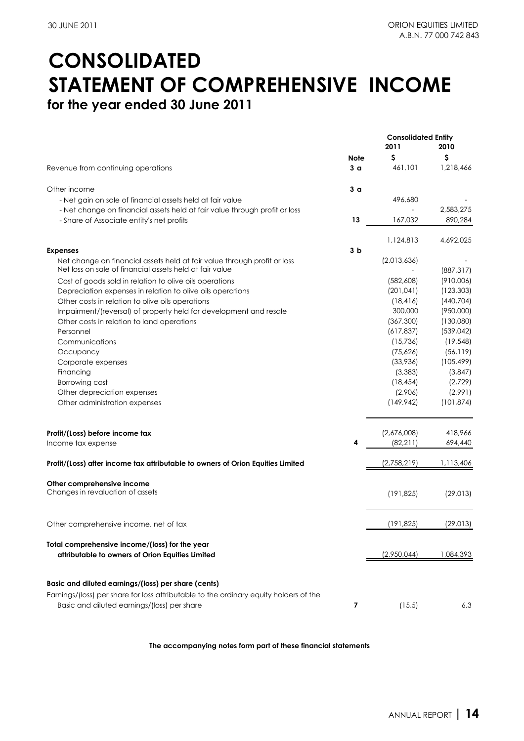# **CONSOLIDATED STATEMENT OF COMPREHENSIVE INCOME for the year ended 30 June 2011**

|                                                                                                                                     | <b>Consolidated Entity</b> |             |            |
|-------------------------------------------------------------------------------------------------------------------------------------|----------------------------|-------------|------------|
|                                                                                                                                     |                            | 2011        | 2010       |
|                                                                                                                                     | <b>Note</b>                | \$          | \$         |
| Revenue from continuing operations                                                                                                  | 3 <sub>a</sub>             | 461,101     | 1,218,466  |
| Other income                                                                                                                        | 3 a                        |             |            |
| - Net gain on sale of financial assets held at fair value                                                                           |                            | 496,680     |            |
| - Net change on financial assets held at fair value through profit or loss                                                          |                            |             | 2,583,275  |
| - Share of Associate entity's net profits                                                                                           | 13                         | 167,032     | 890,284    |
|                                                                                                                                     |                            | 1,124,813   | 4,692,025  |
| <b>Expenses</b>                                                                                                                     | 3 <sub>b</sub>             |             |            |
| Net change on financial assets held at fair value through profit or loss<br>Net loss on sale of financial assets held at fair value |                            | (2,013,636) | (887, 317) |
| Cost of goods sold in relation to olive oils operations                                                                             |                            | (582,608)   | (910,006)  |
| Depreciation expenses in relation to olive oils operations                                                                          |                            | (201, 041)  | (123, 303) |
| Other costs in relation to olive oils operations                                                                                    |                            | (18, 416)   | (440,704)  |
| Impairment/(reversal) of property held for development and resale                                                                   |                            | 300,000     | (950,000)  |
| Other costs in relation to land operations                                                                                          |                            | (367, 300)  | (130,080)  |
| Personnel                                                                                                                           |                            | (617, 837)  | (539, 042) |
| Communications                                                                                                                      |                            | (15,736)    | (19, 548)  |
| Occupancy                                                                                                                           |                            | (75,626)    | (56, 119)  |
| Corporate expenses                                                                                                                  |                            | (33,936)    | (105, 499) |
| Financing                                                                                                                           |                            | (3,383)     | (3,847)    |
| Borrowing cost                                                                                                                      |                            | (18, 454)   | (2,729)    |
| Other depreciation expenses                                                                                                         |                            | (2,906)     | (2,991)    |
| Other administration expenses                                                                                                       |                            | (149, 942)  | (101, 874) |
|                                                                                                                                     |                            |             |            |
| Profit/(Loss) before income tax                                                                                                     |                            | (2,676,008) | 418,966    |
| Income tax expense                                                                                                                  | 4                          | (82, 211)   | 694,440    |
| Profit/(Loss) after income tax attributable to owners of Orion Equities Limited                                                     |                            | (2,758,219) | 1,113,406  |
| Other comprehensive income                                                                                                          |                            |             |            |
| Changes in revaluation of assets                                                                                                    |                            | (191, 825)  | (29, 013)  |
| Other comprehensive income, net of tax                                                                                              |                            | (191, 825)  | (29, 013)  |
|                                                                                                                                     |                            |             |            |
| Total comprehensive income/(loss) for the year                                                                                      |                            |             |            |
| attributable to owners of Orion Equities Limited                                                                                    |                            | (2,950,044) | 1,084,393  |
| Basic and diluted earnings/(loss) per share (cents)                                                                                 |                            |             |            |
| Earnings/(loss) per share for loss attributable to the ordinary equity holders of the                                               |                            |             |            |
| Basic and diluted earnings/(loss) per share                                                                                         | 7                          | (15.5)      | 6.3        |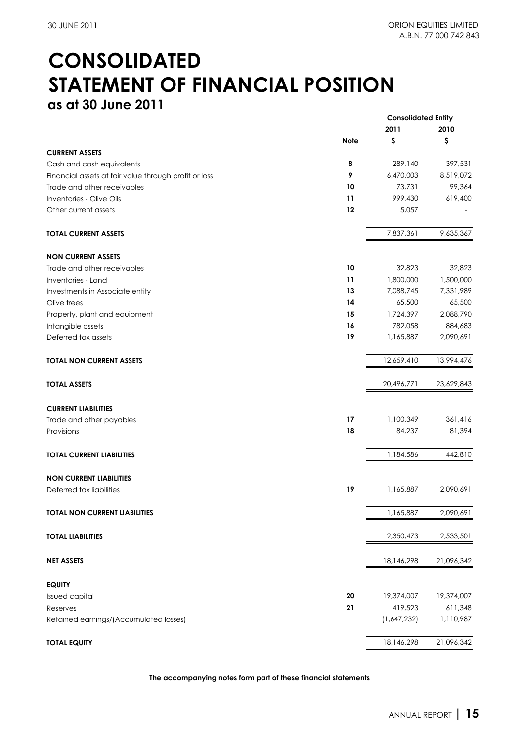# **CONSOLIDATED STATEMENT OF FINANCIAL POSITION as at 30 June 2011**

|                                                       |             | <b>Consolidated Entity</b> |            |  |
|-------------------------------------------------------|-------------|----------------------------|------------|--|
|                                                       |             | 2010                       |            |  |
|                                                       | <b>Note</b> | \$                         | \$         |  |
| <b>CURRENT ASSETS</b>                                 |             |                            |            |  |
| Cash and cash equivalents                             | 8           | 289,140                    | 397,531    |  |
| Financial assets at fair value through profit or loss | 9           | 6,470,003                  | 8,519,072  |  |
| Trade and other receivables                           | 10          | 73,731                     | 99,364     |  |
| Inventories - Olive Oils                              | 11          | 999,430                    | 619,400    |  |
| Other current assets                                  | $12 \,$     | 5,057                      |            |  |
| <b>TOTAL CURRENT ASSETS</b>                           |             | 7,837,361                  | 9,635,367  |  |
| <b>NON CURRENT ASSETS</b>                             |             |                            |            |  |
| Trade and other receivables                           | 10          | 32,823                     | 32,823     |  |
| Inventories - Land                                    | 11          | 1,800,000                  | 1,500,000  |  |
| Investments in Associate entity                       | 13          | 7,088,745                  | 7,331,989  |  |
| Olive trees                                           | 14          | 65,500                     | 65,500     |  |
| Property, plant and equipment                         | 15          | 1,724,397                  | 2,088,790  |  |
| Intangible assets                                     | 16          | 782,058                    | 884,683    |  |
| Deferred tax assets                                   | 19          | 1,165,887                  | 2,090,691  |  |
| <b>TOTAL NON CURRENT ASSETS</b>                       |             | 12,659,410                 | 13,994,476 |  |
| <b>TOTAL ASSETS</b>                                   |             | 20,496,771                 | 23,629,843 |  |
| <b>CURRENT LIABILITIES</b>                            |             |                            |            |  |
| Trade and other payables                              | 17          | 1,100,349                  | 361,416    |  |
| Provisions                                            | 18          | 84,237                     | 81,394     |  |
| <b>TOTAL CURRENT LIABILITIES</b>                      |             | 1,184,586                  | 442,810    |  |
| <b>NON CURRENT LIABILITIES</b>                        |             |                            |            |  |
| Deferred tax liabilities                              | 19          | 1,165,887                  | 2,090,691  |  |
| <b>TOTAL NON CURRENT LIABILITIES</b>                  |             | 1,165,887                  | 2,090,691  |  |
| <b>TOTAL LIABILITIES</b>                              |             | 2,350,473                  | 2,533,501  |  |
| <b>NET ASSETS</b>                                     |             | 18,146,298                 | 21,096,342 |  |
| <b>EQUITY</b>                                         |             |                            |            |  |
| <b>Issued capital</b>                                 | 20          | 19,374,007                 | 19,374,007 |  |
| Reserves                                              | 21          | 419,523                    | 611,348    |  |
| Retained earnings/(Accumulated losses)                |             | (1,647,232)                | 1,110,987  |  |
| <b>TOTAL EQUITY</b>                                   |             | 18,146,298                 | 21,096,342 |  |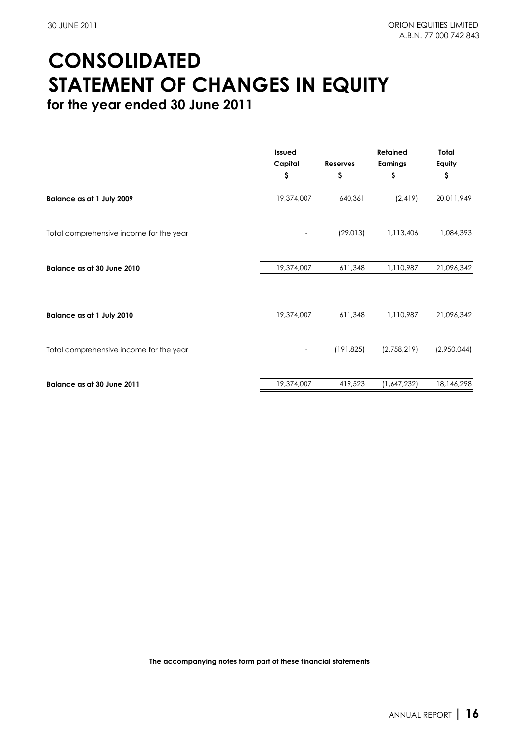# **CONSOLIDATED STATEMENT OF CHANGES IN EQUITY for the year ended 30 June 2011**

|                                         | Issued<br>Capital<br>\$ | <b>Reserves</b><br>\$ | Retained<br><b>Earnings</b><br>\$ | Total<br>Equity<br>\$ |
|-----------------------------------------|-------------------------|-----------------------|-----------------------------------|-----------------------|
| <b>Balance as at 1 July 2009</b>        | 19,374,007              | 640,361               | (2, 419)                          | 20,011,949            |
| Total comprehensive income for the year |                         | (29, 013)             | 1,113,406                         | 1,084,393             |
| Balance as at 30 June 2010              | 19,374,007              | 611,348               | 1,110,987                         | 21,096,342            |
|                                         |                         |                       |                                   |                       |
| Balance as at 1 July 2010               | 19,374,007              | 611,348               | 1,110,987                         | 21,096,342            |
| Total comprehensive income for the year |                         | (191, 825)            | (2,758,219)                       | (2,950,044)           |
| Balance as at 30 June 2011              | 19,374,007              | 419,523               | (1,647,232)                       | 18,146,298            |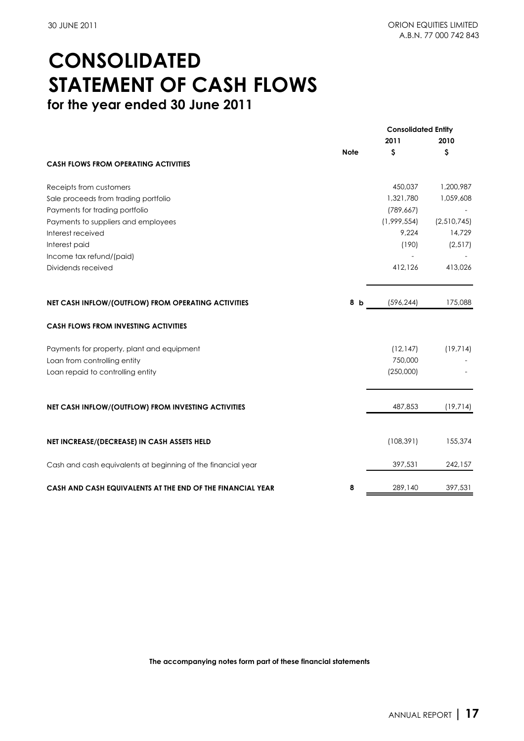# **CONSOLIDATED STATEMENT OF CASH FLOWS for the year ended 30 June 2011**

|                                                              |                | <b>Consolidated Entity</b> |             |
|--------------------------------------------------------------|----------------|----------------------------|-------------|
|                                                              |                | 2011                       | 2010        |
|                                                              | <b>Note</b>    | \$                         | \$          |
| <b>CASH FLOWS FROM OPERATING ACTIVITIES</b>                  |                |                            |             |
| Receipts from customers                                      |                | 450,037                    | 1,200,987   |
| Sale proceeds from trading portfolio                         |                | 1,321,780                  | 1,059,608   |
| Payments for trading portfolio                               |                | (789, 667)                 |             |
| Payments to suppliers and employees                          |                | (1,999,554)                | (2,510,745) |
| Interest received                                            |                | 9.224                      | 14,729      |
| Interest paid                                                |                | (190)                      | (2, 517)    |
| Income tax refund/(paid)                                     |                |                            |             |
| Dividends received                                           |                | 412,126                    | 413,026     |
| NET CASH INFLOW/(OUTFLOW) FROM OPERATING ACTIVITIES          | 8 <sub>b</sub> | (596, 244)                 | 175,088     |
| <b>CASH FLOWS FROM INVESTING ACTIVITIES</b>                  |                |                            |             |
| Payments for property, plant and equipment                   |                | (12, 147)                  | (19, 714)   |
| Loan from controlling entity                                 |                | 750,000                    |             |
| Loan repaid to controlling entity                            |                | (250,000)                  |             |
| NET CASH INFLOW/(OUTFLOW) FROM INVESTING ACTIVITIES          |                | 487,853                    | (19, 714)   |
|                                                              |                |                            |             |
| NET INCREASE/(DECREASE) IN CASH ASSETS HELD                  |                | (108, 391)                 | 155,374     |
| Cash and cash equivalents at beginning of the financial year |                | 397,531                    | 242,157     |
| CASH AND CASH EQUIVALENTS AT THE END OF THE FINANCIAL YEAR   | 8              | 289,140                    | 397,531     |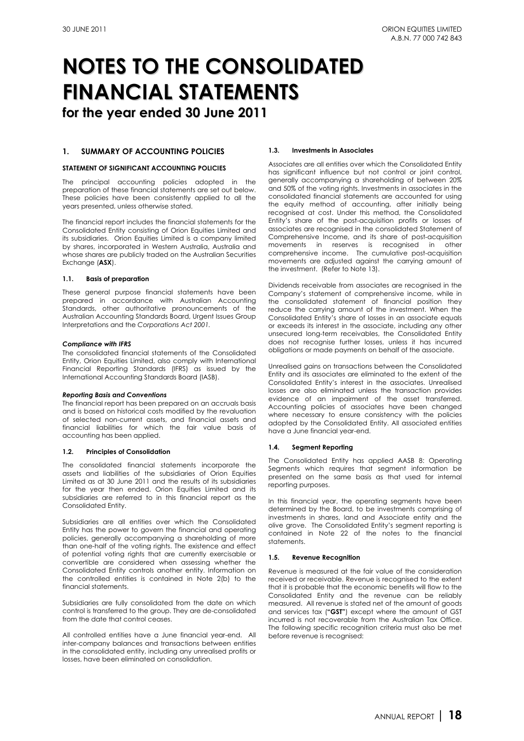**1. SUMMARY OF ACCOUNTING POLICIES** 

#### **STATEMENT OF SIGNIFICANT ACCOUNTING POLICIES**

The principal accounting policies adopted in the preparation of these financial statements are set out below. These policies have been consistently applied to all the years presented, unless otherwise stated.

The financial report includes the financial statements for the Consolidated Entity consisting of Orion Equities Limited and its subsidiaries. Orion Equities Limited is a company limited by shares, incorporated in Western Australia, Australia and whose shares are publicly traded on the Australian Securities Exchange (**ASX**).

#### **1.1. Basis of preparation**

These general purpose financial statements have been prepared in accordance with Australian Accounting Standards, other authoritative pronouncements of the Australian Accounting Standards Board, Urgent Issues Group Interpretations and the *Corporations Act 2001.* 

#### *Compliance with IFRS*

The consolidated financial statements of the Consolidated Entity, Orion Equities Limited, also comply with International Financial Reporting Standards (IFRS) as issued by the International Accounting Standards Board (IASB).

#### *Reporting Basis and Conventions*

The financial report has been prepared on an accruals basis and is based on historical costs modified by the revaluation of selected non-current assets, and financial assets and financial liabilities for which the fair value basis of accounting has been applied.

#### **1.2. Principles of Consolidation**

The consolidated financial statements incorporate the assets and liabilities of the subsidiaries of Orion Equities Limited as at 30 June 2011 and the results of its subsidiaries for the year then ended. Orion Equities Limited and its subsidiaries are referred to in this financial report as the Consolidated Entity.

Subsidiaries are all entities over which the Consolidated Entity has the power to govern the financial and operating policies, generally accompanying a shareholding of more than one-half of the voting rights. The existence and effect of potential voting rights that are currently exercisable or convertible are considered when assessing whether the Consolidated Entity controls another entity. Information on the controlled entities is contained in Note 2(b) to the financial statements.

Subsidiaries are fully consolidated from the date on which control is transferred to the group. They are de-consolidated from the date that control ceases.

All controlled entities have a June financial year-end. All inter-company balances and transactions between entities in the consolidated entity, including any unrealised profits or losses, have been eliminated on consolidation.

#### **1.3. Investments in Associates**

Associates are all entities over which the Consolidated Entity has significant influence but not control or joint control, generally accompanying a shareholding of between 20% and 50% of the voting rights. Investments in associates in the consolidated financial statements are accounted for using the equity method of accounting, after initially being recognised at cost. Under this method, the Consolidated Entity's share of the post-acquisition profits or losses of associates are recognised in the consolidated Statement of Comprehensive Income, and its share of post-acquisition movements in reserves is recognised in other comprehensive income. The cumulative post-acquisition movements are adjusted against the carrying amount of the investment. (Refer to Note 13).

Dividends receivable from associates are recognised in the Company's statement of comprehensive income, while in the consolidated statement of financial position they reduce the carrying amount of the investment. When the Consolidated Entity's share of losses in an associate equals or exceeds its interest in the associate, including any other unsecured long-term receivables, the Consolidated Entity does not recognise further losses, unless it has incurred obligations or made payments on behalf of the associate.

Unrealised gains on transactions between the Consolidated Entity and its associates are eliminated to the extent of the Consolidated Entity's interest in the associates. Unrealised losses are also eliminated unless the transaction provides evidence of an impairment of the asset transferred. Accounting policies of associates have been changed where necessary to ensure consistency with the policies adopted by the Consolidated Entity. All associated entities have a June financial year-end.

#### **1.4. Segment Reporting**

The Consolidated Entity has applied AASB 8: Operating Segments which requires that segment information be presented on the same basis as that used for internal reporting purposes.

In this financial year, the operating segments have been determined by the Board, to be investments comprising of investments in shares, land and Associate entity and the olive grove. The Consolidated Entity's segment reporting is contained in Note 22 of the notes to the financial statements.

#### **1.5. Revenue Recognition**

Revenue is measured at the fair value of the consideration received or receivable. Revenue is recognised to the extent that it is probable that the economic benefits will flow to the Consolidated Entity and the revenue can be reliably measured. All revenue is stated net of the amount of goods and services tax (**"GST"**) except where the amount of GST incurred is not recoverable from the Australian Tax Office. The following specific recognition criteria must also be met before revenue is recognised: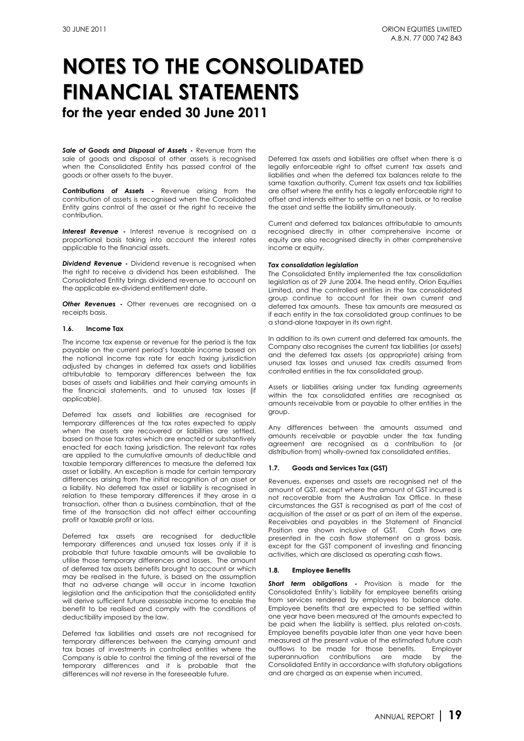*Sale of Goods and Disposal of Assets* **-** Revenue from the sale of goods and disposal of other assets is recognised when the Consolidated Entity has passed control of the goods or other assets to the buyer.

*Contributions of Assets* **-** Revenue arising from the contribution of assets is recognised when the Consolidated Entity gains control of the asset or the right to receive the contribution.

**Interest Revenue -** Interest revenue is recognised on a proportional basis taking into account the interest rates applicable to the financial assets.

*Dividend Revenue* **-** Dividend revenue is recognised when the right to receive a dividend has been established. The Consolidated Entity brings dividend revenue to account on the applicable ex-dividend entitlement date.

**Other Revenues** - Other revenues are recognised on a receipts basis.

#### **1.6. Income Tax**

The income tax expense or revenue for the period is the tax payable on the current period's taxable income based on the notional income tax rate for each taxing jurisdiction adjusted by changes in deferred tax assets and liabilities attributable to temporary differences between the tax bases of assets and liabilities and their carrying amounts in the financial statements, and to unused tax losses (if applicable).

Deferred tax assets and liabilities are recognised for temporary differences at the tax rates expected to apply when the assets are recovered or liabilities are settled, based on those tax rates which are enacted or substantively enacted for each taxing jurisdiction. The relevant tax rates are applied to the cumulative amounts of deductible and taxable temporary differences to measure the deferred tax asset or liability. An exception is made for certain temporary differences arising from the initial recognition of an asset or a liability. No deferred tax asset or liability is recognised in relation to these temporary differences if they arose in a transaction, other than a business combination, that at the time of the transaction did not affect either accounting profit or taxable profit or loss.

Deferred tax assets are recognised for deductible temporary differences and unused tax losses only if it is probable that future taxable amounts will be available to utilise those temporary differences and losses. The amount of deferred tax assets benefits brought to account or which may be realised in the future, is based on the assumption that no adverse change will occur in income taxation legislation and the anticipation that the consolidated entity will derive sufficient future assessable income to enable the benefit to be realised and comply with the conditions of deductibility imposed by the law.

Deferred tax liabilities and assets are not recognised for temporary differences between the carrying amount and tax bases of investments in controlled entities where the Company is able to control the timing of the reversal of the temporary differences and it is probable that the differences will not reverse in the foreseeable future.

Deferred tax assets and liabilities are offset when there is a legally enforceable right to offset current tax assets and liabilities and when the deferred tax balances relate to the same taxation authority. Current tax assets and tax liabilities are offset where the entity has a legally enforceable right to offset and intends either to settle on a net basis, or to realise the asset and settle the liability simultaneously.

Current and deferred tax balances attributable to amounts recognised directly in other comprehensive income or equity are also recognised directly in other comprehensive income or equity.

#### *Tax consolidation legislation*

The Consolidated Entity implemented the tax consolidation legislation as of 29 June 2004. The head entity, Orion Equities Limited, and the controlled entities in the tax consolidated group continue to account for their own current and deferred tax amounts. These tax amounts are measured as if each entity in the tax consolidated group continues to be a stand-alone taxpayer in its own right.

In addition to its own current and deferred tax amounts, the Company also recognises the current tax liabilities (or assets) and the deferred tax assets (as appropriate) arising from unused tax losses and unused tax credits assumed from controlled entities in the tax consolidated group.

Assets or liabilities arising under tax funding agreements within the tax consolidated entities are recognised as amounts receivable from or payable to other entities in the group.

Any differences between the amounts assumed and amounts receivable or payable under the tax funding agreement are recognised as a contribution to (or distribution from) wholly-owned tax consolidated entities.

#### **1.7. Goods and Services Tax (GST)**

Revenues, expenses and assets are recognised net of the amount of GST, except where the amount of GST incurred is not recoverable from the Australian Tax Office. In these circumstances the GST is recognised as part of the cost of acquisition of the asset or as part of an item of the expense. Receivables and payables in the Statement of Financial Position are shown inclusive of GST. Cash flows are presented in the cash flow statement on a gross basis, except for the GST component of investing and financing activities, which are disclosed as operating cash flows.

#### **1.8. Employee Benefits**

**Short term obligations -** Provision is made for the Consolidated Entity's liability for employee benefits arising from services rendered by employees to balance date. Employee benefits that are expected to be settled within one year have been measured at the amounts expected to be paid when the liability is settled, plus related on-costs. Employee benefits payable later than one year have been measured at the present value of the estimated future cash outflows to be made for those benefits. Employer superannuation contributions are made by the Consolidated Entity in accordance with statutory obligations and are charged as an expense when incurred.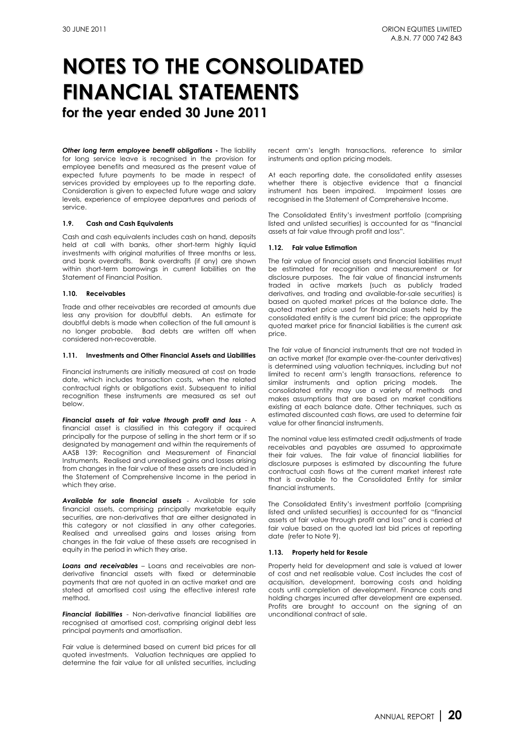*Other long term employee benefit obligations* **-** The liability for long service leave is recognised in the provision for employee benefits and measured as the present value of expected future payments to be made in respect of services provided by employees up to the reporting date. Consideration is given to expected future wage and salary levels, experience of employee departures and periods of service.

#### **1.9. Cash and Cash Equivalents**

Cash and cash equivalents includes cash on hand, deposits held at call with banks, other short-term highly liquid investments with original maturities of three months or less, and bank overdrafts. Bank overdrafts (if any) are shown within short-term borrowings in current liabilities on the Statement of Financial Position.

#### **1.10. Receivables**

Trade and other receivables are recorded at amounts due less any provision for doubtful debts. An estimate for doubtful debts is made when collection of the full amount is no longer probable. Bad debts are written off when considered non-recoverable.

#### **1.11. Investments and Other Financial Assets and Liabilities**

Financial instruments are initially measured at cost on trade date, which includes transaction costs, when the related contractual rights or obligations exist. Subsequent to initial recognition these instruments are measured as set out below.

*Financial assets at fair value through profit and loss* - A financial asset is classified in this category if acquired principally for the purpose of selling in the short term or if so designated by management and within the requirements of AASB 139: Recognition and Measurement of Financial Instruments. Realised and unrealised gains and losses arising from changes in the fair value of these assets are included in the Statement of Comprehensive Income in the period in which they arise.

*Available for sale financial assets* - Available for sale financial assets, comprising principally marketable equity securities, are non-derivatives that are either designated in this category or not classified in any other categories. Realised and unrealised gains and losses arising from changes in the fair value of these assets are recognised in equity in the period in which they arise.

*Loans and receivables* – Loans and receivables are nonderivative financial assets with fixed or determinable payments that are not quoted in an active market and are stated at amortised cost using the effective interest rate method.

*Financial liabilities* - Non-derivative financial liabilities are recognised at amortised cost, comprising original debt less principal payments and amortisation.

Fair value is determined based on current bid prices for all quoted investments. Valuation techniques are applied to determine the fair value for all unlisted securities, including recent arm's length transactions, reference to similar instruments and option pricing models.

At each reporting date, the consolidated entity assesses whether there is objective evidence that  $\alpha$  financial instrument has been impaired. Impairment losses are recognised in the Statement of Comprehensive Income.

The Consolidated Entity's investment portfolio (comprising listed and unlisted securities) is accounted for as "financial assets at fair value through profit and loss".

#### **1.12. Fair value Estimation**

The fair value of financial assets and financial liabilities must be estimated for recognition and measurement or for disclosure purposes. The fair value of financial instruments traded in active markets (such as publicly traded derivatives, and trading and available-for-sale securities) is based on quoted market prices at the balance date. The quoted market price used for financial assets held by the consolidated entity is the current bid price; the appropriate quoted market price for financial liabilities is the current ask price.

The fair value of financial instruments that are not traded in an active market (for example over-the-counter derivatives) is determined using valuation techniques, including but not limited to recent arm's length transactions, reference to similar instruments and option pricing models. The consolidated entity may use a variety of methods and makes assumptions that are based on market conditions existing at each balance date. Other techniques, such as estimated discounted cash flows, are used to determine fair value for other financial instruments.

The nominal value less estimated credit adjustments of trade receivables and payables are assumed to approximate their fair values. The fair value of financial liabilities for disclosure purposes is estimated by discounting the future contractual cash flows at the current market interest rate that is available to the Consolidated Entity for similar financial instruments.

The Consolidated Entity's investment portfolio (comprising listed and unlisted securities) is accounted for as "financial assets at fair value through profit and loss" and is carried at fair value based on the quoted last bid prices at reporting date (refer to Note 9).

#### **1.13. Property held for Resale**

Property held for development and sale is valued at lower of cost and net realisable value. Cost includes the cost of acquisition, development, borrowing costs and holding costs until completion of development. Finance costs and holding charges incurred after development are expensed. Profits are brought to account on the signing of an unconditional contract of sale.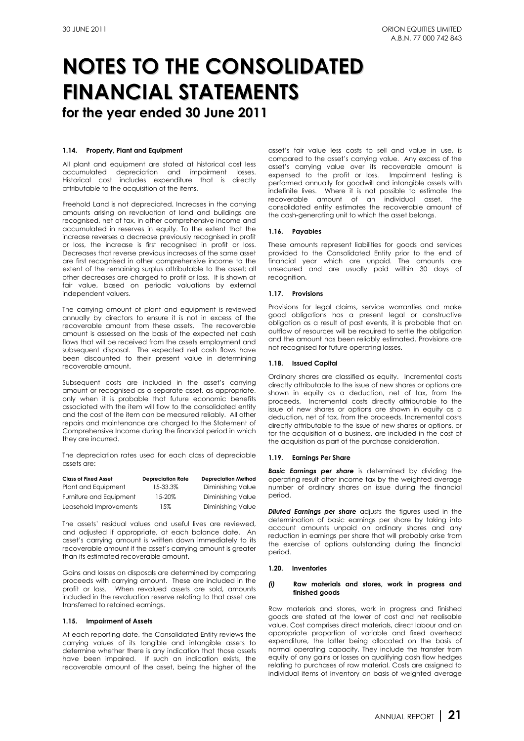#### **1.14. Property, Plant and Equipment**

All plant and equipment are stated at historical cost less accumulated depreciation and impairment losses. Historical cost includes expenditure that is directly attributable to the acquisition of the items.

Freehold Land is not depreciated. Increases in the carrying amounts arising on revaluation of land and buildings are recognised, net of tax, in other comprehensive income and accumulated in reserves in equity. To the extent that the increase reverses a decrease previously recognised in profit or loss, the increase is first recognised in profit or loss. Decreases that reverse previous increases of the same asset are first recognised in other comprehensive income to the extent of the remaining surplus attributable to the asset; all other decreases are charged to profit or loss. It is shown at fair value, based on periodic valuations by external independent valuers.

The carrying amount of plant and equipment is reviewed annually by directors to ensure it is not in excess of the recoverable amount from these assets. The recoverable amount is assessed on the basis of the expected net cash flows that will be received from the assets employment and subsequent disposal. The expected net cash flows have been discounted to their present value in determining recoverable amount.

Subsequent costs are included in the asset's carrying amount or recognised as a separate asset, as appropriate, only when it is probable that future economic benefits associated with the item will flow to the consolidated entity and the cost of the item can be measured reliably. All other repairs and maintenance are charged to the Statement of Comprehensive Income during the financial period in which they are incurred.

The depreciation rates used for each class of depreciable assets are:

| <b>Class of Fixed Asset</b> | <b>Depreciation Rate</b> | <b>Depreciation Method</b> |
|-----------------------------|--------------------------|----------------------------|
| Plant and Equipment         | 15-33.3%                 | Diminishing Value          |
| Furniture and Equipment     | $15 - 20%$               | Diminishing Value          |
| Leasehold Improvements      | 15%                      | Diminishing Value          |

The assets' residual values and useful lives are reviewed, and adjusted if appropriate, at each balance date. An asset's carrying amount is written down immediately to its recoverable amount if the asset's carrying amount is greater than its estimated recoverable amount.

Gains and losses on disposals are determined by comparing proceeds with carrying amount. These are included in the profit or loss. When revalued assets are sold, amounts included in the revaluation reserve relating to that asset are transferred to retained earnings.

#### **1.15. Impairment of Assets**

At each reporting date, the Consolidated Entity reviews the carrying values of its tangible and intangible assets to determine whether there is any indication that those assets have been impaired. If such an indication exists, the recoverable amount of the asset, being the higher of the

asset's fair value less costs to sell and value in use, is compared to the asset's carrying value. Any excess of the asset's carrying value over its recoverable amount is expensed to the profit or loss. Impairment testing is performed annually for goodwill and intangible assets with indefinite lives. Where it is not possible to estimate the recoverable amount of an individual asset, the consolidated entity estimates the recoverable amount of the cash-generating unit to which the asset belongs.

#### **1.16. Payables**

These amounts represent liabilities for goods and services provided to the Consolidated Entity prior to the end of financial year which are unpaid. The amounts are unsecured and are usually paid within 30 days of recognition

#### **1.17. Provisions**

Provisions for legal claims, service warranties and make good obligations has a present legal or constructive obligation as a result of past events, it is probable that an outflow of resources will be required to settle the obligation and the amount has been reliably estimated. Provisions are not recognised for future operating losses.

#### **1.18. Issued Capital**

Ordinary shares are classified as equity. Incremental costs directly attributable to the issue of new shares or options are shown in equity as a deduction, net of tax, from the proceeds. Incremental costs directly attributable to the issue of new shares or options are shown in equity as a deduction, net of tax, from the proceeds. Incremental costs directly attributable to the issue of new shares or options, or for the acquisition of a business, are included in the cost of the acquisition as part of the purchase consideration.

#### **1.19. Earnings Per Share**

*Basic Earnings per share* is determined by dividing the operating result after income tax by the weighted average number of ordinary shares on issue during the financial period.

*Diluted Earnings per share* adjusts the figures used in the determination of basic earnings per share by taking into account amounts unpaid on ordinary shares and any reduction in earnings per share that will probably arise from the exercise of options outstanding during the financial period.

#### **1.20. Inventories**

#### *(i)* **Raw materials and stores, work in progress and finished goods**

Raw materials and stores, work in progress and finished goods are stated at the lower of cost and net realisable value. Cost comprises direct materials, direct labour and an appropriate proportion of variable and fixed overhead expenditure, the latter being allocated on the basis of normal operating capacity. They include the transfer from equity of any gains or losses on qualifying cash flow hedges relating to purchases of raw material. Costs are assigned to individual items of inventory on basis of weighted average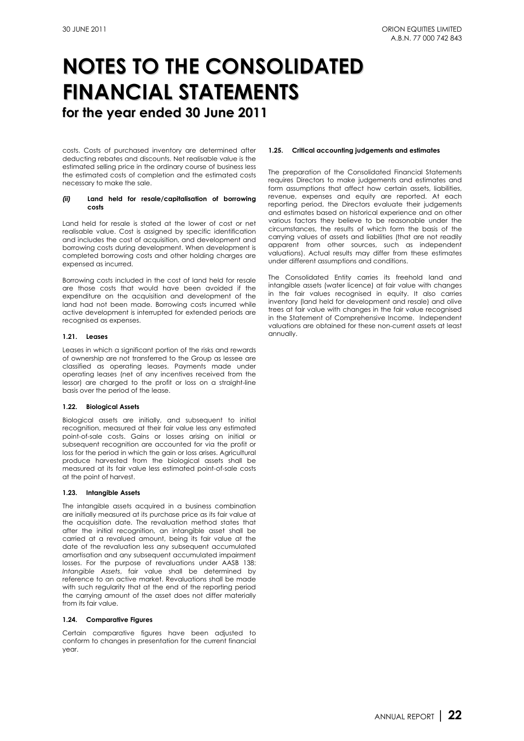costs. Costs of purchased inventory are determined after deducting rebates and discounts. Net realisable value is the estimated selling price in the ordinary course of business less the estimated costs of completion and the estimated costs necessary to make the sale.

#### *(ii)* **Land held for resale/capitalisation of borrowing costs**

Land held for resale is stated at the lower of cost or net realisable value. Cost is assigned by specific identification and includes the cost of acquisition, and development and borrowing costs during development. When development is completed borrowing costs and other holding charges are expensed as incurred.

Borrowing costs included in the cost of land held for resale are those costs that would have been avoided if the expenditure on the acquisition and development of the land had not been made. Borrowing costs incurred while active development is interrupted for extended periods are recognised as expenses.

#### **1.21. Leases**

Leases in which a significant portion of the risks and rewards of ownership are not transferred to the Group as lessee are classified as operating leases. Payments made under operating leases (net of any incentives received from the lessor) are charged to the profit or loss on a straight-line basis over the period of the lease.

#### **1.22. Biological Assets**

Biological assets are initially, and subsequent to initial recognition, measured at their fair value less any estimated point-of-sale costs. Gains or losses arising on initial or subsequent recognition are accounted for via the profit or loss for the period in which the gain or loss arises. Agricultural produce harvested from the biological assets shall be measured at its fair value less estimated point-of-sale costs at the point of harvest.

#### **1.23. Intangible Assets**

The intangible assets acquired in a business combination are initially measured at its purchase price as its fair value at the acquisition date. The revaluation method states that after the initial recognition, an intangible asset shall be carried at a revalued amount, being its fair value at the date of the revaluation less any subsequent accumulated amortisation and any subsequent accumulated impairment losses. For the purpose of revaluations under AASB 138: *Intangible Assets*, fair value shall be determined by reference to an active market. Revaluations shall be made with such regularity that at the end of the reporting period the carrying amount of the asset does not differ materially from its fair value.

### **1.24. Comparative Figures**

Certain comparative figures have been adjusted to conform to changes in presentation for the current financial year.

#### **1.25. Critical accounting judgements and estimates**

The preparation of the Consolidated Financial Statements requires Directors to make judgements and estimates and form assumptions that affect how certain assets, liabilities, revenue, expenses and equity are reported. At each reporting period, the Directors evaluate their judgements and estimates based on historical experience and on other various factors they believe to be reasonable under the circumstances, the results of which form the basis of the carrying values of assets and liabilities (that are not readily apparent from other sources, such as independent valuations). Actual results may differ from these estimates under different assumptions and conditions.

The Consolidated Entity carries its freehold land and intangible assets (water licence) at fair value with changes in the fair values recognised in equity. It also carries inventory (land held for development and resale) and olive trees at fair value with changes in the fair value recognised in the Statement of Comprehensive Income. Independent valuations are obtained for these non-current assets at least annually.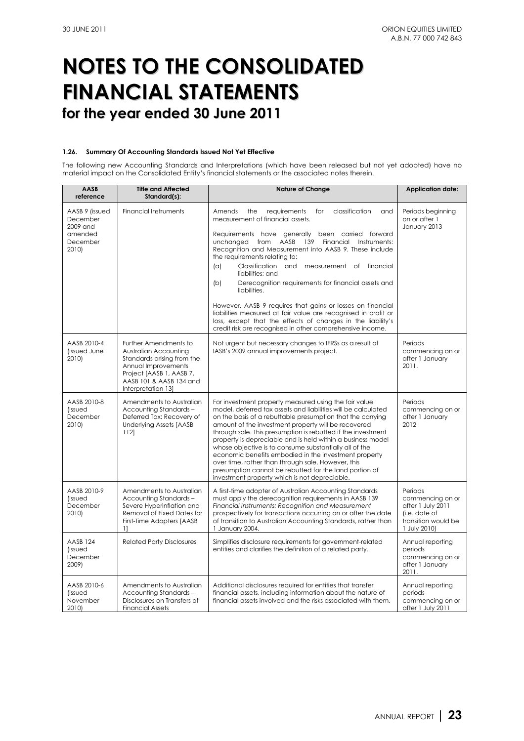### **1.26. Summary Of Accounting Standards Issued Not Yet Effective**

The following new Accounting Standards and Interpretations (which have been released but not yet adopted) have no material impact on the Consolidated Entity's financial statements or the associated notes therein.

| <b>AASB</b><br>reference                                               | <b>Title and Affected</b><br>Standard(s):                                                                                                                                        | <b>Nature of Change</b>                                                                                                                                                                                                                                                                                                                                                                                                                                                                                                                                                                                                                                                                                                             | <b>Application date:</b>                                                                                 |
|------------------------------------------------------------------------|----------------------------------------------------------------------------------------------------------------------------------------------------------------------------------|-------------------------------------------------------------------------------------------------------------------------------------------------------------------------------------------------------------------------------------------------------------------------------------------------------------------------------------------------------------------------------------------------------------------------------------------------------------------------------------------------------------------------------------------------------------------------------------------------------------------------------------------------------------------------------------------------------------------------------------|----------------------------------------------------------------------------------------------------------|
| AASB 9 (issued<br>December<br>2009 and<br>amended<br>December<br>2010) | <b>Financial Instruments</b>                                                                                                                                                     | Amends<br>the<br>requirements<br>for<br>classification<br>and<br>measurement of financial assets.<br>Requirements have generally been carried forward<br>unchanged from AASB<br>Financial Instruments:<br>139<br>Recognition and Measurement into AASB 9. These include<br>the requirements relating to:<br>$(\alpha)$<br>Classification and measurement of financial<br>liabilities; and<br>(b)<br>Derecognition requirements for financial assets and<br>liabilities.<br>However, AASB 9 requires that gains or losses on financial<br>liabilities measured at fair value are recognised in profit or<br>loss, except that the effects of changes in the liability's<br>credit risk are recognised in other comprehensive income. | Periods beginning<br>on or after 1<br>January 2013                                                       |
| AASB 2010-4<br>(issued June<br>2010)                                   | Further Amendments to<br>Australian Accounting<br>Standards arising from the<br>Annual Improvements<br>Project [AASB 1, AASB 7,<br>AASB 101 & AASB 134 and<br>Interpretation 131 | Not urgent but necessary changes to IFRSs as a result of<br>IASB's 2009 annual improvements project.                                                                                                                                                                                                                                                                                                                                                                                                                                                                                                                                                                                                                                | Periods<br>commencing on or<br>after 1 January<br>2011.                                                  |
| AASB 2010-8<br>(issued<br>December<br>2010)                            | Amendments to Australian<br>Accounting Standards -<br>Deferred Tax: Recovery of<br><b>Underlying Assets [AASB</b><br>112                                                         | For investment property measured using the fair value<br>model, deferred tax assets and liabilities will be calculated<br>on the basis of a rebuttable presumption that the carrying<br>amount of the investment property will be recovered<br>through sale. This presumption is rebutted if the investment<br>property is depreciable and is held within a business model<br>whose objective is to consume substantially all of the<br>economic benefits embodied in the investment property<br>over time, rather than through sale. However, this<br>presumption cannot be rebutted for the land portion of<br>investment property which is not depreciable.                                                                      | Periods<br>commencing on or<br>after 1 January<br>2012                                                   |
| AASB 2010-9<br>(issued<br>December<br>2010)                            | Amendments to Australian<br>Accounting Standards -<br>Severe Hyperinflation and<br>Removal of Fixed Dates for<br>First-Time Adopters [AASB<br>11                                 | A first-time adopter of Australian Accounting Standards<br>must apply the derecognition requirements in AASB 139<br>Financial Instruments: Recognition and Measurement<br>prospectively for transactions occurring on or after the date<br>of transition to Australian Accounting Standards, rather than<br>1 January 2004.                                                                                                                                                                                                                                                                                                                                                                                                         | Periods<br>commencing on or<br>after 1 July 2011<br>li.e. date of<br>transition would be<br>1 July 2010) |
| AASB 124<br>(issued<br>December<br>2009)                               | <b>Related Party Disclosures</b>                                                                                                                                                 | Simplifies disclosure requirements for government-related<br>entities and clarifies the definition of a related party.                                                                                                                                                                                                                                                                                                                                                                                                                                                                                                                                                                                                              | Annual reporting<br>periods<br>commencing on or<br>after 1 January<br>2011.                              |
| AASB 2010-6<br>lissued<br>November<br>2010)                            | Amendments to Australian<br>Accounting Standards -<br>Disclosures on Transfers of<br><b>Financial Assets</b>                                                                     | Additional disclosures required for entities that transfer<br>financial assets, including information about the nature of<br>financial assets involved and the risks associated with them.                                                                                                                                                                                                                                                                                                                                                                                                                                                                                                                                          | Annual reporting<br>periods<br>commencing on or<br>after 1 July 2011                                     |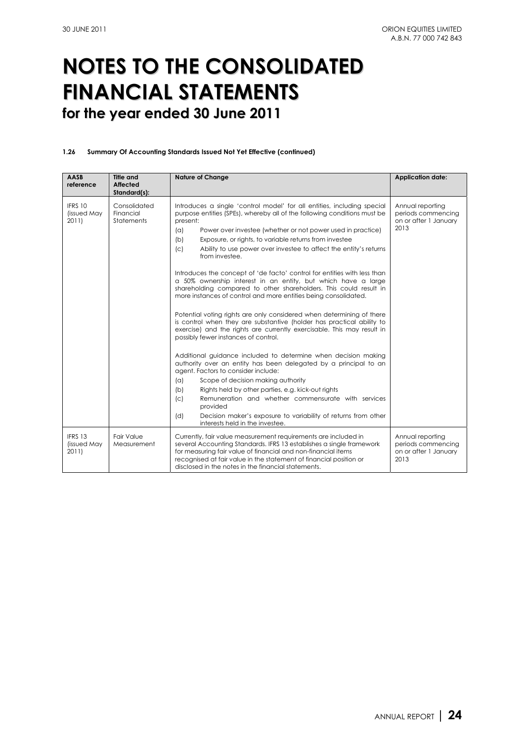### **1.26 Summary Of Accounting Standards Issued Not Yet Effective (continued)**

| AASB<br>reference               | <b>Title and</b><br><b>Affected</b><br>Standard(s): | <b>Nature of Change</b>                                                                                                                                                                                                                                                                                                                                                                                                                                                                                                                                                                                                                                                                                                                                                                                                                                                                                                                                                                                                                                                                                                                                                                                                                                                                                                                                                                                                                    | <b>Application date:</b>                                                |
|---------------------------------|-----------------------------------------------------|--------------------------------------------------------------------------------------------------------------------------------------------------------------------------------------------------------------------------------------------------------------------------------------------------------------------------------------------------------------------------------------------------------------------------------------------------------------------------------------------------------------------------------------------------------------------------------------------------------------------------------------------------------------------------------------------------------------------------------------------------------------------------------------------------------------------------------------------------------------------------------------------------------------------------------------------------------------------------------------------------------------------------------------------------------------------------------------------------------------------------------------------------------------------------------------------------------------------------------------------------------------------------------------------------------------------------------------------------------------------------------------------------------------------------------------------|-------------------------------------------------------------------------|
| IFRS 10<br>(issued May<br>2011) | Consolidated<br>Financial<br>Statements             | Introduces a single 'control model' for all entities, including special<br>purpose entities (SPEs), whereby all of the following conditions must be<br>present:<br>(a)<br>Power over investee (whether or not power used in practice)<br>Exposure, or rights, to variable returns from investee<br>(b)<br>(c)<br>Ability to use power over investee to affect the entity's returns<br>from investee.<br>Introduces the concept of 'de facto' control for entities with less than<br>a 50% ownership interest in an entity, but which have a large<br>shareholding compared to other shareholders. This could result in<br>more instances of control and more entities being consolidated.<br>Potential voting rights are only considered when determining of there<br>is control when they are substantive (holder has practical ability to<br>exercise) and the rights are currently exercisable. This may result in<br>possibly fewer instances of control.<br>Additional guidance included to determine when decision making<br>authority over an entity has been delegated by a principal to an<br>agent. Factors to consider include:<br>(a)<br>Scope of decision making authority<br>Rights held by other parties, e.g. kick-out rights<br>(b)<br>Remuneration and whether commensurate with services<br>(c)<br>provided<br>Decision maker's exposure to variability of returns from other<br>(d)<br>interests held in the investee. | Annual reporting<br>periods commencing<br>on or after 1 January<br>2013 |
| IFRS 13<br>(issued May<br>2011) | Fair Value<br>Measurement                           | Currently, fair value measurement requirements are included in<br>several Accounting Standards. IFRS 13 establishes a single framework<br>for measuring fair value of financial and non-financial items<br>recognised at fair value in the statement of financial position or<br>disclosed in the notes in the financial statements.                                                                                                                                                                                                                                                                                                                                                                                                                                                                                                                                                                                                                                                                                                                                                                                                                                                                                                                                                                                                                                                                                                       | Annual reporting<br>periods commencing<br>on or after 1 January<br>2013 |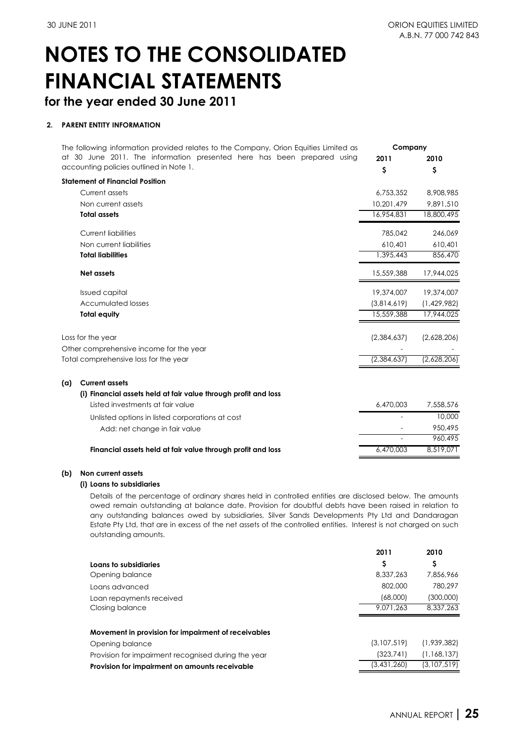## **for the year ended 30 June 2011**

### **2. PARENT ENTITY INFORMATION**

| at 30 June 2011. The information presented here has been prepared using<br>2011<br>2010<br>accounting policies outlined in Note 1.<br>\$<br>\$<br><b>Statement of Financial Position</b><br>Current assets<br>8,908,985<br>6,753,352<br>Non current assets<br>10,201,479<br>9,891,510<br>18,800,495<br><b>Total assets</b><br>16,954,831<br><b>Current liabilities</b><br>785.042<br>246,069<br>Non current liabilities<br>610,401<br>610,401<br>856,470<br><b>Total liabilities</b><br>1,395,443<br><b>Net assets</b><br>15,559,388<br>17,944,025<br>19,374,007<br>19,374,007<br><b>Issued capital</b><br><b>Accumulated losses</b><br>(3,814,619)<br>(1,429,982)<br>17,944,025<br>15,559,388<br><b>Total equity</b><br>Loss for the year<br>(2,384,637)<br>(2,628,206)<br>Other comprehensive income for the year<br>(2,384,637)<br>(2,628,206)<br>Total comprehensive loss for the year<br><b>Current assets</b><br>(a)<br>(i) Financial assets held at fair value through profit and loss<br>Listed investments at fair value<br>6,470,003<br>7,558,576<br>10,000<br>Unlisted options in listed corporations at cost<br>950,495<br>Add: net change in fair value<br>960,495<br>8,519,071<br>6,470,003<br>Financial assets held at fair value through profit and loss | The following information provided relates to the Company, Orion Equities Limited as | Company |  |
|--------------------------------------------------------------------------------------------------------------------------------------------------------------------------------------------------------------------------------------------------------------------------------------------------------------------------------------------------------------------------------------------------------------------------------------------------------------------------------------------------------------------------------------------------------------------------------------------------------------------------------------------------------------------------------------------------------------------------------------------------------------------------------------------------------------------------------------------------------------------------------------------------------------------------------------------------------------------------------------------------------------------------------------------------------------------------------------------------------------------------------------------------------------------------------------------------------------------------------------------------------------------------|--------------------------------------------------------------------------------------|---------|--|
|                                                                                                                                                                                                                                                                                                                                                                                                                                                                                                                                                                                                                                                                                                                                                                                                                                                                                                                                                                                                                                                                                                                                                                                                                                                                          |                                                                                      |         |  |
|                                                                                                                                                                                                                                                                                                                                                                                                                                                                                                                                                                                                                                                                                                                                                                                                                                                                                                                                                                                                                                                                                                                                                                                                                                                                          |                                                                                      |         |  |
|                                                                                                                                                                                                                                                                                                                                                                                                                                                                                                                                                                                                                                                                                                                                                                                                                                                                                                                                                                                                                                                                                                                                                                                                                                                                          |                                                                                      |         |  |
|                                                                                                                                                                                                                                                                                                                                                                                                                                                                                                                                                                                                                                                                                                                                                                                                                                                                                                                                                                                                                                                                                                                                                                                                                                                                          |                                                                                      |         |  |
|                                                                                                                                                                                                                                                                                                                                                                                                                                                                                                                                                                                                                                                                                                                                                                                                                                                                                                                                                                                                                                                                                                                                                                                                                                                                          |                                                                                      |         |  |
|                                                                                                                                                                                                                                                                                                                                                                                                                                                                                                                                                                                                                                                                                                                                                                                                                                                                                                                                                                                                                                                                                                                                                                                                                                                                          |                                                                                      |         |  |
|                                                                                                                                                                                                                                                                                                                                                                                                                                                                                                                                                                                                                                                                                                                                                                                                                                                                                                                                                                                                                                                                                                                                                                                                                                                                          |                                                                                      |         |  |
|                                                                                                                                                                                                                                                                                                                                                                                                                                                                                                                                                                                                                                                                                                                                                                                                                                                                                                                                                                                                                                                                                                                                                                                                                                                                          |                                                                                      |         |  |
|                                                                                                                                                                                                                                                                                                                                                                                                                                                                                                                                                                                                                                                                                                                                                                                                                                                                                                                                                                                                                                                                                                                                                                                                                                                                          |                                                                                      |         |  |
|                                                                                                                                                                                                                                                                                                                                                                                                                                                                                                                                                                                                                                                                                                                                                                                                                                                                                                                                                                                                                                                                                                                                                                                                                                                                          |                                                                                      |         |  |
|                                                                                                                                                                                                                                                                                                                                                                                                                                                                                                                                                                                                                                                                                                                                                                                                                                                                                                                                                                                                                                                                                                                                                                                                                                                                          |                                                                                      |         |  |
|                                                                                                                                                                                                                                                                                                                                                                                                                                                                                                                                                                                                                                                                                                                                                                                                                                                                                                                                                                                                                                                                                                                                                                                                                                                                          |                                                                                      |         |  |
|                                                                                                                                                                                                                                                                                                                                                                                                                                                                                                                                                                                                                                                                                                                                                                                                                                                                                                                                                                                                                                                                                                                                                                                                                                                                          |                                                                                      |         |  |
|                                                                                                                                                                                                                                                                                                                                                                                                                                                                                                                                                                                                                                                                                                                                                                                                                                                                                                                                                                                                                                                                                                                                                                                                                                                                          |                                                                                      |         |  |
|                                                                                                                                                                                                                                                                                                                                                                                                                                                                                                                                                                                                                                                                                                                                                                                                                                                                                                                                                                                                                                                                                                                                                                                                                                                                          |                                                                                      |         |  |
|                                                                                                                                                                                                                                                                                                                                                                                                                                                                                                                                                                                                                                                                                                                                                                                                                                                                                                                                                                                                                                                                                                                                                                                                                                                                          |                                                                                      |         |  |
|                                                                                                                                                                                                                                                                                                                                                                                                                                                                                                                                                                                                                                                                                                                                                                                                                                                                                                                                                                                                                                                                                                                                                                                                                                                                          |                                                                                      |         |  |
|                                                                                                                                                                                                                                                                                                                                                                                                                                                                                                                                                                                                                                                                                                                                                                                                                                                                                                                                                                                                                                                                                                                                                                                                                                                                          |                                                                                      |         |  |
|                                                                                                                                                                                                                                                                                                                                                                                                                                                                                                                                                                                                                                                                                                                                                                                                                                                                                                                                                                                                                                                                                                                                                                                                                                                                          |                                                                                      |         |  |
|                                                                                                                                                                                                                                                                                                                                                                                                                                                                                                                                                                                                                                                                                                                                                                                                                                                                                                                                                                                                                                                                                                                                                                                                                                                                          |                                                                                      |         |  |
|                                                                                                                                                                                                                                                                                                                                                                                                                                                                                                                                                                                                                                                                                                                                                                                                                                                                                                                                                                                                                                                                                                                                                                                                                                                                          |                                                                                      |         |  |
|                                                                                                                                                                                                                                                                                                                                                                                                                                                                                                                                                                                                                                                                                                                                                                                                                                                                                                                                                                                                                                                                                                                                                                                                                                                                          |                                                                                      |         |  |
|                                                                                                                                                                                                                                                                                                                                                                                                                                                                                                                                                                                                                                                                                                                                                                                                                                                                                                                                                                                                                                                                                                                                                                                                                                                                          |                                                                                      |         |  |

### **(b) Non current assets**

### **(i) Loans to subsidiaries**

Details of the percentage of ordinary shares held in controlled entities are disclosed below. The amounts owed remain outstanding at balance date. Provision for doubtful debts have been raised in relation to any outstanding balances owed by subsidiaries, Silver Sands Developments Pty Ltd and Dandaragan Estate Pty Ltd, that are in excess of the net assets of the controlled entities. Interest is not charged on such outstanding amounts.

|                                                     | 2011        | 2010        |
|-----------------------------------------------------|-------------|-------------|
| Loans to subsidiaries                               | Ş           | Ş           |
| Opening balance                                     | 8,337,263   | 7,856,966   |
| Loans advanced                                      | 802,000     | 780.297     |
| Loan repayments received                            | (68,000)    | (300,000)   |
| Closing balance                                     | 9.071.263   | 8.337.263   |
| Movement in provision for impairment of receivables |             |             |
| Opening balance                                     | (3,107,519) | (1,939,382) |
| Provision for impairment recognised during the year | (323,741)   | (1,168,137) |
| Provision for impairment on amounts receivable      | (3,431,260) | (3,107,519) |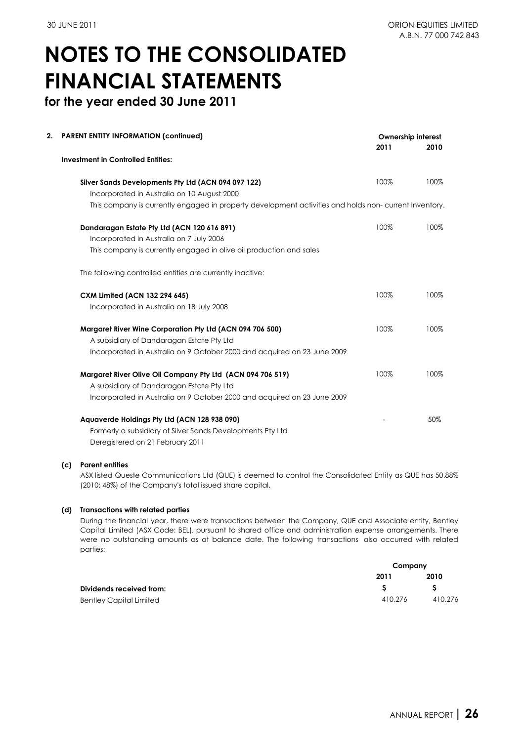**for the year ended 30 June 2011**

| 2. | <b>PARENT ENTITY INFORMATION (continued)</b>                                                          |      | <b>Ownership interest</b> |
|----|-------------------------------------------------------------------------------------------------------|------|---------------------------|
|    | <b>Investment in Controlled Entities:</b>                                                             | 2011 | 2010                      |
|    | Silver Sands Developments Pty Ltd (ACN 094 097 122)                                                   | 100% | 100%                      |
|    | Incorporated in Australia on 10 August 2000                                                           |      |                           |
|    | This company is currently engaged in property development activities and holds non-current Inventory. |      |                           |
|    | Dandaragan Estate Pty Ltd (ACN 120 616 891)                                                           | 100% | 100%                      |
|    | Incorporated in Australia on 7 July 2006                                                              |      |                           |
|    | This company is currently engaged in olive oil production and sales                                   |      |                           |
|    | The following controlled entities are currently inactive:                                             |      |                           |
|    | CXM Limited (ACN 132 294 645)                                                                         | 100% | 100%                      |
|    | Incorporated in Australia on 18 July 2008                                                             |      |                           |
|    | Margaret River Wine Corporation Pty Ltd (ACN 094 706 500)                                             | 100% | 100%                      |
|    | A subsidiary of Dandaragan Estate Pty Ltd                                                             |      |                           |
|    | Incorporated in Australia on 9 October 2000 and acquired on 23 June 2009                              |      |                           |
|    | Margaret River Olive Oil Company Pty Ltd (ACN 094 706 519)                                            | 100% | 100%                      |
|    | A subsidiary of Dandaragan Estate Pty Ltd                                                             |      |                           |
|    | Incorporated in Australia on 9 October 2000 and acquired on 23 June 2009                              |      |                           |
|    | Aquaverde Holdings Pty Ltd (ACN 128 938 090)                                                          |      | 50%                       |
|    | Formerly a subsidiary of Silver Sands Developments Pty Ltd                                            |      |                           |
|    | Deregistered on 21 February 2011                                                                      |      |                           |
|    |                                                                                                       |      |                           |

### **(c) Parent entities**

ASX listed Queste Communications Ltd (QUE) is deemed to control the Consolidated Entity as QUE has 50.88% (2010: 48%) of the Company's total issued share capital.

### **(d) Transactions with related parties**

During the financial year, there were transactions between the Company, QUE and Associate entity, Bentley Capital Limited (ASX Code: BEL), pursuant to shared office and administration expense arrangements. There were no outstanding amounts as at balance date. The following transactions also occurred with related parties:

|                                | Company |         |
|--------------------------------|---------|---------|
|                                | 2011    | 2010    |
| Dividends received from:       |         |         |
| <b>Bentley Capital Limited</b> | 410.276 | 410.276 |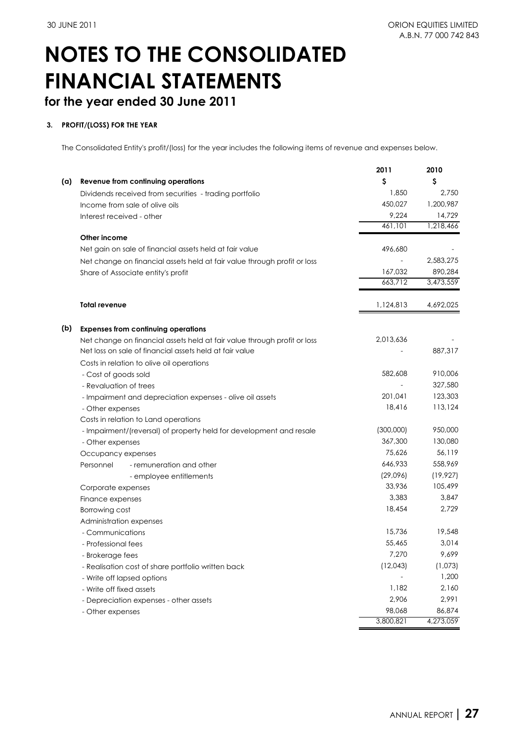### **3. PROFIT/(LOSS) FOR THE YEAR**

The Consolidated Entity's profit/(loss) for the year includes the following items of revenue and expenses below.

|     |                                                                          | 2011      | 2010      |
|-----|--------------------------------------------------------------------------|-----------|-----------|
| (a) | Revenue from continuing operations                                       | \$        | S         |
|     | Dividends received from securities - trading portfolio                   | 1,850     | 2.750     |
|     | Income from sale of olive oils                                           | 450,027   | 1,200,987 |
|     | Interest received - other                                                | 9,224     | 14,729    |
|     |                                                                          | 461,101   | 1,218,466 |
|     | Other income                                                             |           |           |
|     | Net gain on sale of financial assets held at fair value                  | 496,680   |           |
|     | Net change on financial assets held at fair value through profit or loss |           | 2,583,275 |
|     | Share of Associate entity's profit                                       | 167,032   | 890,284   |
|     |                                                                          | 663,712   | 3,473,559 |
|     | <b>Total revenue</b>                                                     | 1,124,813 | 4,692,025 |
|     |                                                                          |           |           |
| (b) | <b>Expenses from continuing operations</b>                               |           |           |
|     | Net change on financial assets held at fair value through profit or loss | 2,013,636 |           |
|     | Net loss on sale of financial assets held at fair value                  |           | 887,317   |
|     | Costs in relation to olive oil operations                                |           |           |
|     | - Cost of goods sold                                                     | 582,608   | 910,006   |
|     | - Revaluation of trees                                                   |           | 327,580   |
|     | - Impairment and depreciation expenses - olive oil assets                | 201,041   | 123,303   |
|     | - Other expenses                                                         | 18,416    | 113,124   |
|     | Costs in relation to Land operations                                     |           |           |
|     | - Impairment/(reversal) of property held for development and resale      | (300,000) | 950,000   |
|     | - Other expenses                                                         | 367,300   | 130,080   |
|     | Occupancy expenses                                                       | 75,626    | 56,119    |
|     | - remuneration and other<br>Personnel                                    | 646,933   | 558,969   |
|     | - employee entitlements                                                  | (29,096)  | (19, 927) |
|     | Corporate expenses                                                       | 33,936    | 105,499   |
|     | Finance expenses                                                         | 3,383     | 3,847     |
|     | <b>Borrowing cost</b>                                                    | 18,454    | 2.729     |
|     | Administration expenses                                                  |           |           |
|     | - Communications                                                         | 15,736    | 19,548    |
|     | - Professional fees                                                      | 55.465    | 3.014     |
|     | - Brokerage fees                                                         | 7,270     | 9,699     |
|     | - Realisation cost of share portfolio written back                       | (12,043)  | (1,073)   |
|     | - Write off lapsed options                                               |           | 1.200     |
|     | - Write off fixed assets                                                 | 1,182     | 2,160     |
|     | - Depreciation expenses - other assets                                   | 2,906     | 2,991     |
|     | - Other expenses                                                         | 98,068    | 86,874    |
|     |                                                                          | 3,800,821 | 4,273,059 |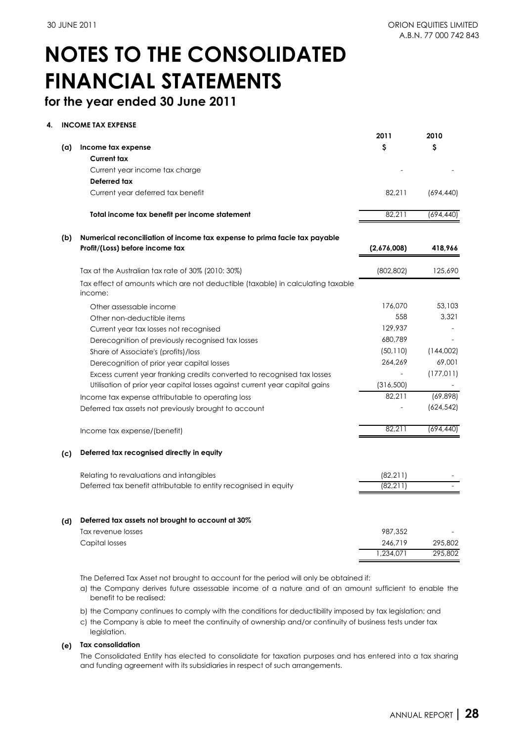## **for the year ended 30 June 2011**

**4. INCOME TAX EXPENSE**

|     |                                                                                            | 2011        | 2010       |
|-----|--------------------------------------------------------------------------------------------|-------------|------------|
| (a) | Income tax expense                                                                         | \$          | S          |
|     | <b>Current tax</b>                                                                         |             |            |
|     | Current year income tax charge                                                             |             |            |
|     | Deferred tax                                                                               |             |            |
|     | Current year deferred tax benefit                                                          | 82.211      | (694, 440) |
|     | Total income tax benefit per income statement                                              | 82.211      | (694, 440) |
| (b) | Numerical reconciliation of income tax expense to prima facie tax payable                  |             |            |
|     | Profit/(Loss) before income tax                                                            | (2,676,008) | 418,966    |
|     | Tax at the Australian tax rate of 30% (2010: 30%)                                          | (802, 802)  | 125,690    |
|     | Tax effect of amounts which are not deductible (taxable) in calculating taxable<br>income: |             |            |
|     | Other assessable income                                                                    | 176,070     | 53,103     |
|     | Other non-deductible items                                                                 | 558         | 3.321      |
|     | Current year tax losses not recognised                                                     | 129,937     |            |
|     | Derecognition of previously recognised tax losses                                          | 680,789     |            |
|     | Share of Associate's (profits)/loss                                                        | (50, 110)   | (144,002)  |
|     | Derecognition of prior year capital losses                                                 | 264,269     | 69,001     |
|     | Excess current year franking credits converted to recognised tax losses                    |             | (177, 011) |
|     | Utilisation of prior year capital losses against current year capital gains                | (316, 500)  |            |
|     | Income tax expense attributable to operating loss                                          | 82,211      | (69, 898)  |
|     | Deferred tax assets not previously brought to account                                      |             | (624, 542) |
|     | Income tax expense/(benefit)                                                               | 82,211      | (694, 440) |
| (c) | Deferred tax recognised directly in equity                                                 |             |            |
|     | Relating to revaluations and intangibles                                                   | (82, 211)   |            |
|     | Deferred tax benefit attributable to entity recognised in equity                           | (82, 211)   |            |
| (d) | Deferred tax assets not brought to account at 30%                                          |             |            |
|     | Tax revenue losses                                                                         | 987,352     |            |
|     | Capital losses                                                                             | 246,719     | 295,802    |
|     |                                                                                            | 1,234,071   | 295,802    |

The Deferred Tax Asset not brought to account for the period will only be obtained if:

a) the Company derives future assessable income of a nature and of an amount sufficient to enable the benefit to be realised;

b) the Company continues to comply with the conditions for deductibility imposed by tax legislation; and

c) the Company is able to meet the continuity of ownership and/or continuity of business tests under tax legislation.

### **(e) Tax consolidation**

The Consolidated Entity has elected to consolidate for taxation purposes and has entered into a tax sharing and funding agreement with its subsidiaries in respect of such arrangements.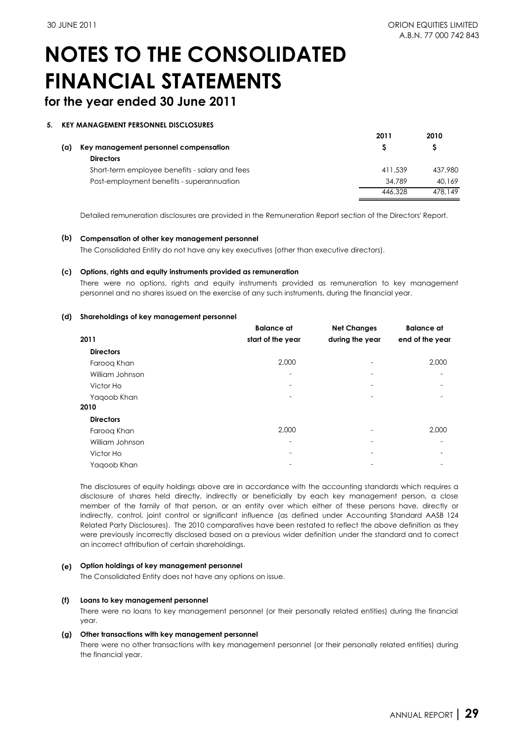## **for the year ended 30 June 2011**

### **5. KEY MANAGEMENT PERSONNEL DISCLOSURES**

|     |                                                | 2011    | 2010    |
|-----|------------------------------------------------|---------|---------|
| (a) | Key management personnel compensation          |         |         |
|     | <b>Directors</b>                               |         |         |
|     | Short-term employee benefits - salary and fees | 411.539 | 437,980 |
|     | Post-employment benefits - superannuation      | 34.789  | 40.169  |
|     |                                                | 446.328 | 478.149 |

Detailed remuneration disclosures are provided in the Remuneration Report section of the Directors' Report.

### **(b) Compensation of other key management personnel**

The Consolidated Entity do not have any key executives (other than executive directors).

#### **(c) Options, rights and equity instruments provided as remuneration**

There were no options, rights and equity instruments provided as remuneration to key management personnel and no shares issued on the exercise of any such instruments, during the financial year.

#### **(d) Shareholdings of key management personnel**

|                  | <b>Balance at</b>        | <b>Net Changes</b>       | <b>Balance at</b>        |
|------------------|--------------------------|--------------------------|--------------------------|
| 2011             | start of the year        | during the year          | end of the year          |
| <b>Directors</b> |                          |                          |                          |
| Farooq Khan      | 2,000                    |                          | 2,000                    |
| William Johnson  | -                        |                          |                          |
| Victor Ho        | -                        | $\overline{\phantom{a}}$ |                          |
| Yagoob Khan      | -                        | $\overline{\phantom{a}}$ |                          |
| 2010             |                          |                          |                          |
| <b>Directors</b> |                          |                          |                          |
| Faroog Khan      | 2,000                    |                          | 2,000                    |
| William Johnson  | $\overline{\phantom{0}}$ |                          |                          |
| Victor Ho        |                          | $\overline{\phantom{0}}$ | $\overline{\phantom{0}}$ |
| Yagoob Khan      |                          |                          |                          |

The disclosures of equity holdings above are in accordance with the accounting standards which requires a disclosure of shares held directly, indirectly or beneficially by each key management person, a close member of the family of that person, or an entity over which either of these persons have, directly or indirectly, control, joint control or significant influence (as defined under Accounting Standard AASB 124 Related Party Disclosures). The 2010 comparatives have been restated to reflect the above definition as they were previously incorrectly disclosed based on a previous wider definition under the standard and to correct an incorrect attribution of certain shareholdings.

### **(e) Option holdings of key management personnel**

The Consolidated Entity does not have any options on issue.

### **(f) Loans to key management personnel**

There were no loans to key management personnel (or their personally related entities) during the financial year.

### **(g) Other transactions with key management personnel**

There were no other transactions with key management personnel (or their personally related entities) during the financial year.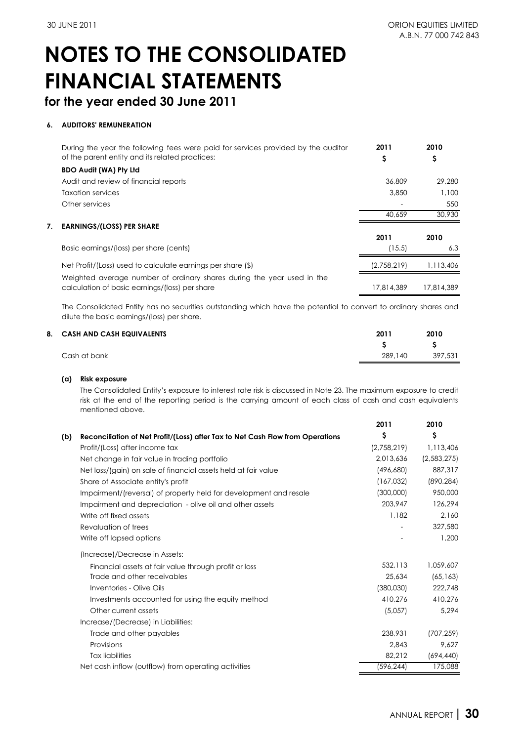## **for the year ended 30 June 2011**

### **6. AUDITORS' REMUNERATION**

|    | During the year the following fees were paid for services provided by the auditor | 2011        | 2010       |
|----|-----------------------------------------------------------------------------------|-------------|------------|
|    | of the parent entity and its related practices:                                   | \$          | Ş          |
|    | <b>BDO Audit (WA) Pty Ltd</b>                                                     |             |            |
|    | Audit and review of financial reports                                             | 36,809      | 29,280     |
|    | Taxation services                                                                 | 3,850       | 1,100      |
|    | Other services                                                                    |             | 550        |
|    |                                                                                   | 40.659      | 30,930     |
| 7. | <b>EARNINGS/(LOSS) PER SHARE</b>                                                  |             |            |
|    |                                                                                   | 2011        | 2010       |
|    | Basic earnings/(loss) per share (cents)                                           | (15.5)      | 6.3        |
|    | Net Profit/(Loss) used to calculate earnings per share (\$)                       | (2,758,219) | 1,113,406  |
|    | Weighted average number of ordinary shares during the year used in the            |             |            |
|    | calculation of basic earnings/(loss) per share                                    | 17,814,389  | 17.814.389 |

The Consolidated Entity has no securities outstanding which have the potential to convert to ordinary shares and dilute the basic earnings/(loss) per share.

| 8. CASH AND CASH EQUIVALENTS | 2011    | 2010    |
|------------------------------|---------|---------|
|                              |         | S.      |
| Cash at bank                 | 289,140 | 397.531 |
|                              |         |         |

### **(a) Risk exposure**

The Consolidated Entity's exposure to interest rate risk is discussed in Note 23. The maximum exposure to credit risk at the end of the reporting period is the carrying amount of each class of cash and cash equivalents mentioned above.

|     |                                                                                | 2011        | 2010        |
|-----|--------------------------------------------------------------------------------|-------------|-------------|
| (b) | Reconciliation of Net Profit/(Loss) after Tax to Net Cash Flow from Operations | \$          | \$          |
|     | Profit/(Loss) after income tax                                                 | (2,758,219) | 1,113,406   |
|     | Net change in fair value in trading portfolio                                  | 2,013,636   | (2,583,275) |
|     | Net loss/(gain) on sale of financial assets held at fair value                 | (496,680)   | 887,317     |
|     | Share of Associate entity's profit                                             | (167,032)   | (890, 284)  |
|     | Impairment/(reversal) of property held for development and resale              | (300,000)   | 950,000     |
|     | Impairment and depreciation - olive oil and other assets                       | 203,947     | 126,294     |
|     | Write off fixed assets                                                         | 1,182       | 2,160       |
|     | Revaluation of trees                                                           |             | 327,580     |
|     | Write off lapsed options                                                       |             | 1,200       |
|     | (Increase)/Decrease in Assets:                                                 |             |             |
|     | Financial assets at fair value through profit or loss                          | 532.113     | 1,059,607   |
|     | Trade and other receivables                                                    | 25,634      | (65, 163)   |
|     | Inventories - Olive Oils                                                       | (380,030)   | 222,748     |
|     | Investments accounted for using the equity method                              | 410.276     | 410,276     |
|     | Other current assets                                                           | (5,057)     | 5.294       |
|     | Increase/(Decrease) in Liabilities:                                            |             |             |
|     | Trade and other payables                                                       | 238,931     | (707, 259)  |
|     | Provisions                                                                     | 2.843       | 9.627       |
|     | <b>Tax liabilities</b>                                                         | 82,212      | (694, 440)  |
|     | Net cash inflow (outflow) from operating activities                            | (596, 244)  | 175,088     |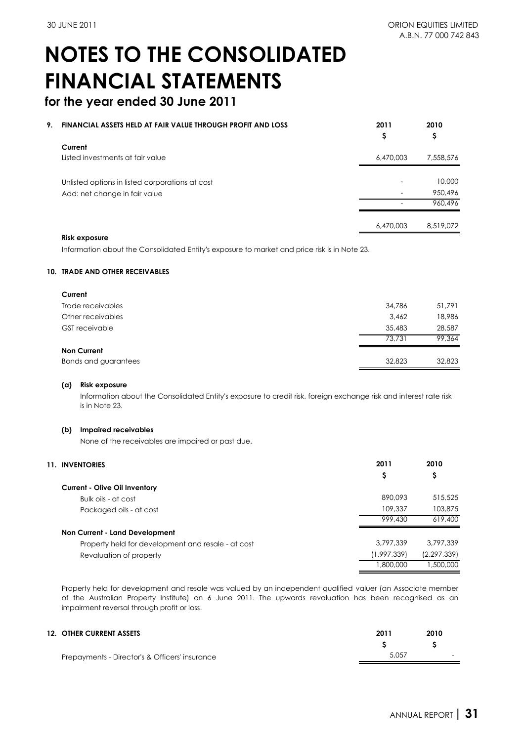**2011 2010**

# **NOTES TO THE CONSOLIDATED FINANCIAL STATEMENTS**

## **for the year ended 30 June 2011**

### **9. FINANCIAL ASSETS HELD AT FAIR VALUE THROUGH PROFIT AND LOSS**

|                                                                                  | Ş         | Ş                            |
|----------------------------------------------------------------------------------|-----------|------------------------------|
| Current<br>Listed investments at fair value                                      | 6,470,003 | 7,558,576                    |
| Unlisted options in listed corporations at cost<br>Add: net change in fair value |           | 10,000<br>950,496<br>960,496 |
|                                                                                  | 6,470,003 | 8,519,072                    |

### **Risk exposure**

Information about the Consolidated Entity's exposure to market and price risk is in Note 23.

### **10. TRADE AND OTHER RECEIVABLES**

| Current               |        |        |
|-----------------------|--------|--------|
| Trade receivables     | 34,786 | 51,791 |
| Other receivables     | 3,462  | 18,986 |
| <b>GST</b> receivable | 35,483 | 28,587 |
|                       | 73,731 | 99,364 |
| <b>Non Current</b>    |        |        |
| Bonds and guarantees  | 32,823 | 32,823 |

### **(a) Risk exposure**

Information about the Consolidated Entity's exposure to credit risk, foreign exchange risk and interest rate risk is in Note 23.

### **(b) Impaired receivables**

None of the receivables are impaired or past due.

| 11. | <b>INVENTORIES</b>                                 | 2011        | 2010          |
|-----|----------------------------------------------------|-------------|---------------|
|     |                                                    | \$          | \$            |
|     | <b>Current - Olive Oil Inventory</b>               |             |               |
|     | Bulk oils - at cost                                | 890.093     | 515,525       |
|     | Packaged oils - at cost                            | 109,337     | 103,875       |
|     |                                                    | 999,430     | 619,400       |
|     | Non Current - Land Development                     |             |               |
|     | Property held for development and resale - at cost | 3.797.339   | 3.797.339     |
|     | Revaluation of property                            | (1,997,339) | (2, 297, 339) |
|     |                                                    | ,800,000    | 1,500,000     |

Property held for development and resale was valued by an independent qualified valuer (an Associate member of the Australian Property Institute) on 6 June 2011. The upwards revaluation has been recognised as an impairment reversal through profit or loss.

| <b>12. OTHER CURRENT ASSETS</b>                | 2011  | 2010                     |
|------------------------------------------------|-------|--------------------------|
|                                                |       |                          |
| Prepayments - Director's & Officers' insurance | 5.057 | $\overline{\phantom{0}}$ |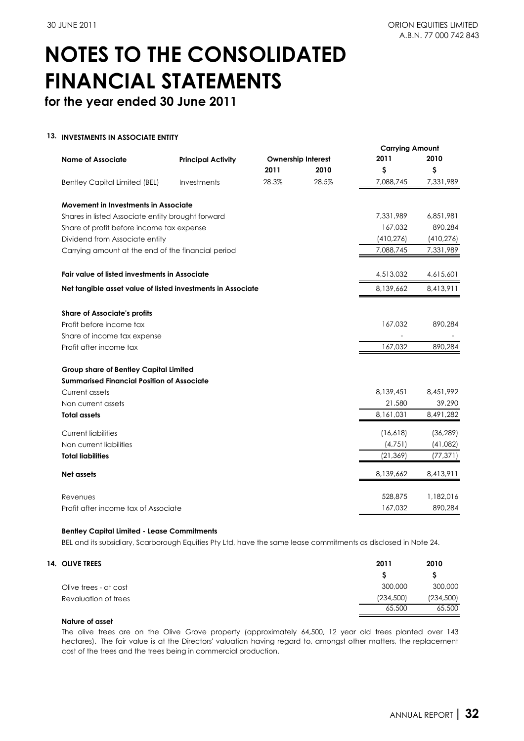**for the year ended 30 June 2011**

### **13. INVESTMENTS IN ASSOCIATE ENTITY**

|                                                             |                           |       |                           | <b>Carrying Amount</b> |            |
|-------------------------------------------------------------|---------------------------|-------|---------------------------|------------------------|------------|
| <b>Name of Associate</b>                                    | <b>Principal Activity</b> |       | <b>Ownership Interest</b> | 2011                   | 2010       |
|                                                             |                           | 2011  | 2010                      | \$                     | \$         |
| <b>Bentley Capital Limited (BEL)</b>                        | Investments               | 28.3% | 28.5%                     | 7,088,745              | 7,331,989  |
| Movement in Investments in Associate                        |                           |       |                           |                        |            |
| Shares in listed Associate entity brought forward           |                           |       |                           | 7,331,989              | 6,851,981  |
| Share of profit before income tax expense                   |                           |       |                           | 167,032                | 890,284    |
| Dividend from Associate entity                              |                           |       |                           | (410, 276)             | (410, 276) |
| Carrying amount at the end of the financial period          |                           |       |                           | 7,088,745              | 7,331,989  |
| <b>Fair value of listed investments in Associate</b>        |                           |       |                           | 4,513,032              | 4,615,601  |
| Net tangible asset value of listed investments in Associate |                           |       |                           | 8,139,662              | 8,413,911  |
| <b>Share of Associate's profits</b>                         |                           |       |                           |                        |            |
| Profit before income tax                                    |                           |       |                           | 167,032                | 890,284    |
| Share of income tax expense                                 |                           |       |                           |                        |            |
| Profit after income tax                                     |                           |       |                           | 167,032                | 890,284    |
| <b>Group share of Bentley Capital Limited</b>               |                           |       |                           |                        |            |
| <b>Summarised Financial Position of Associate</b>           |                           |       |                           |                        |            |
| Current assets                                              |                           |       |                           | 8,139,451              | 8,451,992  |
| Non current assets                                          |                           |       |                           | 21,580                 | 39,290     |
| <b>Total assets</b>                                         |                           |       |                           | 8,161,031              | 8,491,282  |
| <b>Current liabilities</b>                                  |                           |       |                           | (16,618)               | (36, 289)  |
| Non current liabilities                                     |                           |       |                           | (4,751)                | (41,082)   |
| <b>Total liabilities</b>                                    |                           |       |                           | (21, 369)              | (77, 371)  |
| Net assets                                                  |                           |       |                           | 8,139,662              | 8,413,911  |
| Revenues                                                    |                           |       |                           | 528,875                | 1,182,016  |
| Profit after income tax of Associate                        |                           |       |                           | 167,032                | 890,284    |

### **Bentley Capital Limited - Lease Commitments**

BEL and its subsidiary, Scarborough Equities Pty Ltd, have the same lease commitments as disclosed in Note 24.

| <b>14. OLIVE TREES</b> | 2011       | 2010       |
|------------------------|------------|------------|
|                        |            |            |
| Olive trees - at cost  | 300,000    | 300,000    |
| Revaluation of trees   | (234, 500) | (234, 500) |
|                        | 65,500     | 65,500     |

#### **Nature of asset**

The olive trees are on the Olive Grove property (approximately 64,500, 12 year old trees planted over 143 hectares). The fair value is at the Directors' valuation having regard to, amongst other matters, the replacement cost of the trees and the trees being in commercial production.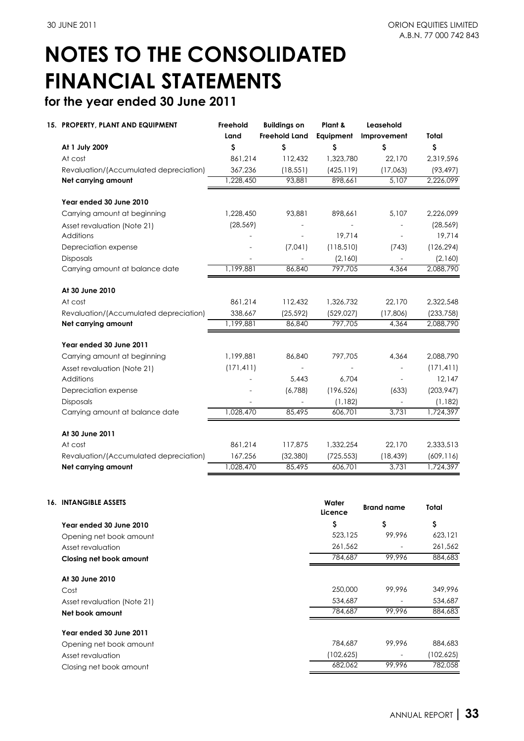## **for the year ended 30 June 2011**

| 15. PROPERTY, PLANT AND EQUIPMENT      | Freehold   | <b>Buildings on</b>  | Plant &    | Leasehold   |              |
|----------------------------------------|------------|----------------------|------------|-------------|--------------|
|                                        | Land       | <b>Freehold Land</b> | Equipment  | Improvement | <b>Total</b> |
| At 1 July 2009                         | \$         | \$                   | \$         | \$          | \$           |
| At cost                                | 861,214    | 112,432              | 1,323,780  | 22,170      | 2,319,596    |
| Revaluation/(Accumulated depreciation) | 367,236    | (18, 551)            | (425, 119) | (17,063)    | (93, 497)    |
| Net carrying amount                    | 1,228,450  | 93,881               | 898,661    | 5,107       | 2,226,099    |
| Year ended 30 June 2010                |            |                      |            |             |              |
| Carrying amount at beginning           | 1,228,450  | 93,881               | 898,661    | 5,107       | 2,226,099    |
| Asset revaluation (Note 21)            | (28, 569)  |                      |            |             | (28, 569)    |
| Additions                              |            |                      | 19,714     |             | 19,714       |
| Depreciation expense                   |            | (7,041)              | (118, 510) | (743)       | (126, 294)   |
| <b>Disposals</b>                       |            |                      | (2,160)    |             | (2,160)      |
| Carrying amount at balance date        | 1,199,881  | 86,840               | 797,705    | 4,364       | 2,088,790    |
| At 30 June 2010                        |            |                      |            |             |              |
| At cost                                | 861,214    | 112,432              | 1,326,732  | 22,170      | 2,322,548    |
| Revaluation/(Accumulated depreciation) | 338,667    | (25, 592)            | (529, 027) | (17,806)    | (233, 758)   |
| Net carrying amount                    | 1,199,881  | 86,840               | 797,705    | 4,364       | 2,088,790    |
| Year ended 30 June 2011                |            |                      |            |             |              |
| Carrying amount at beginning           | 1,199,881  | 86,840               | 797,705    | 4.364       | 2,088,790    |
| Asset revaluation (Note 21)            | (171, 411) |                      |            |             | (171, 411)   |
| Additions                              |            | 5,443                | 6,704      |             | 12,147       |
| Depreciation expense                   |            | (6,788)              | (196, 526) | (633)       | (203, 947)   |
| <b>Disposals</b>                       |            |                      | (1, 182)   |             | (1, 182)     |
| Carrying amount at balance date        | 1,028,470  | 85,495               | 606,701    | 3,731       | 1,724,397    |
| At 30 June 2011                        |            |                      |            |             |              |
| At cost                                | 861,214    | 117,875              | 1,332,254  | 22,170      | 2,333,513    |
| Revaluation/(Accumulated depreciation) | 167,256    | (32, 380)            | (725, 553) | (18, 439)   | (609, 116)   |
| Net carrying amount                    | 1,028,470  | 85,495               | 606,701    | 3,731       | 1,724,397    |

| 16. | <b>INTANGIBLE ASSETS</b>    | Water<br>Licence | <b>Brand name</b>        | Total      |
|-----|-----------------------------|------------------|--------------------------|------------|
|     | Year ended 30 June 2010     | \$               | \$                       | Ş          |
|     | Opening net book amount     | 523,125          | 99.996                   | 623,121    |
|     | Asset revaluation           | 261,562          |                          | 261,562    |
|     | Closing net book amount     | 784.687          | 99,996                   | 884,683    |
|     | At 30 June 2010             |                  |                          |            |
|     | Cost                        | 250,000          | 99.996                   | 349,996    |
|     | Asset revaluation (Note 21) | 534,687          |                          | 534,687    |
|     | Net book amount             | 784,687          | 99.996                   | 884,683    |
|     | Year ended 30 June 2011     |                  |                          |            |
|     | Opening net book amount     | 784,687          | 99.996                   | 884,683    |
|     | Asset revaluation           | (102, 625)       | $\overline{\phantom{a}}$ | (102, 625) |
|     | Closing net book amount     | 682,062          | 99.996                   | 782,058    |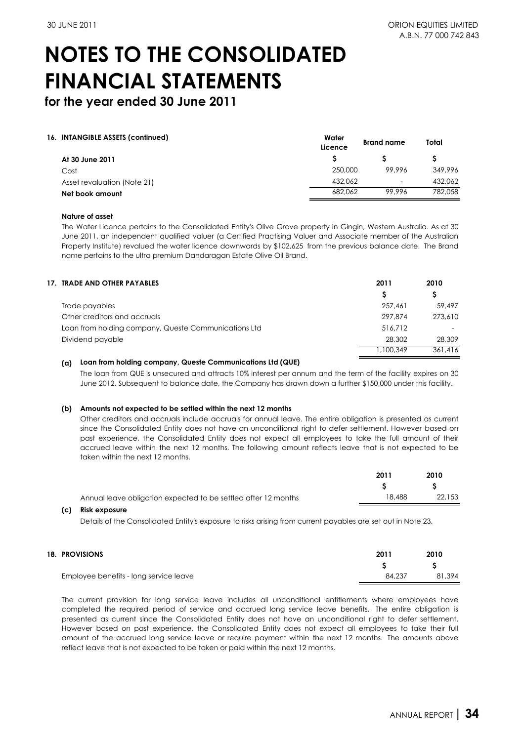**for the year ended 30 June 2011**

|  | 16. INTANGIBLE ASSETS (confinued) |  |
|--|-----------------------------------|--|
|--|-----------------------------------|--|

|                             | <br>Licence | <b>Brand name</b>        | Total   |
|-----------------------------|-------------|--------------------------|---------|
| At 30 June 2011             |             |                          |         |
| Cost                        | 250,000     | 99.996                   | 349,996 |
| Asset revaluation (Note 21) | 432.062     | $\overline{\phantom{a}}$ | 432.062 |
| Net book amount             | 682.062     | 99.996                   | 782.058 |

**Water** 

#### **Nature of asset**

The Water Licence pertains to the Consolidated Entity's Olive Grove property in Gingin, Western Australia. As at 30 June 2011, an independent qualified valuer (a Certified Practising Valuer and Associate member of the Australian Property Institute) revalued the water licence downwards by \$102,625 from the previous balance date. The Brand name pertains to the ultra premium Dandaragan Estate Olive Oil Brand.

| <b>17. TRADE AND OTHER PAYABLES</b>                  | 2011      | 2010    |
|------------------------------------------------------|-----------|---------|
|                                                      |           |         |
| Trade payables                                       | 257.461   | 59,497  |
| Other creditors and accruals                         | 297.874   | 273,610 |
| Loan from holding company, Queste Communications Ltd | 516.712   |         |
| Dividend payable                                     | 28.302    | 28,309  |
|                                                      | 1.100.349 | 361.416 |

#### **(a) Loan from holding company, Queste Communications Ltd (QUE)**

The loan from QUE is unsecured and attracts 10% interest per annum and the term of the facility expires on 30 June 2012. Subsequent to balance date, the Company has drawn down a further \$150,000 under this facility.

### **(b) Amounts not expected to be settled within the next 12 months**

Other creditors and accruals include accruals for annual leave. The entire obligation is presented as current since the Consolidated Entity does not have an unconditional right to defer settlement. However based on past experience, the Consolidated Entity does not expect all employees to take the full amount of their accrued leave within the next 12 months. The following amount reflects leave that is not expected to be taken within the next 12 months.

|                                                                | 2011   | 2010   |
|----------------------------------------------------------------|--------|--------|
|                                                                |        | S.     |
| Annual leave obligation expected to be settled after 12 months | 18.488 | 22.153 |

#### **(c) Risk exposure**

Details of the Consolidated Entity's exposure to risks arising from current payables are set out in Note 23.

| <b>18. PROVISIONS</b> |                                        | 2011   | 2010   |
|-----------------------|----------------------------------------|--------|--------|
|                       |                                        |        |        |
|                       | Employee benefits - long service leave | 84,237 | 81,394 |

The current provision for long service leave includes all unconditional entitlements where employees have completed the required period of service and accrued long service leave benefits. The entire obligation is presented as current since the Consolidated Entity does not have an unconditional right to defer settlement. However based on past experience, the Consolidated Entity does not expect all employees to take their full amount of the accrued long service leave or require payment within the next 12 months. The amounts above reflect leave that is not expected to be taken or paid within the next 12 months.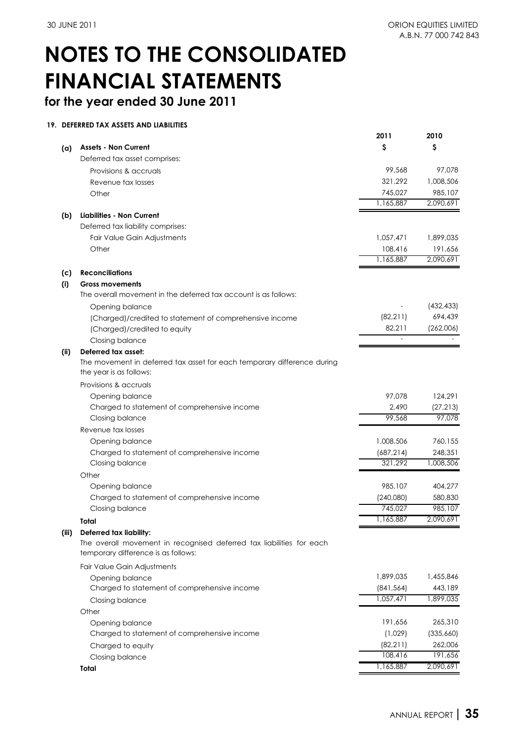## **for the year ended 30 June 2011**

### **19. DEFERRED TAX ASSETS AND LIABILITIES**

|       |                                                                         | 2011       | 2010       |
|-------|-------------------------------------------------------------------------|------------|------------|
| (a)   | <b>Assets - Non Current</b>                                             | \$         | S          |
|       | Deferred tax asset comprises:                                           |            |            |
|       | Provisions & accruals                                                   | 99,568     | 97,078     |
|       | Revenue tax losses                                                      | 321,292    | 1,008,506  |
|       | Other                                                                   | 745,027    | 985,107    |
|       |                                                                         | 1,165,887  | 2,090,691  |
| (b)   | Liabilities - Non Current                                               |            |            |
|       | Deferred tax liability comprises:                                       |            |            |
|       | Fair Value Gain Adjustments                                             | 1,057,471  | 1,899,035  |
|       | Other                                                                   | 108,416    | 191,656    |
|       |                                                                         | 1,165,887  | 2,090,691  |
| (c)   | <b>Reconciliations</b>                                                  |            |            |
| (i)   | <b>Gross movements</b>                                                  |            |            |
|       | The overall movement in the deferred tax account is as follows:         |            |            |
|       | Opening balance                                                         |            | (432, 433) |
|       | (Charged)/credited to statement of comprehensive income                 | (82, 211)  | 694,439    |
|       | (Charged)/credited to equity                                            | 82,211     | (262,006)  |
|       | Closing balance                                                         |            |            |
| (ii)  | Deferred tax asset:                                                     |            |            |
|       | The movement in deferred tax asset for each temporary difference during |            |            |
|       | the year is as follows:                                                 |            |            |
|       | Provisions & accruals                                                   |            |            |
|       | Opening balance                                                         | 97,078     | 124,291    |
|       | Charged to statement of comprehensive income                            | 2,490      | (27, 213)  |
|       | Closing balance                                                         | 99,568     | 97,078     |
|       | Revenue tax losses                                                      |            |            |
|       | Opening balance                                                         | 1,008,506  | 760,155    |
|       | Charged to statement of comprehensive income                            | (687, 214) | 248,351    |
|       | Closing balance                                                         | 321,292    | 1,008,506  |
|       | Other                                                                   |            |            |
|       | Opening balance                                                         | 985,107    | 404,277    |
|       | Charged to statement of comprehensive income                            | (240,080)  | 580,830    |
|       | Closing balance                                                         | 745,027    | 985,107    |
|       | Total                                                                   | 1,165,887  | 2,090,691  |
| (iii) | Deferred tax liability:                                                 |            |            |
|       | The overall movement in recognised deferred tax liabilities for each    |            |            |
|       | temporary difference is as follows:                                     |            |            |
|       | Fair Value Gain Adjustments                                             |            |            |
|       | Opening balance                                                         | 1,899,035  | 1,455,846  |
|       | Charged to statement of comprehensive income                            | (841, 564) | 443,189    |
|       | Closing balance                                                         | 1,057,471  | 1,899,035  |
|       | Other                                                                   |            |            |
|       | Opening balance                                                         | 191,656    | 265,310    |
|       | Charged to statement of comprehensive income                            | (1,029)    | (335,660)  |
|       | Charged to equity                                                       | (82, 211)  | 262,006    |
|       | Closing balance                                                         | 108,416    | 191,656    |
|       | Total                                                                   | 1,165,887  | 2,090,691  |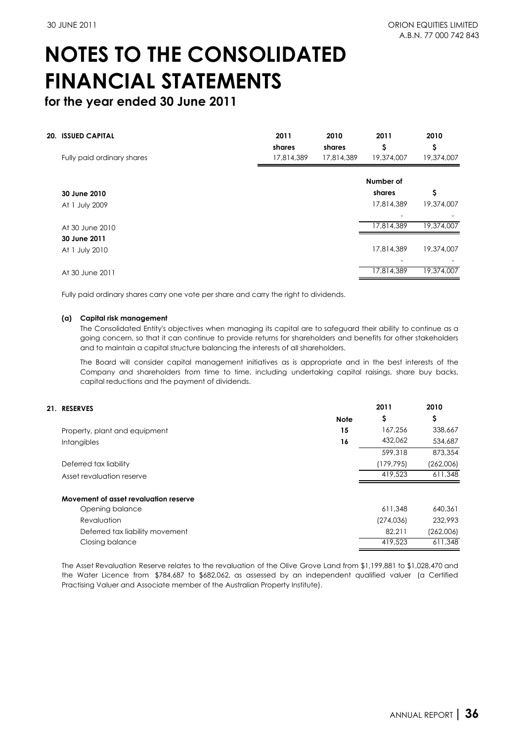**for the year ended 30 June 2011**

| 20. ISSUED CAPITAL         | 2011       | 2010       | 2011       | 2010       |
|----------------------------|------------|------------|------------|------------|
|                            | shares     | shares     | \$         | \$         |
| Fully paid ordinary shares | 17,814,389 | 17,814,389 | 19,374,007 | 19,374,007 |
|                            |            |            | Number of  |            |
| 30 June 2010               |            |            | shares     | S          |
| At 1 July 2009             |            |            | 17,814,389 | 19,374,007 |
|                            |            |            |            |            |
| At 30 June 2010            |            |            | 17,814,389 | 19,374,007 |
| 30 June 2011               |            |            |            |            |
| At 1 July 2010             |            |            | 17,814,389 | 19,374,007 |
|                            |            |            |            |            |
| At 30 June 2011            |            |            | 17,814,389 | 19,374,007 |

Fully paid ordinary shares carry one vote per share and carry the right to dividends.

### **(a) Capital risk management**

The Consolidated Entity's objectives when managing its capital are to safeguard their ability to continue as a going concern, so that it can continue to provide returns for shareholders and benefits for other stakeholders and to maintain a capital structure balancing the interests of all shareholders.

The Board will consider capital management initiatives as is appropriate and in the best interests of the Company and shareholders from time to time, including undertaking capital raisings, share buy backs, capital reductions and the payment of dividends.

| 21. RESERVES                          |      | 2011       | 2010      |
|---------------------------------------|------|------------|-----------|
|                                       | Note | \$         | \$        |
| Property, plant and equipment         | 15   | 167.256    | 338,667   |
| <b>Intangibles</b>                    | 16   | 432.062    | 534,687   |
|                                       |      | 599,318    | 873,354   |
| Deferred tax liability                |      | (179, 795) | (262,006) |
| Asset revaluation reserve             |      | 419,523    | 611,348   |
| Movement of asset revaluation reserve |      |            |           |
| Opening balance                       |      | 611.348    | 640.361   |
| Revaluation                           |      | (274, 036) | 232.993   |
| Deferred tax liability movement       |      | 82,211     | (262,006) |
| Closing balance                       |      | 419,523    | 611.348   |

The Asset Revaluation Reserve relates to the revaluation of the Olive Grove Land from \$1,199,881 to \$1,028,470 and the Water Licence from \$784,687 to \$682,062, as assessed by an independent qualified valuer (a Certified Practising Valuer and Associate member of the Australian Property Institute).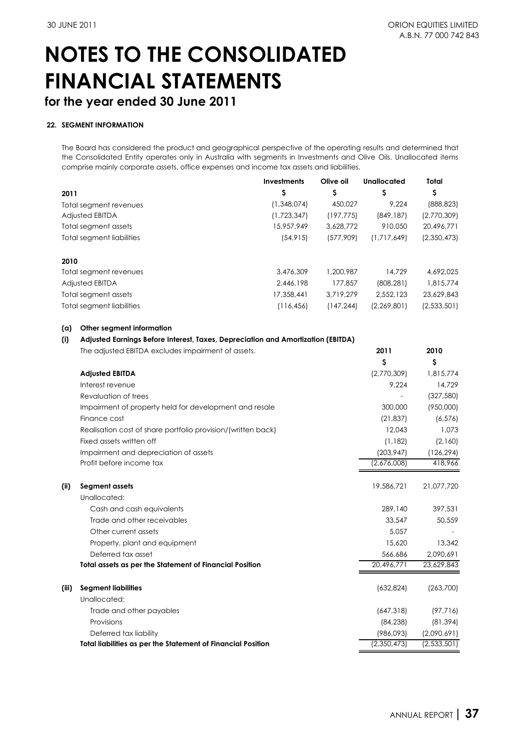## **for the year ended 30 June 2011**

### **22. SEGMENT INFORMATION**

The Board has considered the product and geographical perspective of the operating results and determined that the Consolidated Entity operates only in Australia with segments in Investments and Olive Oils. Unallocated items comprise mainly corporate assets, office expenses and income tax assets and liabilities.

| <b>Investments</b> | Olive oil  | Unallocated | Total       |
|--------------------|------------|-------------|-------------|
| Ş                  | \$         | S           | \$          |
| (1,348,074)        | 450,027    | 9.224       | (888, 823)  |
| (1,723,347)        | (197, 775) | (849, 187)  | (2,770,309) |
| 15,957,949         | 3.628.772  | 910.050     | 20,496,771  |
| (54, 915)          | (577,909)  | (1,717,649) | (2,350,473) |
|                    |            |             |             |
| 3,476,309          | 1,200,987  | 14.729      | 4,692,025   |
| 2.446.198          | 177.857    | (808, 281)  | 1,815,774   |
| 17,358,441         | 3,719,279  | 2,552,123   | 23,629,843  |
| (116, 456)         | (147,244)  | (2,269,801) | (2,533,501) |
|                    |            |             |             |

#### **(a) Other segment information**

### **(i) Adjusted Earnings Before Interest, Taxes, Depreciation and Amortization (EBITDA)**

|       | The adjusted EBITDA excludes impairment of assets.                  | 2011        | 2010        |
|-------|---------------------------------------------------------------------|-------------|-------------|
|       |                                                                     | \$          | \$          |
|       | <b>Adjusted EBITDA</b>                                              | (2,770,309) | 1,815,774   |
|       | Interest revenue                                                    | 9,224       | 14,729      |
|       | Revaluation of trees                                                |             | (327, 580)  |
|       | Impairment of property held for development and resale              | 300,000     | (950,000)   |
|       | Finance cost                                                        | (21, 837)   | (6, 576)    |
|       | Realisation cost of share portfolio provision/(written back)        | 12,043      | 1,073       |
|       | Fixed assets written off                                            | (1, 182)    | (2,160)     |
|       | Impairment and depreciation of assets                               | (203, 947)  | (126, 294)  |
|       | Profit before income tax                                            | (2,676,008) | 418,966     |
| (i)   | Segment assets                                                      | 19,586,721  | 21,077,720  |
|       | Unallocated:                                                        |             |             |
|       | Cash and cash equivalents                                           | 289,140     | 397,531     |
|       | Trade and other receivables                                         | 33,547      | 50,559      |
|       | Other current assets                                                | 5,057       |             |
|       | Property, plant and equipment                                       | 15,620      | 13,342      |
|       | Deferred tax asset                                                  | 566,686     | 2,090,691   |
|       | Total assets as per the Statement of Financial Position             | 20,496,771  | 23,629,843  |
| (iii) | <b>Segment liabilities</b>                                          | (632, 824)  | (263,700)   |
|       | Unallocated:                                                        |             |             |
|       | Trade and other payables                                            | (647, 318)  | (97, 716)   |
|       | Provisions                                                          | (84, 238)   | (81, 394)   |
|       | Deferred tax liability                                              | (986,093)   | (2,090,691) |
|       | <b>Total liabilities as per the Statement of Financial Position</b> | (2,350,473) | (2,533,501) |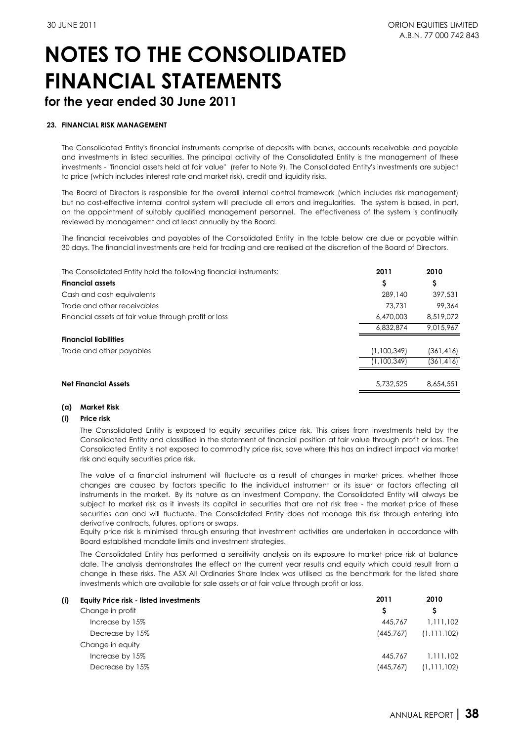## **for the year ended 30 June 2011**

### **23. FINANCIAL RISK MANAGEMENT**

The Consolidated Entity's financial instruments comprise of deposits with banks, accounts receivable and payable and investments in listed securities. The principal activity of the Consolidated Entity is the management of these investments - "financial assets held at fair value" (refer to Note 9). The Consolidated Entity's investments are subject to price (which includes interest rate and market risk), credit and liquidity risks.

The Board of Directors is responsible for the overall internal control framework (which includes risk management) but no cost-effective internal control system will preclude all errors and irregularities. The system is based, in part, on the appointment of suitably qualified management personnel. The effectiveness of the system is continually reviewed by management and at least annually by the Board.

The financial receivables and payables of the Consolidated Entity in the table below are due or payable within 30 days. The financial investments are held for trading and are realised at the discretion of the Board of Directors.

| The Consolidated Entity hold the following financial instruments: | 2011        | 2010       |
|-------------------------------------------------------------------|-------------|------------|
| <b>Financial assets</b>                                           | \$          | Ş          |
| Cash and cash equivalents                                         | 289,140     | 397.531    |
| Trade and other receivables                                       | 73.731      | 99,364     |
| Financial assets at fair value through profit or loss             | 6,470,003   | 8,519,072  |
|                                                                   | 6.832.874   | 9.015.967  |
| <b>Financial liabilities</b>                                      |             |            |
| Trade and other payables                                          | (1,100,349) | (361, 416) |
|                                                                   | (1.100.349) | (361, 416) |
|                                                                   |             |            |
| <b>Net Financial Assets</b>                                       | 5.732.525   | 8.654.551  |

#### **(a) Market Risk**

### **(i) Price risk**

The Consolidated Entity is exposed to equity securities price risk. This arises from investments held by the Consolidated Entity and classified in the statement of financial position at fair value through profit or loss. The Consolidated Entity is not exposed to commodity price risk, save where this has an indirect impact via market risk and equity securities price risk.

The value of a financial instrument will fluctuate as a result of changes in market prices, whether those changes are caused by factors specific to the individual instrument or its issuer or factors affecting all instruments in the market. By its nature as an investment Company, the Consolidated Entity will always be subject to market risk as it invests its capital in securities that are not risk free - the market price of these securities can and will fluctuate. The Consolidated Entity does not manage this risk through entering into derivative contracts, futures, options or swaps.

Equity price risk is minimised through ensuring that investment activities are undertaken in accordance with Board established mandate limits and investment strategies.

The Consolidated Entity has performed a sensitivity analysis on its exposure to market price risk at balance date. The analysis demonstrates the effect on the current year results and equity which could result from a change in these risks. The ASX All Ordinaries Share Index was utilised as the benchmark for the listed share investments which are available for sale assets or at fair value through profit or loss.

| (i) | <b>Equity Price risk - listed investments</b> | 2011      | 2010          |
|-----|-----------------------------------------------|-----------|---------------|
|     | Change in profit                              | S         |               |
|     | Increase by 15%                               | 445,767   | 1.111.102     |
|     | Decrease by 15%                               | (445,767) | (1, 111, 102) |
|     | Change in equity                              |           |               |
|     | Increase by 15%                               | 445,767   | 1.111.102     |
|     | Decrease by 15%                               | (445.767) | (1, 111, 102) |
|     |                                               |           |               |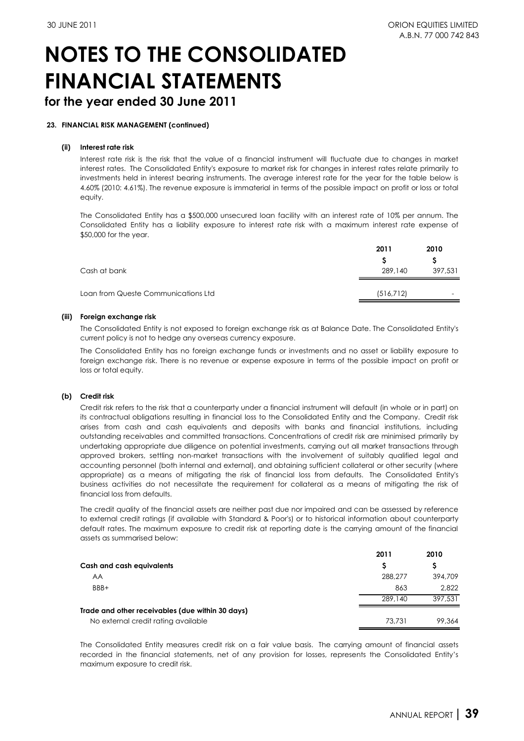### **for the year ended 30 June 2011**

### **23. FINANCIAL RISK MANAGEMENT (continued)**

### **(ii) Interest rate risk**

Interest rate risk is the risk that the value of a financial instrument will fluctuate due to changes in market interest rates. The Consolidated Entity's exposure to market risk for changes in interest rates relate primarily to investments held in interest bearing instruments. The average interest rate for the year for the table below is 4.60% (2010: 4.61%). The revenue exposure is immaterial in terms of the possible impact on profit or loss or total equity.

The Consolidated Entity has a \$500,000 unsecured loan facility with an interest rate of 10% per annum. The Consolidated Entity has a liability exposure to interest rate risk with a maximum interest rate expense of \$50,000 for the year.

|                                     | 2011      | 2010    |  |
|-------------------------------------|-----------|---------|--|
|                                     |           |         |  |
| Cash at bank                        | 289,140   | 397,531 |  |
| Loan from Queste Communications Ltd | (516,712) | -       |  |
|                                     |           |         |  |

#### **(iii) Foreign exchange risk**

The Consolidated Entity is not exposed to foreign exchange risk as at Balance Date. The Consolidated Entity's current policy is not to hedge any overseas currency exposure.

The Consolidated Entity has no foreign exchange funds or investments and no asset or liability exposure to foreign exchange risk. There is no revenue or expense exposure in terms of the possible impact on profit or loss or total equity.

### **(b) Credit risk**

Credit risk refers to the risk that a counterparty under a financial instrument will default (in whole or in part) on its contractual obligations resulting in financial loss to the Consolidated Entity and the Company. Credit risk arises from cash and cash equivalents and deposits with banks and financial institutions, including outstanding receivables and committed transactions. Concentrations of credit risk are minimised primarily by undertaking appropriate due diligence on potential investments, carrying out all market transactions through approved brokers, settling non-market transactions with the involvement of suitably qualified legal and accounting personnel (both internal and external), and obtaining sufficient collateral or other security (where appropriate) as a means of mitigating the risk of financial loss from defaults. The Consolidated Entity's business activities do not necessitate the requirement for collateral as a means of mitigating the risk of financial loss from defaults.

The credit quality of the financial assets are neither past due nor impaired and can be assessed by reference to external credit ratings (if available with Standard & Poor's) or to historical information about counterparty default rates. The maximum exposure to credit risk at reporting date is the carrying amount of the financial assets as summarised below:

|                                                  | 2011    | 2010    |
|--------------------------------------------------|---------|---------|
| <b>Cash and cash equivalents</b>                 | S       |         |
| AA                                               | 288,277 | 394,709 |
| BBB+                                             | 863     | 2.822   |
|                                                  | 289.140 | 397.531 |
| Trade and other receivables (due within 30 days) |         |         |
| No external credit rating available              | 73.731  | 99.364  |

The Consolidated Entity measures credit risk on a fair value basis. The carrying amount of financial assets recorded in the financial statements, net of any provision for losses, represents the Consolidated Entity's maximum exposure to credit risk.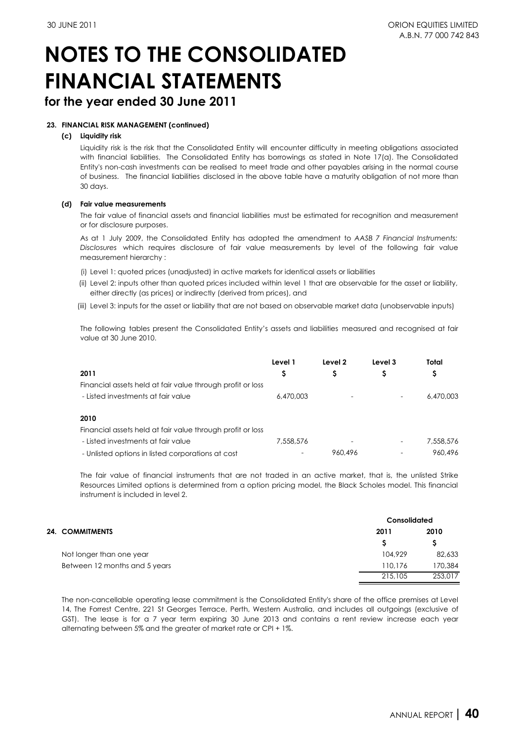### **for the year ended 30 June 2011**

### **23. FINANCIAL RISK MANAGEMENT (continued)**

### **(c) Liquidity risk**

Liquidity risk is the risk that the Consolidated Entity will encounter difficulty in meeting obligations associated with financial liabilities. The Consolidated Entity has borrowings as stated in Note 17(a). The Consolidated Entity's non-cash investments can be realised to meet trade and other payables arising in the normal course of business. The financial liabilities disclosed in the above table have a maturity obligation of not more than 30 days.

### **(d) Fair value measurements**

The fair value of financial assets and financial liabilities must be estimated for recognition and measurement or for disclosure purposes.

As at 1 July 2009, the Consolidated Entity has adopted the amendment to *AASB 7 Financial Instruments: Disclosures* which requires disclosure of fair value measurements by level of the following fair value measurement hierarchy :

(i) Level 1: quoted prices (unadjusted) in active markets for identical assets or liabilities

- (ii) Level 2: inputs other than quoted prices included within level 1 that are observable for the asset or liability, either directly (as prices) or indirectly (derived from prices), and
- (iii) Level 3: inputs for the asset or liability that are not based on observable market data (unobservable inputs)

The following tables present the Consolidated Entity's assets and liabilities measured and recognised at fair value at 30 June 2010.

|                                                            | Level 1   | Level 2 | Level 3 | Total     |
|------------------------------------------------------------|-----------|---------|---------|-----------|
| 2011                                                       | Ş         | Ş       | Ş       | Ş         |
| Financial assets held at fair value through profit or loss |           |         |         |           |
| - Listed investments at fair value                         | 6,470,003 |         |         | 6,470,003 |
|                                                            |           |         |         |           |
| 2010                                                       |           |         |         |           |
| Financial assets held at fair value through profit or loss |           |         |         |           |
| - Listed investments at fair value                         | 7,558,576 |         |         | 7,558,576 |
| - Unlisted options in listed corporations at cost          |           | 960.496 |         | 960.496   |

The fair value of financial instruments that are not traded in an active market, that is, the unlisted Strike Resources Limited options is determined from a option pricing model, the Black Scholes model. This financial instrument is included in level 2.

|                               | <b>Consolidated</b> |         |  |
|-------------------------------|---------------------|---------|--|
| 24. COMMITMENTS               | 2011                | 2010    |  |
|                               |                     |         |  |
| Not longer than one year      | 104.929             | 82,633  |  |
| Between 12 months and 5 years | 110.176             | 170,384 |  |
|                               | 215,105             | 253,017 |  |

The non-cancellable operating lease commitment is the Consolidated Entity's share of the office premises at Level 14, The Forrest Centre, 221 St Georges Terrace, Perth, Western Australia, and includes all outgoings (exclusive of GST). The lease is for a 7 year term expiring 30 June 2013 and contains a rent review increase each year alternating between 5% and the greater of market rate or CPI + 1%.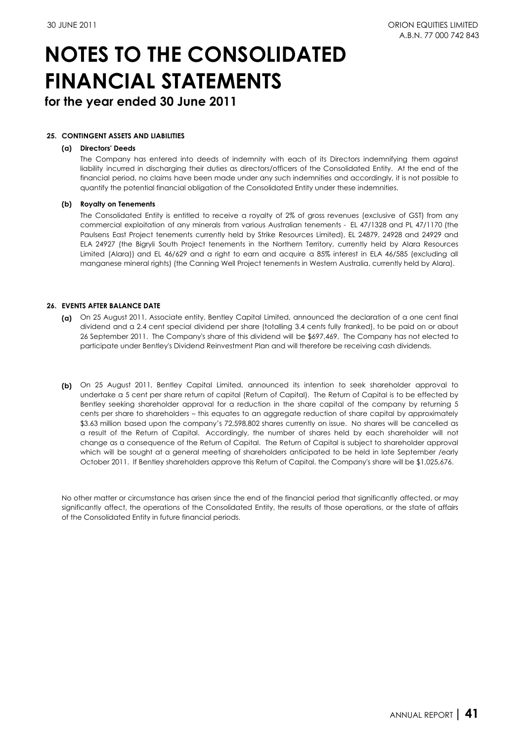**for the year ended 30 June 2011**

### **25. CONTINGENT ASSETS AND LIABILITIES**

### **(a) Directors' Deeds**

The Company has entered into deeds of indemnity with each of its Directors indemnifying them against liability incurred in discharging their duties as directors/officers of the Consolidated Entity. At the end of the financial period, no claims have been made under any such indemnities and accordingly, it is not possible to quantify the potential financial obligation of the Consolidated Entity under these indemnities.

### **(b) Royalty on Tenements**

The Consolidated Entity is entitled to receive a royalty of 2% of gross revenues (exclusive of GST) from any commercial exploitation of any minerals from various Australian tenements - EL 47/1328 and PL 47/1170 (the Paulsens East Project tenements currently held by Strike Resources Limited), EL 24879, 24928 and 24929 and ELA 24927 (the Bigryli South Project tenements in the Northern Territory, currently held by Alara Resources Limited (Alara)) and EL 46/629 and a right to earn and acquire a 85% interest in ELA 46/585 (excluding all manganese mineral rights) (the Canning Well Project tenements in Western Australia, currently held by Alara).

### **26. EVENTS AFTER BALANCE DATE**

- **(a)**  On 25 August 2011, Associate entity, Bentley Capital Limited, announced the declaration of a one cent final dividend and a 2.4 cent special dividend per share (totalling 3.4 cents fully franked), to be paid on or about 26 September 2011. The Company's share of this dividend will be \$697,469. The Company has not elected to participate under Bentley's Dividend Reinvestment Plan and will therefore be receiving cash dividends.
- **(b)**  On 25 August 2011, Bentley Capital Limited, announced its intention to seek shareholder approval to undertake a 5 cent per share return of capital (Return of Capital). The Return of Capital is to be effected by Bentley seeking shareholder approval for a reduction in the share capital of the company by returning 5 cents per share to shareholders – this equates to an aggregate reduction of share capital by approximately \$3.63 million based upon the company's 72,598,802 shares currently on issue. No shares will be cancelled as a result of the Return of Capital. Accordingly, the number of shares held by each shareholder will not change as a consequence of the Return of Capital. The Return of Capital is subject to shareholder approval which will be sought at a general meeting of shareholders anticipated to be held in late September /early October 2011. If Bentley shareholders approve this Return of Capital. the Company's share will be \$1,025,676.

No other matter or circumstance has arisen since the end of the financial period that significantly affected, or may significantly affect, the operations of the Consolidated Entity, the results of those operations, or the state of affairs of the Consolidated Entity in future financial periods.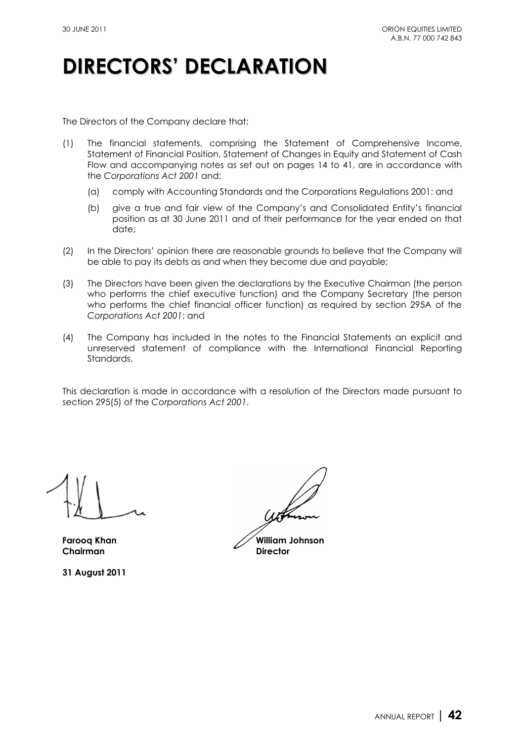# **DIRECTORS' DECLARATION**

The Directors of the Company declare that:

- (1) The financial statements, comprising the Statement of Comprehensive Income, Statement of Financial Position, Statement of Changes in Equity and Statement of Cash Flow and accompanying notes as set out on pages 14 to 41, are in accordance with the *Corporations Act 2001* and:
	- (a) comply with Accounting Standards and the Corporations Regulations 2001; and
	- (b) give a true and fair view of the Company's and Consolidated Entity's financial position as at 30 June 2011 and of their performance for the year ended on that date;
- (2) In the Directors' opinion there are reasonable grounds to believe that the Company will be able to pay its debts as and when they become due and payable;
- (3) The Directors have been given the declarations by the Executive Chairman (the person who performs the chief executive function) and the Company Secretary (the person who performs the chief financial officer function) as required by section 295A of the *Corporations Act 2001*; and
- (4) The Company has included in the notes to the Financial Statements an explicit and unreserved statement of compliance with the International Financial Reporting Standards.

This declaration is made in accordance with a resolution of the Directors made pursuant to section 295(5) of the *Corporations Act 2001*.

**Chairman** Director

**31 August 2011** 

**Farooq Khan William Johnson**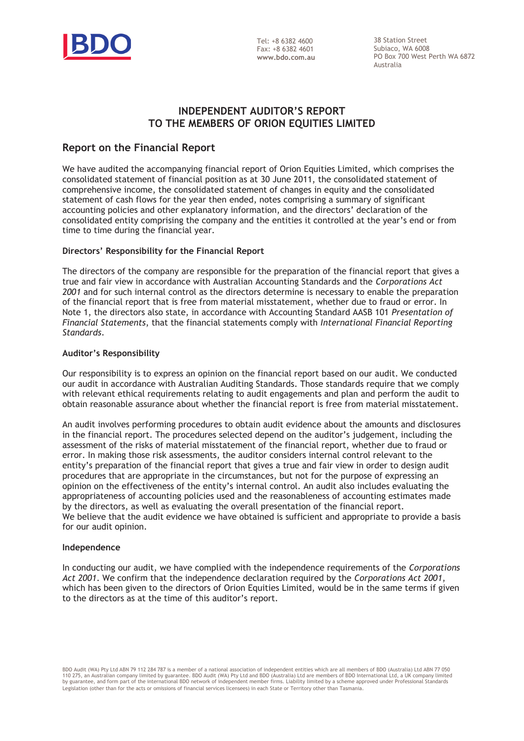

Tel: +8 6382 4600 Fax: +8 6382 4601 **www.bdo.com.au**

38 Station Street Subiaco, WA 6008 PO Box 700 West Perth WA 6872 Australia

### **INDEPENDENT AUDITOR'S REPORT TO THE MEMBERS OF ORION EQUITIES LIMITED**

### **Report on the Financial Report**

We have audited the accompanying financial report of Orion Equities Limited, which comprises the consolidated statement of financial position as at 30 June 2011, the consolidated statement of comprehensive income, the consolidated statement of changes in equity and the consolidated statement of cash flows for the year then ended, notes comprising a summary of significant accounting policies and other explanatory information, and the directors' declaration of the consolidated entity comprising the company and the entities it controlled at the year's end or from time to time during the financial year.

### **Directors' Responsibility for the Financial Report**

The directors of the company are responsible for the preparation of the financial report that gives a true and fair view in accordance with Australian Accounting Standards and the *Corporations Act 2001* and for such internal control as the directors determine is necessary to enable the preparation of the financial report that is free from material misstatement, whether due to fraud or error. In Note 1, the directors also state, in accordance with Accounting Standard AASB 101 *Presentation of Financial Statements*, that the financial statements comply with *International Financial Reporting Standards*.

### **Auditor's Responsibility**

Our responsibility is to express an opinion on the financial report based on our audit. We conducted our audit in accordance with Australian Auditing Standards. Those standards require that we comply with relevant ethical requirements relating to audit engagements and plan and perform the audit to obtain reasonable assurance about whether the financial report is free from material misstatement.

An audit involves performing procedures to obtain audit evidence about the amounts and disclosures in the financial report. The procedures selected depend on the auditor's judgement, including the assessment of the risks of material misstatement of the financial report, whether due to fraud or error. In making those risk assessments, the auditor considers internal control relevant to the entity's preparation of the financial report that gives a true and fair view in order to design audit procedures that are appropriate in the circumstances, but not for the purpose of expressing an opinion on the effectiveness of the entity's internal control. An audit also includes evaluating the appropriateness of accounting policies used and the reasonableness of accounting estimates made by the directors, as well as evaluating the overall presentation of the financial report. We believe that the audit evidence we have obtained is sufficient and appropriate to provide a basis for our audit opinion.

### **Independence**

In conducting our audit, we have complied with the independence requirements of the *Corporations Act 2001*. We confirm that the independence declaration required by the *Corporations Act 2001*, which has been given to the directors of Orion Equities Limited, would be in the same terms if given to the directors as at the time of this auditor's report.

BDO Audit (WA) Pty Ltd ABN 79 112 284 787 is a member of a national association of independent entities which are all members of BDO (Australia) Ltd ABN 77 050 110 275, an Australian company limited by guarantee. BDO Audit (WA) Pty Ltd and BDO (Australia) Ltd are members of BDO International Ltd, a UK company limited<br>by guarantee, and form part of the international BDO network of Legislation (other than for the acts or omissions of financial services licensees) in each State or Territory other than Tasmania.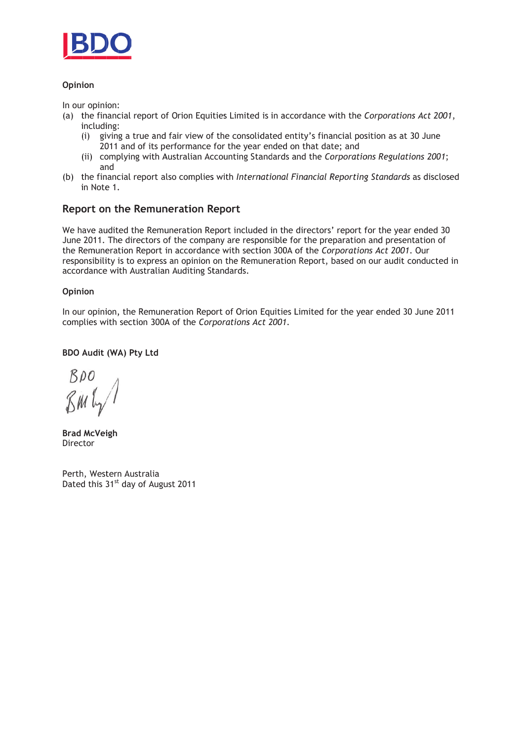

### **Opinion**

In our opinion:

- In our opinion:<br>(a) the financial report of Orion Equities Limited is in accordance with the *Corporations Act 2001*, including:
	- ( (i) ding:<br>giving a true and fair view of the consolidated entity's financial position as at 30 June 2011 and of its performance for the year ended on that date; and
	- (ii) complying with Australian Accounting Standards and the *Corporations Regulations 2001*; an nd
- (b) the financial report also complies with International Financial Reporting Standards as disclosed in Note 1.

### **Report** on the Remuneration Report

We have audited the Remuneration Report included in the directors' report for the year ended 30 June 2011. The directors of the company are responsible for the preparation and presentation of the Remuneration Report in accordance with section 300A of the Corporations Act 2001. Our We have audited the Remuneration Report included in the directors' report for the year ended 30<br>June 2011. The directors of the company are responsible for the preparation and presentation of<br>the Remuneration Report in acc accordance with Australian Auditing Standards.

### **Opinion**

In our opinion, the Remuneration Report of Orion Equities Limited for the year ended 30 June 2011 complies with section 300A of the *Corporations Act 2001*.

### **BDO** Audit (WA) Pty Ltd

Bpo

**Br rad Mc cVei igh Director** 

Perth, Western Australia Dated this 31<sup>st</sup> day of August 2011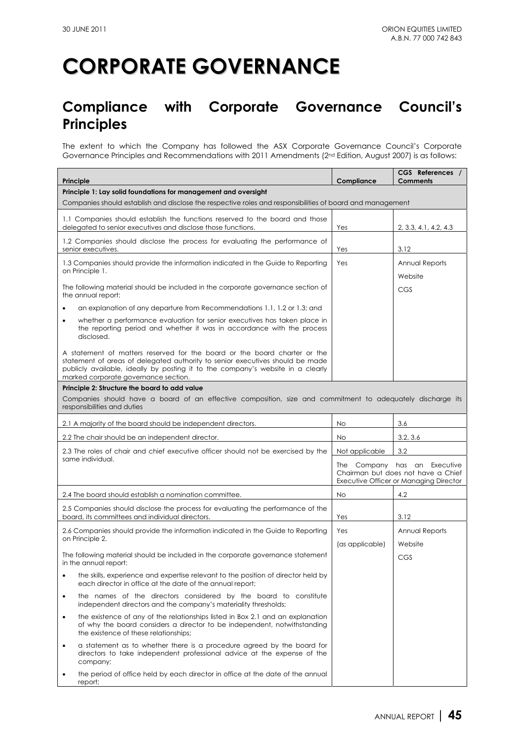## **Compliance with Corporate Governance Council's Principles**

The extent to which the Company has followed the ASX Corporate Governance Council's Corporate Governance Principles and Recommendations with 2011 Amendments (2<sup>nd</sup> Edition, August 2007) is as follows:

| Principle                                                                                                                                                                                                                                                                             | Compliance                                                                                                   | CGS References /<br><b>Comments</b> |  |  |  |
|---------------------------------------------------------------------------------------------------------------------------------------------------------------------------------------------------------------------------------------------------------------------------------------|--------------------------------------------------------------------------------------------------------------|-------------------------------------|--|--|--|
| Principle 1: Lay solid foundations for management and oversight                                                                                                                                                                                                                       |                                                                                                              |                                     |  |  |  |
| Companies should establish and disclose the respective roles and responsibilities of board and management                                                                                                                                                                             |                                                                                                              |                                     |  |  |  |
| 1.1 Companies should establish the functions reserved to the board and those<br>delegated to senior executives and disclose those functions.                                                                                                                                          | Yes                                                                                                          | 2, 3.3, 4.1, 4.2, 4.3               |  |  |  |
| 1.2 Companies should disclose the process for evaluating the performance of<br>senior executives.                                                                                                                                                                                     | Yes                                                                                                          | 3.12                                |  |  |  |
| 1.3 Companies should provide the information indicated in the Guide to Reporting<br>on Principle 1.                                                                                                                                                                                   | Yes                                                                                                          | Annual Reports<br>Website           |  |  |  |
| The following material should be included in the corporate governance section of<br>the annual report:                                                                                                                                                                                |                                                                                                              | CGS                                 |  |  |  |
| an explanation of any departure from Recommendations 1.1, 1.2 or 1.3; and<br>$\bullet$                                                                                                                                                                                                |                                                                                                              |                                     |  |  |  |
| whether a performance evaluation for senior executives has taken place in<br>the reporting period and whether it was in accordance with the process<br>disclosed.                                                                                                                     |                                                                                                              |                                     |  |  |  |
| A statement of matters reserved for the board or the board charter or the<br>statement of areas of delegated authority to senior executives should be made<br>publicly available, ideally by posting it to the company's website in a clearly<br>marked corporate governance section. |                                                                                                              |                                     |  |  |  |
| Principle 2: Structure the board to add value                                                                                                                                                                                                                                         |                                                                                                              |                                     |  |  |  |
| Companies should have a board of an effective composition, size and commitment to adequately discharge its<br>responsibilities and duties                                                                                                                                             |                                                                                                              |                                     |  |  |  |
| 2.1 A majority of the board should be independent directors.                                                                                                                                                                                                                          | No                                                                                                           | 3.6                                 |  |  |  |
| 2.2 The chair should be an independent director.                                                                                                                                                                                                                                      | No                                                                                                           | 3.2, 3.6                            |  |  |  |
| 2.3 The roles of chair and chief executive officer should not be exercised by the                                                                                                                                                                                                     | Not applicable                                                                                               | 3.2                                 |  |  |  |
| same individual.                                                                                                                                                                                                                                                                      | The Company has an Executive<br>Chairman but does not have a Chief<br>Executive Officer or Managing Director |                                     |  |  |  |
| 2.4 The board should establish a nomination committee.                                                                                                                                                                                                                                | No                                                                                                           | 4.2                                 |  |  |  |
| 2.5 Companies should disclose the process for evaluating the performance of the                                                                                                                                                                                                       |                                                                                                              |                                     |  |  |  |
| board, its committees and individual directors.                                                                                                                                                                                                                                       | Yes                                                                                                          | 3.12                                |  |  |  |
| 2.6 Companies should provide the information indicated in the Guide to Reporting<br>on Principle 2.                                                                                                                                                                                   | Yes                                                                                                          | Annual Reports                      |  |  |  |
| The following material should be included in the corporate governance statement                                                                                                                                                                                                       | (as applicable)                                                                                              | Website                             |  |  |  |
| in the annual report:                                                                                                                                                                                                                                                                 |                                                                                                              | CGS                                 |  |  |  |
| the skills, experience and expertise relevant to the position of director held by<br>$\bullet$<br>each director in office at the date of the annual report;                                                                                                                           |                                                                                                              |                                     |  |  |  |
| the names of the directors considered by the board to constitute<br>$\bullet$<br>independent directors and the company's materiality thresholds;                                                                                                                                      |                                                                                                              |                                     |  |  |  |
| the existence of any of the relationships listed in Box 2.1 and an explanation<br>$\bullet$<br>of why the board considers a director to be independent, notwithstanding<br>the existence of these relationships;                                                                      |                                                                                                              |                                     |  |  |  |
| a statement as to whether there is a procedure agreed by the board for<br>$\bullet$<br>directors to take independent professional advice at the expense of the<br>company;                                                                                                            |                                                                                                              |                                     |  |  |  |
| the period of office held by each director in office at the date of the annual<br>report;                                                                                                                                                                                             |                                                                                                              |                                     |  |  |  |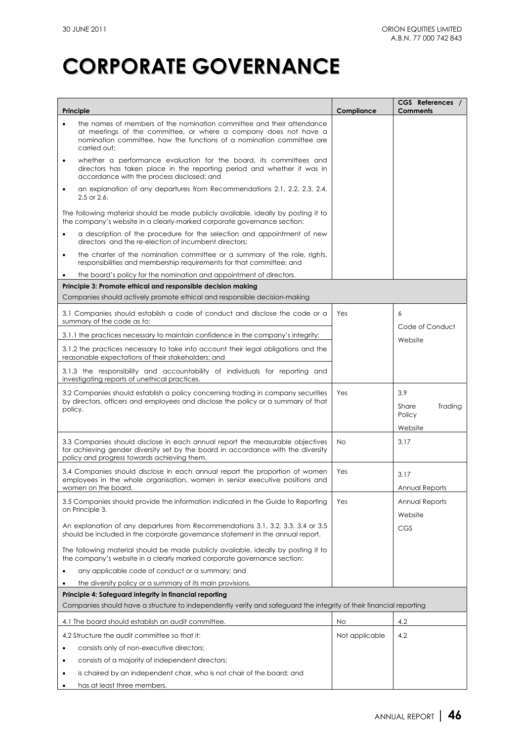| Principle                                                                                                                                                                                                                                       | Compliance     | CGS References /<br><b>Comments</b> |
|-------------------------------------------------------------------------------------------------------------------------------------------------------------------------------------------------------------------------------------------------|----------------|-------------------------------------|
| the names of members of the nomination committee and their attendance<br>$\bullet$<br>at meetings of the committee, or where a company does not have a<br>nomination committee, how the functions of a nomination committee are<br>carried out: |                |                                     |
| whether a performance evaluation for the board, its committees and<br>$\bullet$<br>directors has taken place in the reporting period and whether it was in<br>accordance with the process disclosed; and                                        |                |                                     |
| an explanation of any departures from Recommendations 2.1, 2.2, 2.3, 2.4,<br>$\bullet$<br>2.5 or 2.6.                                                                                                                                           |                |                                     |
| The following material should be made publicly available, ideally by posting it to<br>the company's website in a clearly-marked corporate governance section:                                                                                   |                |                                     |
| a description of the procedure for the selection and appointment of new<br>$\bullet$<br>directors and the re-election of incumbent directors;                                                                                                   |                |                                     |
| the charter of the nomination committee or a summary of the role, rights,<br>$\bullet$<br>responsibilities and membership requirements for that committee; and                                                                                  |                |                                     |
| the board's policy for the nomination and appointment of directors.<br>$\bullet$                                                                                                                                                                |                |                                     |
| Principle 3: Promote ethical and responsible decision making                                                                                                                                                                                    |                |                                     |
| Companies should actively promote ethical and responsible decision-making                                                                                                                                                                       |                |                                     |
| 3.1 Companies should establish a code of conduct and disclose the code or a<br>summary of the code as to:                                                                                                                                       | Yes            | 6                                   |
| 3.1.1 the practices necessary to maintain confidence in the company's integrity;                                                                                                                                                                |                | Code of Conduct                     |
| 3.1.2 the practices necessary to take into account their legal obligations and the<br>reasonable expectations of their stakeholders; and                                                                                                        |                | Website                             |
| 3.1.3 the responsibility and accountability of individuals for reporting and<br>investigating reports of unethical practices.                                                                                                                   |                |                                     |
| 3.2 Companies should establish a policy concerning trading in company securities<br>by directors, officers and employees and disclose the policy or a summary of that<br>policy.                                                                | Yes            | 3.9<br>Share<br>Trading<br>Policy   |
| 3.3 Companies should disclose in each annual report the measurable objectives<br>for achieving gender diversity set by the board in accordance with the diversity<br>policy and progress towards achieving them.                                | No             | Website<br>3.17                     |
| 3.4 Companies should disclose in each annual report the proportion of women<br>employees in the whole organisation, women in senior executive positions and<br>women on the board.                                                              | Yes            | 3.17<br>Annual Reports              |
| 3.5 Companies should provide the information indicated in the Guide to Reporting<br>on Principle 3.                                                                                                                                             | Yes            | Annual Reports<br>Website           |
| An explanation of any departures from Recommendations 3.1, 3.2, 3.3, 3.4 or 3.5<br>should be included in the corporate governance statement in the annual report.                                                                               |                | CGS                                 |
| The following material should be made publicly available, ideally by posting it to<br>the company's website in a clearly marked corporate governance section:                                                                                   |                |                                     |
| any applicable code of conduct or a summary; and<br>$\bullet$                                                                                                                                                                                   |                |                                     |
| the diversity policy or a summary of its main provisions.                                                                                                                                                                                       |                |                                     |
| Principle 4: Safeguard integrity in financial reporting                                                                                                                                                                                         |                |                                     |
| Companies should have a structure to independently verify and safeguard the integrity of their financial reporting                                                                                                                              |                |                                     |
| 4.1 The board should establish an audit committee.                                                                                                                                                                                              | No             | 4.2                                 |
| 4.2 Structure the audit committee so that it:                                                                                                                                                                                                   | Not applicable | 4.2                                 |
| consists only of non-executive directors;<br>$\bullet$                                                                                                                                                                                          |                |                                     |
| consists of a majority of independent directors;<br>$\bullet$                                                                                                                                                                                   |                |                                     |
| is chaired by an independent chair, who is not chair of the board; and<br>$\bullet$                                                                                                                                                             |                |                                     |
| has at least three members.                                                                                                                                                                                                                     |                |                                     |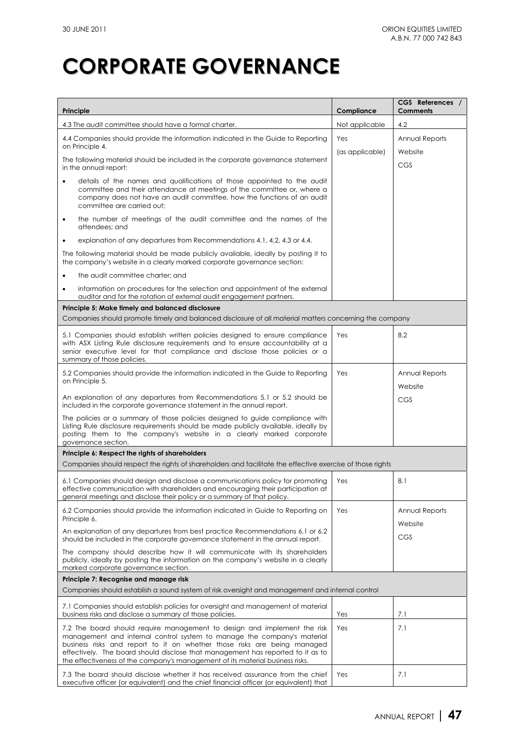| Principle                                                                                                                                                                                                                                                                                                                                                                                           | Compliance      | CGS References /<br><b>Comments</b> |  |  |
|-----------------------------------------------------------------------------------------------------------------------------------------------------------------------------------------------------------------------------------------------------------------------------------------------------------------------------------------------------------------------------------------------------|-----------------|-------------------------------------|--|--|
| 4.3 The audit committee should have a formal charter.                                                                                                                                                                                                                                                                                                                                               | Not applicable  | 4.2                                 |  |  |
| 4.4 Companies should provide the information indicated in the Guide to Reporting<br>on Principle 4.                                                                                                                                                                                                                                                                                                 | Yes             | Annual Reports                      |  |  |
| The following material should be included in the corporate governance statement<br>in the annual report:                                                                                                                                                                                                                                                                                            | (as applicable) | Website<br>CGS                      |  |  |
| details of the names and qualifications of those appointed to the audit<br>$\bullet$<br>committee and their attendance at meetings of the committee or, where a<br>company does not have an audit committee, how the functions of an audit<br>committee are carried out:                                                                                                                            |                 |                                     |  |  |
| the number of meetings of the audit committee and the names of the<br>$\bullet$<br>attendees: and                                                                                                                                                                                                                                                                                                   |                 |                                     |  |  |
| explanation of any departures from Recommendations 4.1, 4.2, 4.3 or 4.4.<br>$\bullet$                                                                                                                                                                                                                                                                                                               |                 |                                     |  |  |
| The following material should be made publicly available, ideally by posting it to<br>the company's website in a clearly marked corporate governance section:                                                                                                                                                                                                                                       |                 |                                     |  |  |
| the audit committee charter; and<br>$\bullet$                                                                                                                                                                                                                                                                                                                                                       |                 |                                     |  |  |
| information on procedures for the selection and appointment of the external<br>٠<br>auditor and for the rotation of external audit engagement partners.                                                                                                                                                                                                                                             |                 |                                     |  |  |
| Principle 5: Make timely and balanced disclosure                                                                                                                                                                                                                                                                                                                                                    |                 |                                     |  |  |
| Companies should promote timely and balanced disclosure of all material matters concerning the company                                                                                                                                                                                                                                                                                              |                 |                                     |  |  |
| 5.1 Companies should establish written policies designed to ensure compliance<br>with ASX Listing Rule disclosure requirements and to ensure accountability at a<br>senior executive level for that compliance and disclose those policies or a<br>summary of those policies.                                                                                                                       | Yes             | 8.2                                 |  |  |
| 5.2 Companies should provide the information indicated in the Guide to Reporting<br>on Principle 5.                                                                                                                                                                                                                                                                                                 | Yes             | Annual Reports<br>Website           |  |  |
| An explanation of any departures from Recommendations 5.1 or 5.2 should be<br>included in the corporate governance statement in the annual report.<br>The policies or a summary of those policies designed to guide compliance with                                                                                                                                                                 |                 | CGS                                 |  |  |
| Listing Rule disclosure requirements should be made publicly available, ideally by<br>posting them to the company's website in a clearly marked corporate<br>governance section.                                                                                                                                                                                                                    |                 |                                     |  |  |
| Principle 6: Respect the rights of shareholders                                                                                                                                                                                                                                                                                                                                                     |                 |                                     |  |  |
| Companies should respect the rights of shareholders and facilitate the effective exercise of those rights                                                                                                                                                                                                                                                                                           |                 |                                     |  |  |
| 6.1 Companies should design and disclose a communications policy for promoting<br>effective communication with shareholders and encouraging their participation at<br>general meetings and disclose their policy or a summary of that policy.                                                                                                                                                       | Yes             | 8.1                                 |  |  |
| 6.2 Companies should provide the information indicated in Guide to Reporting on<br>Principle 6.                                                                                                                                                                                                                                                                                                     | Yes             | Annual Reports                      |  |  |
| An explanation of any departures from best practice Recommendations 6.1 or 6.2<br>should be included in the corporate governance statement in the annual report.                                                                                                                                                                                                                                    |                 | Website<br>CGS                      |  |  |
| The company should describe how it will communicate with its shareholders<br>publicly, ideally by posting the information on the company's website in a clearly<br>marked corporate governance section.                                                                                                                                                                                             |                 |                                     |  |  |
| Principle 7: Recognise and manage risk                                                                                                                                                                                                                                                                                                                                                              |                 |                                     |  |  |
| Companies should establish a sound system of risk oversight and management and internal control                                                                                                                                                                                                                                                                                                     |                 |                                     |  |  |
| 7.1 Companies should establish policies for oversight and management of material<br>business risks and disclose a summary of those policies.                                                                                                                                                                                                                                                        | Yes             | 7.1                                 |  |  |
| 7.2 The board should require management to design and implement the risk<br>management and internal control system to manage the company's material<br>business risks and report to it on whether those risks are being managed<br>effectively. The board should disclose that management has reported to it as to<br>the effectiveness of the company's management of its material business risks. | Yes             | 7.1                                 |  |  |
| 7.3 The board should disclose whether it has received assurance from the chief<br>executive officer (or equivalent) and the chief financial officer (or equivalent) that                                                                                                                                                                                                                            | Yes             | 7.1                                 |  |  |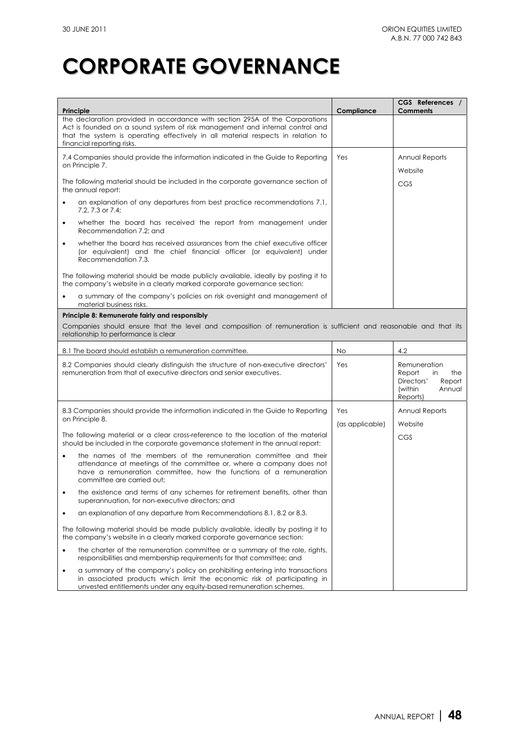| Principle                                                                                                                                                                                                                                                                      | Compliance      | CGS References /<br><b>Comments</b>                                                           |
|--------------------------------------------------------------------------------------------------------------------------------------------------------------------------------------------------------------------------------------------------------------------------------|-----------------|-----------------------------------------------------------------------------------------------|
| the declaration provided in accordance with section 295A of the Corporations<br>Act is founded on a sound system of risk management and internal control and<br>that the system is operating effectively in all material respects in relation to<br>financial reporting risks. |                 |                                                                                               |
| 7.4 Companies should provide the information indicated in the Guide to Reporting<br>on Principle 7.                                                                                                                                                                            | Yes             | Annual Reports<br>Website                                                                     |
| The following material should be included in the corporate governance section of<br>the annual report:                                                                                                                                                                         |                 | CGS                                                                                           |
| an explanation of any departures from best practice recommendations 7.1,<br>7.2, 7.3 or 7.4;                                                                                                                                                                                   |                 |                                                                                               |
| whether the board has received the report from management under<br>$\bullet$<br>Recommendation 7.2; and                                                                                                                                                                        |                 |                                                                                               |
| whether the board has received assurances from the chief executive officer<br>$\bullet$<br>(or equivalent) and the chief financial officer (or equivalent) under<br>Recommendation 7.3.                                                                                        |                 |                                                                                               |
| The following material should be made publicly available, ideally by posting it to<br>the company's website in a clearly marked corporate governance section:                                                                                                                  |                 |                                                                                               |
| a summary of the company's policies on risk oversight and management of<br>material business risks.                                                                                                                                                                            |                 |                                                                                               |
| Principle 8: Remunerate fairly and responsibly                                                                                                                                                                                                                                 |                 |                                                                                               |
| Companies should ensure that the level and composition of remuneration is sufficient and reasonable and that its<br>relationship to performance is clear                                                                                                                       |                 |                                                                                               |
|                                                                                                                                                                                                                                                                                |                 |                                                                                               |
| 8.1 The board should establish a remuneration committee.                                                                                                                                                                                                                       | No              | 4.2                                                                                           |
| 8.2 Companies should clearly distinguish the structure of non-executive directors'<br>remuneration from that of executive directors and senior executives.                                                                                                                     | Yes             | Remuneration<br>the<br>Report<br>in.<br>Directors'<br>Report<br>(within<br>Annual<br>Reports) |
| 8.3 Companies should provide the information indicated in the Guide to Reporting<br>on Principle 8.                                                                                                                                                                            | Yes             | Annual Reports                                                                                |
| The following material or a clear cross-reference to the location of the material<br>should be included in the corporate governance statement in the annual report:                                                                                                            | (as applicable) | Website<br>CGS                                                                                |
| the names of the members of the remuneration committee and their<br>$\bullet$<br>attendance at meetings of the committee or, where a company does not<br>have a remuneration committee, how the functions of a remuneration<br>committee are carried out;                      |                 |                                                                                               |
| the existence and terms of any schemes for retirement benefits, other than<br>superannuation, for non-executive directors; and                                                                                                                                                 |                 |                                                                                               |
| an explanation of any departure from Recommendations 8.1, 8.2 or 8.3.<br>٠                                                                                                                                                                                                     |                 |                                                                                               |
| The following material should be made publicly available, ideally by posting it to<br>the company's website in a clearly marked corporate governance section:                                                                                                                  |                 |                                                                                               |
| the charter of the remuneration committee or a summary of the role, rights,<br>$\bullet$<br>responsibilities and membership requirements for that committee; and                                                                                                               |                 |                                                                                               |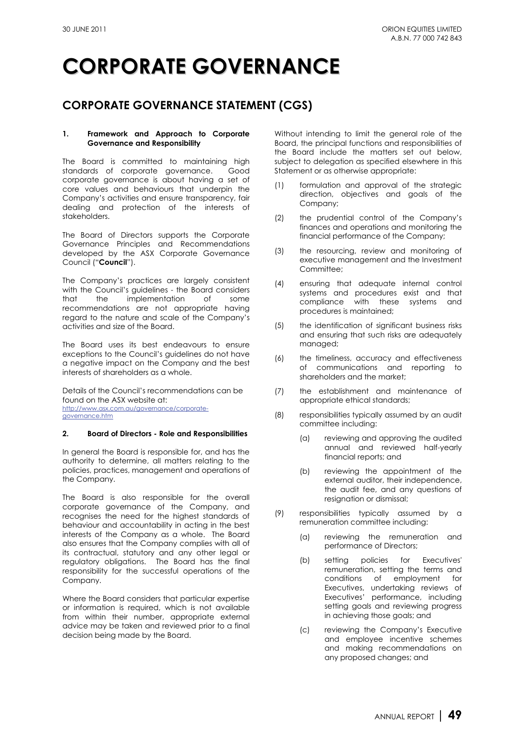## **CORPORATE GOVERNANCE STATEMENT (CGS)**

### **1. Framework and Approach to Corporate Governance and Responsibility**

The Board is committed to maintaining high standards of corporate governance. Good corporate governance is about having a set of core values and behaviours that underpin the Company's activities and ensure transparency, fair dealing and protection of the interests of stakeholders.

The Board of Directors supports the Corporate Governance Principles and Recommendations developed by the ASX Corporate Governance Council ("**Council**").

The Company's practices are largely consistent with the Council's guidelines - the Board considers that the implementation of some recommendations are not appropriate having regard to the nature and scale of the Company's activities and size of the Board.

The Board uses its best endeavours to ensure exceptions to the Council's guidelines do not have a negative impact on the Company and the best interests of shareholders as a whole.

Details of the Council's recommendations can be found on the ASX website at: http://www.asx.com.au/governance/corporategovernance.htm

### **2. Board of Directors - Role and Responsibilities**

In general the Board is responsible for, and has the authority to determine, all matters relating to the policies, practices, management and operations of the Company.

The Board is also responsible for the overall corporate governance of the Company, and recognises the need for the highest standards of behaviour and accountability in acting in the best interests of the Company as a whole. The Board also ensures that the Company complies with all of its contractual, statutory and any other legal or regulatory obligations. The Board has the final responsibility for the successful operations of the Company.

Where the Board considers that particular expertise or information is required, which is not available from within their number, appropriate external advice may be taken and reviewed prior to a final decision being made by the Board.

Without intending to limit the general role of the Board, the principal functions and responsibilities of the Board include the matters set out below, subject to delegation as specified elsewhere in this Statement or as otherwise appropriate:

- (1) formulation and approval of the strategic direction, objectives and goals of the Company;
- (2) the prudential control of the Company's finances and operations and monitoring the financial performance of the Company;
- (3) the resourcing, review and monitoring of executive management and the Investment Committee;
- (4) ensuring that adequate internal control systems and procedures exist and that compliance with these systems and procedures is maintained;
- (5) the identification of significant business risks and ensuring that such risks are adequately managed;
- (6) the timeliness, accuracy and effectiveness of communications and reporting to shareholders and the market;
- (7) the establishment and maintenance of appropriate ethical standards;
- (8) responsibilities typically assumed by an audit committee including:
	- (a) reviewing and approving the audited annual and reviewed half-yearly financial reports; and
	- (b) reviewing the appointment of the external auditor, their independence, the audit fee, and any questions of resignation or dismissal;
- (9) responsibilities typically assumed by a remuneration committee including:
	- (a) reviewing the remuneration and performance of Directors;
	- (b) setting policies for Executives' remuneration, setting the terms and conditions of employment for Executives, undertaking reviews of Executives' performance, including setting goals and reviewing progress in achieving those goals; and
	- (c) reviewing the Company's Executive and employee incentive schemes and making recommendations on any proposed changes; and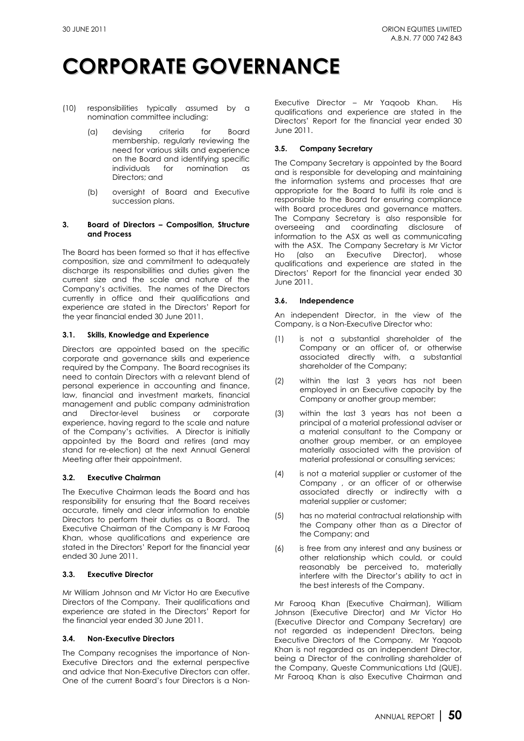- (10) responsibilities typically assumed by a nomination committee including:
	- (a) devising criteria for Board membership, regularly reviewing the need for various skills and experience on the Board and identifying specific<br>individuals for nomination as individuals for Directors; and
	- (b) oversight of Board and Executive succession plans.

### **3. Board of Directors – Composition, Structure and Process**

The Board has been formed so that it has effective composition, size and commitment to adequately discharge its responsibilities and duties given the current size and the scale and nature of the Company's activities. The names of the Directors currently in office and their qualifications and experience are stated in the Directors' Report for the year financial ended 30 June 2011.

### **3.1. Skills, Knowledge and Experience**

Directors are appointed based on the specific corporate and governance skills and experience required by the Company. The Board recognises its need to contain Directors with a relevant blend of personal experience in accounting and finance, law, financial and investment markets, financial management and public company administration and Director-level business or corporate experience, having regard to the scale and nature of the Company's activities. A Director is initially appointed by the Board and retires (and may stand for re-election) at the next Annual General Meeting after their appointment.

### **3.2. Executive Chairman**

The Executive Chairman leads the Board and has responsibility for ensuring that the Board receives accurate, timely and clear information to enable Directors to perform their duties as a Board. The Executive Chairman of the Company is Mr Farooq Khan, whose qualifications and experience are stated in the Directors' Report for the financial year ended 30 June 2011.

### **3.3. Executive Director**

Mr William Johnson and Mr Victor Ho are Executive Directors of the Company. Their qualifications and experience are stated in the Directors' Report for the financial year ended 30 June 2011.

### **3.4. Non-Executive Directors**

The Company recognises the importance of Non-Executive Directors and the external perspective and advice that Non-Executive Directors can offer. One of the current Board's four Directors is a NonExecutive Director – Mr Yaqoob Khan. His qualifications and experience are stated in the Directors' Report for the financial year ended 30 June 2011.

### **3.5. Company Secretary**

The Company Secretary is appointed by the Board and is responsible for developing and maintaining the information systems and processes that are appropriate for the Board to fulfil its role and is responsible to the Board for ensuring compliance with Board procedures and governance matters. The Company Secretary is also responsible for overseeing and coordinating disclosure of information to the ASX as well as communicating with the ASX. The Company Secretary is Mr Victor Ho (also an Executive Director), whose qualifications and experience are stated in the Directors' Report for the financial year ended 30 June 2011.

### **3.6. Independence**

An independent Director, in the view of the Company, is a Non-Executive Director who:

- (1) is not a substantial shareholder of the Company or an officer of, or otherwise associated directly with, a substantial shareholder of the Company;
- (2) within the last 3 years has not been employed in an Executive capacity by the Company or another group member;
- (3) within the last 3 years has not been a principal of a material professional adviser or a material consultant to the Company or another group member, or an employee materially associated with the provision of material professional or consulting services;
- (4) is not a material supplier or customer of the Company , or an officer of or otherwise associated directly or indirectly with a material supplier or customer;
- (5) has no material contractual relationship with the Company other than as a Director of the Company; and
- (6) is free from any interest and any business or other relationship which could, or could reasonably be perceived to, materially interfere with the Director's ability to act in the best interests of the Company.

Mr Farooq Khan (Executive Chairman), William Johnson (Executive Director) and Mr Victor Ho (Executive Director and Company Secretary) are not regarded as independent Directors, being Executive Directors of the Company. Mr Yaqoob Khan is not regarded as an independent Director, being a Director of the controlling shareholder of the Company, Queste Communications Ltd (QUE). Mr Farooq Khan is also Executive Chairman and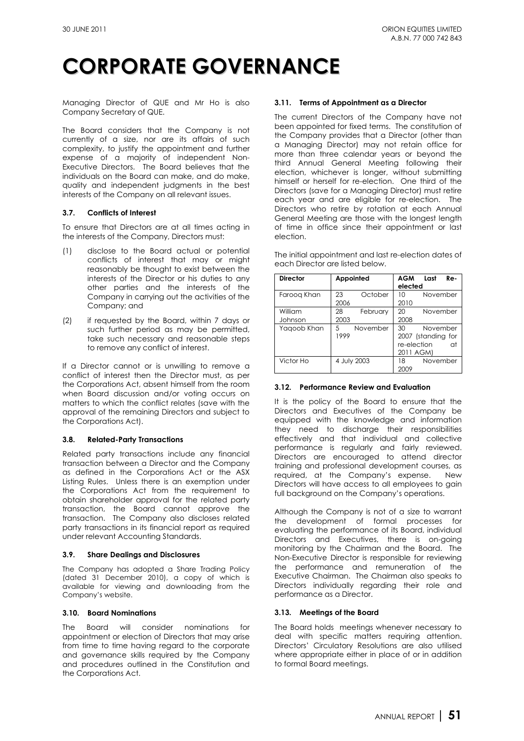Managing Director of QUE and Mr Ho is also Company Secretary of QUE.

The Board considers that the Company is not currently of a size, nor are its affairs of such complexity, to justify the appointment and further expense of a majority of independent Non-Executive Directors. The Board believes that the individuals on the Board can make, and do make, quality and independent judgments in the best interests of the Company on all relevant issues.

### **3.7. Conflicts of Interest**

To ensure that Directors are at all times acting in the interests of the Company, Directors must:

- (1) disclose to the Board actual or potential conflicts of interest that may or might reasonably be thought to exist between the interests of the Director or his duties to any other parties and the interests of the Company in carrying out the activities of the Company; and
- (2) if requested by the Board, within 7 days or such further period as may be permitted, take such necessary and reasonable steps to remove any conflict of interest.

If a Director cannot or is unwilling to remove a conflict of interest then the Director must, as per the Corporations Act, absent himself from the room when Board discussion and/or voting occurs on matters to which the conflict relates (save with the approval of the remaining Directors and subject to the Corporations Act).

### **3.8. Related-Party Transactions**

Related party transactions include any financial transaction between a Director and the Company as defined in the Corporations Act or the ASX Listing Rules. Unless there is an exemption under the Corporations Act from the requirement to obtain shareholder approval for the related party transaction, the Board cannot approve the transaction. The Company also discloses related party transactions in its financial report as required under relevant Accounting Standards.

### **3.9. Share Dealings and Disclosures**

The Company has adopted a Share Trading Policy (dated 31 December 2010), a copy of which is available for viewing and downloading from the Company's website.

### **3.10. Board Nominations**

The Board will consider nominations for appointment or election of Directors that may arise from time to time having regard to the corporate and governance skills required by the Company and procedures outlined in the Constitution and the Corporations Act.

### **3.11. Terms of Appointment as a Director**

The current Directors of the Company have not been appointed for fixed terms. The constitution of the Company provides that a Director (other than a Managing Director) may not retain office for more than three calendar years or beyond the third Annual General Meeting following their election, whichever is longer, without submitting himself or herself for re-election. One third of the Directors (save for a Managing Director) must retire each year and are eligible for re-election. The Directors who retire by rotation at each Annual General Meeting are those with the longest length of time in office since their appointment or last election.

The initial appointment and last re-election dates of each Director are listed below.

| <b>Director</b>    | Appointed              | <b>AGM</b><br>Re-<br>Last<br>elected                                   |
|--------------------|------------------------|------------------------------------------------------------------------|
| Faroog Khan        | 23<br>October<br>2006  | November<br>10<br>2010                                                 |
| William<br>Johnson | 28<br>February<br>2003 | 20<br>November<br>2008                                                 |
| Yagoob Khan        | 5<br>November<br>1999  | 30<br>November<br>2007 (standing for<br>re-election<br>Πh<br>2011 AGM) |
| Victor Ho          | 4 July 2003            | November<br>18<br>2009                                                 |

### **3.12. Performance Review and Evaluation**

It is the policy of the Board to ensure that the Directors and Executives of the Company be equipped with the knowledge and information they need to discharge their responsibilities effectively and that individual and collective performance is regularly and fairly reviewed. Directors are encouraged to attend director training and professional development courses, as required, at the Company's expense. New Directors will have access to all employees to gain full background on the Company's operations.

Although the Company is not of a size to warrant the development of formal processes for evaluating the performance of its Board, individual Directors and Executives, there is on-going monitoring by the Chairman and the Board. The Non-Executive Director is responsible for reviewing the performance and remuneration of the Executive Chairman. The Chairman also speaks to Directors individually regarding their role and performance as a Director.

### **3.13. Meetings of the Board**

The Board holds meetings whenever necessary to deal with specific matters requiring attention. Directors' Circulatory Resolutions are also utilised where appropriate either in place of or in addition to formal Board meetings.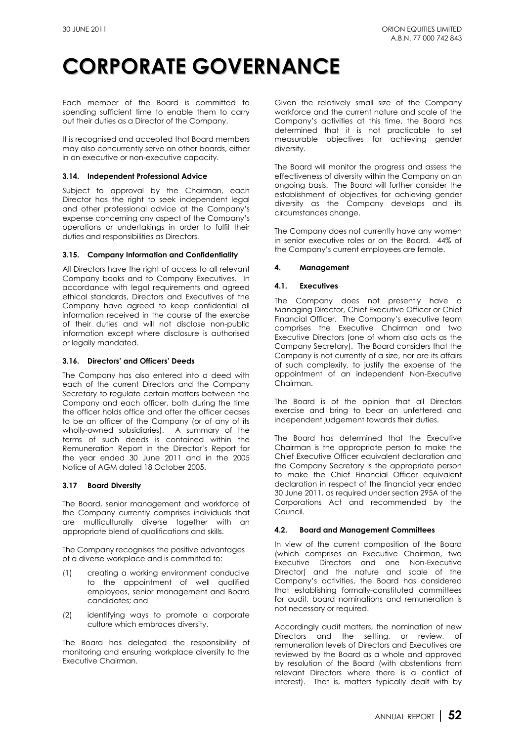Each member of the Board is committed to spending sufficient time to enable them to carry out their duties as a Director of the Company.

It is recognised and accepted that Board members may also concurrently serve on other boards, either in an executive or non-executive capacity.

### **3.14. Independent Professional Advice**

Subject to approval by the Chairman, each Director has the right to seek independent legal and other professional advice at the Company's expense concerning any aspect of the Company's operations or undertakings in order to fulfil their duties and responsibilities as Directors.

### **3.15. Company Information and Confidentiality**

All Directors have the right of access to all relevant Company books and to Company Executives. In accordance with legal requirements and agreed ethical standards, Directors and Executives of the Company have agreed to keep confidential all information received in the course of the exercise of their duties and will not disclose non-public information except where disclosure is authorised or legally mandated.

### **3.16. Directors' and Officers' Deeds**

The Company has also entered into a deed with each of the current Directors and the Company Secretary to regulate certain matters between the Company and each officer, both during the time the officer holds office and after the officer ceases to be an officer of the Company (or of any of its wholly-owned subsidiaries). A summary of the terms of such deeds is contained within the Remuneration Report in the Director's Report for the year ended 30 June 2011 and in the 2005 Notice of AGM dated 18 October 2005.

### **3.17 Board Diversity**

The Board, senior management and workforce of the Company currently comprises individuals that are multiculturally diverse together with an appropriate blend of qualifications and skills.

The Company recognises the positive advantages of a diverse workplace and is committed to:

- (1) creating a working environment conducive to the appointment of well qualified employees, senior management and Board candidates; and
- (2) identifying ways to promote a corporate culture which embraces diversity.

The Board has delegated the responsibility of monitoring and ensuring workplace diversity to the Executive Chairman.

Given the relatively small size of the Company workforce and the current nature and scale of the Company's activities at this time, the Board has determined that it is not practicable to set measurable objectives for achieving gender diversity.

The Board will monitor the progress and assess the effectiveness of diversity within the Company on an ongoing basis. The Board will further consider the establishment of objectives for achieving gender diversity as the Company develops and its circumstances change.

The Company does not currently have any women in senior executive roles or on the Board. 44% of the Company's current employees are female.

### **4. Management**

### **4.1. Executives**

The Company does not presently have a Managing Director, Chief Executive Officer or Chief Financial Officer. The Company's executive team comprises the Executive Chairman and two Executive Directors (one of whom also acts as the Company Secretary). The Board considers that the Company is not currently of a size, nor are its affairs of such complexity, to justify the expense of the appointment of an independent Non-Executive Chairman.

The Board is of the opinion that all Directors exercise and bring to bear an unfettered and independent judgement towards their duties.

The Board has determined that the Executive Chairman is the appropriate person to make the Chief Executive Officer equivalent declaration and the Company Secretary is the appropriate person to make the Chief Financial Officer equivalent declaration in respect of the financial year ended 30 June 2011, as required under section 295A of the Corporations Act and recommended by the Council.

### **4.2. Board and Management Committees**

In view of the current composition of the Board (which comprises an Executive Chairman, two Executive Directors and one Non-Executive Director) and the nature and scale of the Company's activities, the Board has considered that establishing formally-constituted committees for audit, board nominations and remuneration is not necessary or required.

Accordingly audit matters, the nomination of new Directors and the setting, or review, of remuneration levels of Directors and Executives are reviewed by the Board as a whole and approved by resolution of the Board (with abstentions from relevant Directors where there is a conflict of interest). That is, matters typically dealt with by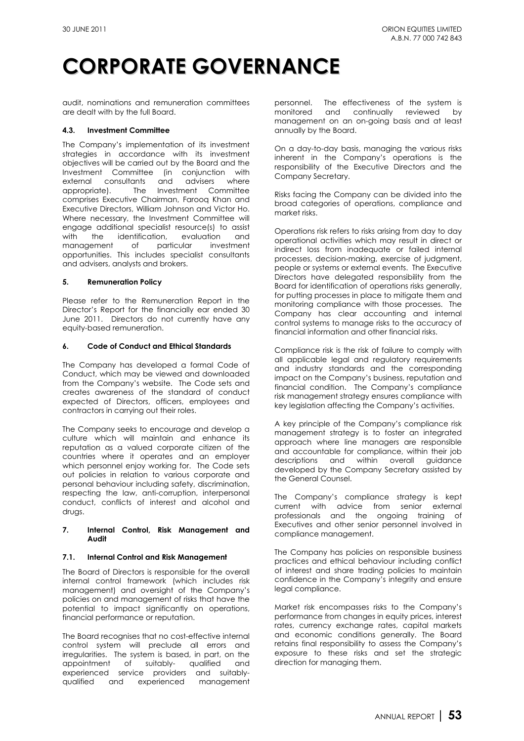audit, nominations and remuneration committees are dealt with by the full Board.

### **4.3. Investment Committee**

The Company's implementation of its investment strategies in accordance with its investment objectives will be carried out by the Board and the Investment Committee (in conjunction with external consultants and advisers where external consultants and appropriate). The Investment Committee comprises Executive Chairman, Farooq Khan and Executive Directors, William Johnson and Victor Ho. Where necessary, the Investment Committee will engage additional specialist resource(s) to assist with the identification, evaluation and<br>management of particular investment management of particular opportunities. This includes specialist consultants and advisers, analysts and brokers.

### **5. Remuneration Policy**

Please refer to the Remuneration Report in the Director's Report for the financially ear ended 30 June 2011. Directors do not currently have any equity-based remuneration.

### **6. Code of Conduct and Ethical Standards**

The Company has developed a formal Code of Conduct, which may be viewed and downloaded from the Company's website. The Code sets and creates awareness of the standard of conduct expected of Directors, officers, employees and contractors in carrying out their roles.

The Company seeks to encourage and develop a culture which will maintain and enhance its reputation as a valued corporate citizen of the countries where it operates and an employer which personnel enjoy working for. The Code sets out policies in relation to various corporate and personal behaviour including safety, discrimination, respecting the law, anti-corruption, interpersonal conduct, conflicts of interest and alcohol and drugs.

### **7. Internal Control, Risk Management and Audit**

### **7.1. Internal Control and Risk Management**

The Board of Directors is responsible for the overall internal control framework (which includes risk management) and oversight of the Company's policies on and management of risks that have the potential to impact significantly on operations, financial performance or reputation.

The Board recognises that no cost-effective internal control system will preclude all errors and irregularities. The system is based, in part, on the appointment of suitably- qualified and experienced service providers and suitablyqualified and experienced management

personnel. The effectiveness of the system is monitored and continually reviewed by management on an on-going basis and at least annually by the Board.

On a day-to-day basis, managing the various risks inherent in the Company's operations is the responsibility of the Executive Directors and the Company Secretary.

Risks facing the Company can be divided into the broad categories of operations, compliance and market risks.

Operations risk refers to risks arising from day to day operational activities which may result in direct or indirect loss from inadequate or failed internal processes, decision-making, exercise of judgment, people or systems or external events. The Executive Directors have delegated responsibility from the Board for identification of operations risks generally, for putting processes in place to mitigate them and monitoring compliance with those processes. The Company has clear accounting and internal control systems to manage risks to the accuracy of financial information and other financial risks.

Compliance risk is the risk of failure to comply with all applicable legal and regulatory requirements and industry standards and the corresponding impact on the Company's business, reputation and financial condition. The Company's compliance risk management strategy ensures compliance with key legislation affecting the Company's activities.

A key principle of the Company's compliance risk management strategy is to foster an integrated approach where line managers are responsible and accountable for compliance, within their job descriptions and within overall guidance developed by the Company Secretary assisted by the General Counsel.

The Company's compliance strategy is kept current with advice from senior external professionals and the ongoing training of Executives and other senior personnel involved in compliance management.

The Company has policies on responsible business practices and ethical behaviour including conflict of interest and share trading policies to maintain confidence in the Company's integrity and ensure legal compliance.

Market risk encompasses risks to the Company's performance from changes in equity prices, interest rates, currency exchange rates, capital markets and economic conditions generally. The Board retains final responsibility to assess the Company's exposure to these risks and set the strategic direction for managing them.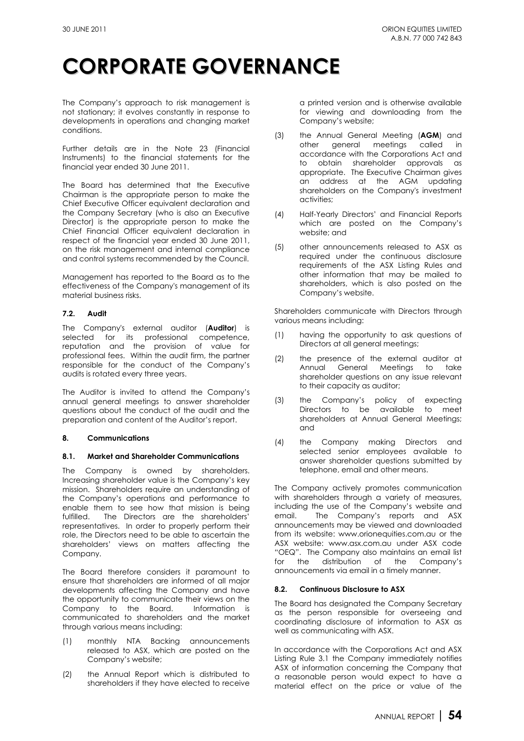The Company's approach to risk management is not stationary; it evolves constantly in response to developments in operations and changing market conditions.

Further details are in the Note 23 (Financial Instruments) to the financial statements for the financial year ended 30 June 2011.

The Board has determined that the Executive Chairman is the appropriate person to make the Chief Executive Officer equivalent declaration and the Company Secretary (who is also an Executive Director) is the appropriate person to make the Chief Financial Officer equivalent declaration in respect of the financial year ended 30 June 2011, on the risk management and internal compliance and control systems recommended by the Council.

Management has reported to the Board as to the effectiveness of the Company's management of its material business risks.

### **7.2. Audit**

The Company's external auditor (**Auditor**) is selected for its professional competence, reputation and the provision of value for professional fees. Within the audit firm, the partner responsible for the conduct of the Company's audits is rotated every three years.

The Auditor is invited to attend the Company's annual general meetings to answer shareholder questions about the conduct of the audit and the preparation and content of the Auditor's report.

### **8. Communications**

### **8.1. Market and Shareholder Communications**

The Company is owned by shareholders. Increasing shareholder value is the Company's key mission. Shareholders require an understanding of the Company's operations and performance to enable them to see how that mission is being fulfilled. The Directors are the shareholders' representatives. In order to properly perform their role, the Directors need to be able to ascertain the shareholders' views on matters affecting the Company.

The Board therefore considers it paramount to ensure that shareholders are informed of all major developments affecting the Company and have the opportunity to communicate their views on the Company to the Board. Information is communicated to shareholders and the market through various means including:

- (1) monthly NTA Backing announcements released to ASX, which are posted on the Company's website;
- (2) the Annual Report which is distributed to shareholders if they have elected to receive

a printed version and is otherwise available for viewing and downloading from the Company's website;

- (3) the Annual General Meeting (**AGM**) and other general meetings called in accordance with the Corporations Act and to obtain shareholder approvals as appropriate. The Executive Chairman gives an address at the AGM updating shareholders on the Company's investment activities;
- (4) Half-Yearly Directors' and Financial Reports which are posted on the Company's website; and
- (5) other announcements released to ASX as required under the continuous disclosure requirements of the ASX Listing Rules and other information that may be mailed to shareholders, which is also posted on the Company's website.

Shareholders communicate with Directors through various means including:

- (1) having the opportunity to ask questions of Directors at all general meetings;
- (2) the presence of the external auditor at Annual General Meetings to take shareholder questions on any issue relevant to their capacity as auditor;
- (3) the Company's policy of expecting Directors to be available to meet shareholders at Annual General Meetings; and
- (4) the Company making Directors and selected senior employees available to answer shareholder questions submitted by telephone, email and other means.

The Company actively promotes communication with shareholders through a variety of measures, including the use of the Company's website and email. The Company's reports and ASX announcements may be viewed and downloaded from its website: www.orionequities.com.au or the ASX website: www.asx.com.au under ASX code "OEQ". The Company also maintains an email list for the distribution of the Company's announcements via email in a timely manner.

### **8.2. Continuous Disclosure to ASX**

The Board has designated the Company Secretary as the person responsible for overseeing and coordinating disclosure of information to ASX as well as communicating with ASX.

In accordance with the Corporations Act and ASX Listing Rule 3.1 the Company immediately notifies ASX of information concerning the Company that a reasonable person would expect to have a material effect on the price or value of the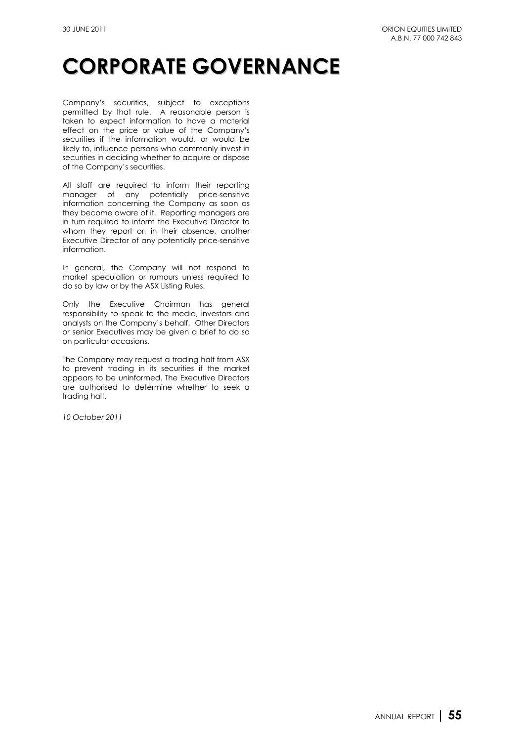Company's securities, subject to exceptions permitted by that rule. A reasonable person is taken to expect information to have a material effect on the price or value of the Company's securities if the information would, or would be likely to, influence persons who commonly invest in securities in deciding whether to acquire or dispose of the Company's securities.

All staff are required to inform their reporting manager of any potentially price-sensitive information concerning the Company as soon as they become aware of it. Reporting managers are in turn required to inform the Executive Director to whom they report or, in their absence, another Executive Director of any potentially price-sensitive information.

In general, the Company will not respond to market speculation or rumours unless required to do so by law or by the ASX Listing Rules.

Only the Executive Chairman has general responsibility to speak to the media, investors and analysts on the Company's behalf. Other Directors or senior Executives may be given a brief to do so on particular occasions.

The Company may request a trading halt from ASX to prevent trading in its securities if the market appears to be uninformed. The Executive Directors are authorised to determine whether to seek a trading halt.

*10 October 2011*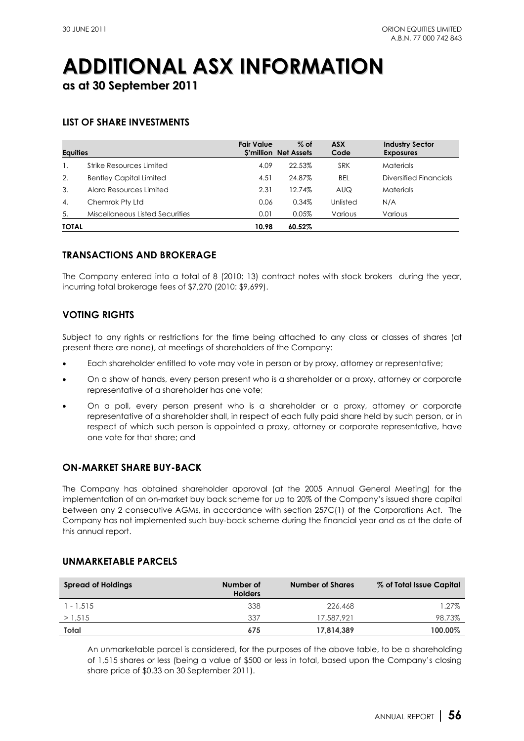# **ADDITIONAL ASX INFORMATION**

**as at 30 September 2011**

### **LIST OF SHARE INVESTMENTS**

| <b>Equities</b> |                                 | <b>Fair Value</b> | $%$ of<br><b>S'million Net Assets</b> | <b>ASX</b><br>Code | <b>Industry Sector</b><br><b>Exposures</b> |
|-----------------|---------------------------------|-------------------|---------------------------------------|--------------------|--------------------------------------------|
|                 | Strike Resources Limited        | 4.09              | 22.53%                                | <b>SRK</b>         | <b>Materials</b>                           |
| 2.              | <b>Bentley Capital Limited</b>  | 4.51              | 24.87%                                | <b>BEL</b>         | Diversified Financials                     |
| 3.              | Alara Resources Limited         | 2.31              | 12.74%                                | <b>AUQ</b>         | <b>Materials</b>                           |
| 4.              | Chemrok Pty Ltd                 | 0.06              | $0.34\%$                              | Unlisted           | N/A                                        |
| 5.              | Miscellaneous Listed Securities | 0.01              | 0.05%                                 | Various            | Various                                    |
| <b>TOTAL</b>    |                                 | 10.98             | 60.52%                                |                    |                                            |

### **TRANSACTIONS AND BROKERAGE**

The Company entered into a total of 8 (2010: 13) contract notes with stock brokers during the year, incurring total brokerage fees of \$7,270 (2010: \$9,699).

### **VOTING RIGHTS**

Subject to any rights or restrictions for the time being attached to any class or classes of shares (at present there are none), at meetings of shareholders of the Company:

- Each shareholder entitled to vote may vote in person or by proxy, attorney or representative;
- On a show of hands, every person present who is a shareholder or a proxy, attorney or corporate representative of a shareholder has one vote;
- On a poll, every person present who is a shareholder or a proxy, attorney or corporate representative of a shareholder shall, in respect of each fully paid share held by such person, or in respect of which such person is appointed a proxy, attorney or corporate representative, have one vote for that share; and

### **ON-MARKET SHARE BUY-BACK**

The Company has obtained shareholder approval (at the 2005 Annual General Meeting) for the implementation of an on-market buy back scheme for up to 20% of the Company's issued share capital between any 2 consecutive AGMs, in accordance with section 257C(1) of the Corporations Act. The Company has not implemented such buy-back scheme during the financial year and as at the date of this annual report.

| <b>Spread of Holdings</b> | Number of<br><b>Holders</b> | <b>Number of Shares</b> | % of Total Issue Capital |
|---------------------------|-----------------------------|-------------------------|--------------------------|
| $1 - 1.515$               | 338                         | 226,468                 | $1.27\%$                 |
| > 1,515                   | 337                         | 17,587,921              | 98.73%                   |
| Total                     | 675                         | 17,814,389              | 100.00%                  |

### **UNMARKETABLE PARCELS**

An unmarketable parcel is considered, for the purposes of the above table, to be a shareholding of 1,515 shares or less (being a value of \$500 or less in total, based upon the Company's closing share price of \$0.33 on 30 September 2011).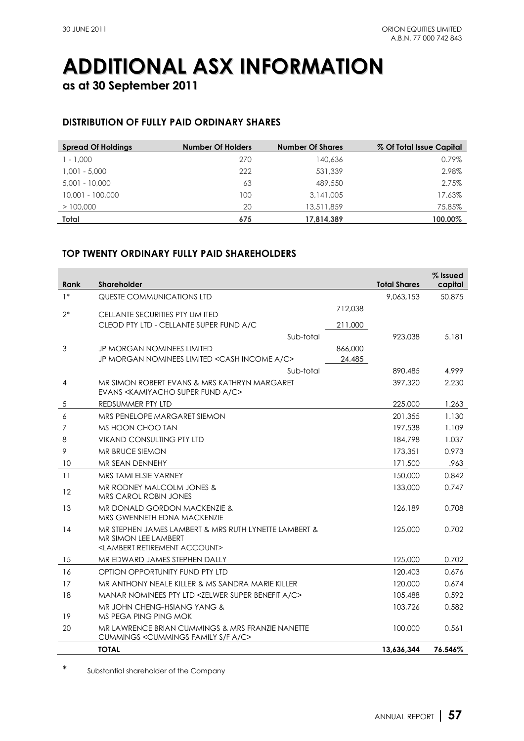# **ADDITIONAL ASX INFORMATION**

**as at 30 September 2011**

### **DISTRIBUTION OF FULLY PAID ORDINARY SHARES**

| <b>Spread Of Holdings</b> | <b>Number Of Holders</b> | <b>Number Of Shares</b> | % Of Total Issue Capital |
|---------------------------|--------------------------|-------------------------|--------------------------|
| 1 - 1.000                 | 270                      | 140,636                 | 0.79%                    |
| 1,001 - 5,000             | 222                      | 531,339                 | 2.98%                    |
| $5.001 - 10.000$          | 63                       | 489,550                 | 2.75%                    |
| 10,001 - 100,000          | 100                      | 3,141,005               | 17.63%                   |
| >100,000                  | 20                       | 13,511,859              | 75.85%                   |
| Total                     | 675                      | 17,814,389              | 100.00%                  |

### **TOP TWENTY ORDINARY FULLY PAID SHAREHOLDERS**

| <b>Rank</b> | <b>Shareholder</b>                                                                                                            |         | <b>Total Shares</b> | % issued<br>capital |
|-------------|-------------------------------------------------------------------------------------------------------------------------------|---------|---------------------|---------------------|
| $1*$        | QUESTE COMMUNICATIONS LTD                                                                                                     |         | 9.063.153           | 50.875              |
| $2*$        | <b>CELLANTE SECURITIES PTY LIM ITED</b>                                                                                       | 712,038 |                     |                     |
|             | CLEOD PTY LTD - CELLANTE SUPER FUND A/C                                                                                       | 211,000 |                     |                     |
|             | Sub-total                                                                                                                     |         | 923,038             | 5.181               |
| 3           | <b>JP MORGAN NOMINEES LIMITED</b>                                                                                             | 866,000 |                     |                     |
|             | JP MORGAN NOMINEES LIMITED <cash a="" c="" income=""></cash>                                                                  | 24,485  |                     |                     |
|             | Sub-total                                                                                                                     |         | 890,485             | 4.999               |
| 4           | MR SIMON ROBERT EVANS & MRS KATHRYN MARGARET<br>EVANS < KAMIYACHO SUPER FUND A/C>                                             |         | 397,320             | 2.230               |
| 5           | REDSUMMER PTY LTD                                                                                                             |         | 225,000             | 1.263               |
| 6           | MRS PENELOPE MARGARET SIEMON                                                                                                  |         | 201.355             | 1.130               |
| 7           | MS HOON CHOO TAN                                                                                                              |         | 197,538             | 1.109               |
| 8           | <b>VIKAND CONSULTING PTY LTD</b>                                                                                              |         | 184,798             | 1.037               |
| 9           | MR BRUCE SIEMON                                                                                                               |         | 173,351             | 0.973               |
| 10          | MR SEAN DENNEHY                                                                                                               |         | 171,500             | .963                |
| 11          | MRS TAMI ELSIE VARNEY                                                                                                         |         | 150,000             | 0.842               |
| 12          | MR RODNEY MALCOLM JONES &<br><b>MRS CAROL ROBIN JONES</b>                                                                     |         | 133,000             | 0.747               |
| 13          | MR DONALD GORDON MACKENZIE &<br>MRS GWENNETH EDNA MACKENZIE                                                                   |         | 126,189             | 0.708               |
| 14          | MR STEPHEN JAMES LAMBERT & MRS RUTH LYNETTE LAMBERT &<br>MR SIMON LEE LAMBERT<br><lambert account="" retirement=""></lambert> |         | 125,000             | 0.702               |
| 15          | MR EDWARD JAMES STEPHEN DALLY                                                                                                 |         | 125,000             | 0.702               |
| 16          | OPTION OPPORTUNITY FUND PTY LTD                                                                                               |         | 120,403             | 0.676               |
| 17          | MR ANTHONY NEALE KILLER & MS SANDRA MARIE KILLER                                                                              |         | 120,000             | 0.674               |
| 18          | MANAR NOMINEES PTY LTD <zelwer a="" benefit="" c="" super=""></zelwer>                                                        |         | 105,488             | 0.592               |
| 19          | MR JOHN CHENG-HSIANG YANG &<br>MS PEGA PING PING MOK                                                                          |         | 103,726             | 0.582               |
| 20          | MR LAWRENCE BRIAN CUMMINGS & MRS FRANZIE NANETTE<br>CUMMINGS < CUMMINGS FAMILY S/F A/C>                                       |         | 100,000             | 0.561               |
|             | <b>TOTAL</b>                                                                                                                  |         | 13,636,344          | 76.546%             |

\* Substantial shareholder of the Company